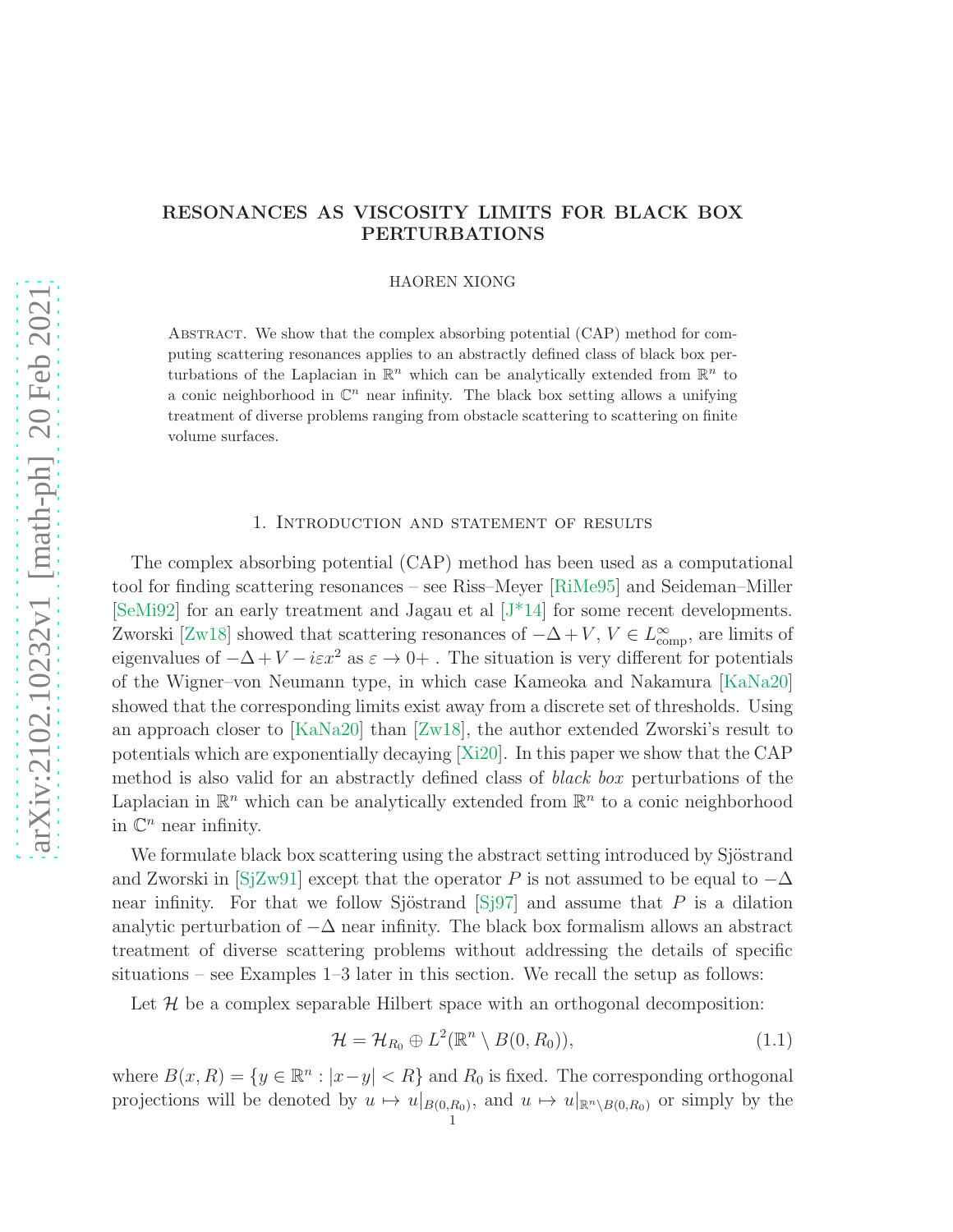# RESONANCES AS VISCOSITY LIMITS FOR BLACK BOX PERTURBATIONS

HAOREN XIONG

Abstract. We show that the complex absorbing potential (CAP) method for computing scattering resonances applies to an abstractly defined class of black box perturbations of the Laplacian in  $\mathbb{R}^n$  which can be analytically extended from  $\mathbb{R}^n$  to a conic neighborhood in  $\mathbb{C}^n$  near infinity. The black box setting allows a unifying treatment of diverse problems ranging from obstacle scattering to scattering on finite volume surfaces.

## 1. Introduction and statement of results

<span id="page-0-0"></span>The complex absorbing potential (CAP) method has been used as a computational tool for finding scattering resonances – see Riss–Meyer [\[RiMe95\]](#page-29-0) and Seideman–Miller [\[SeMi92\]](#page-29-1) for an early treatment and Jagau et al [\[J\\*14\]](#page-29-2) for some recent developments. Zworski [\[Zw18\]](#page-29-3) showed that scattering resonances of  $-\Delta + V$ ,  $V \in L^{\infty}_{\text{comp}}$ , are limits of eigenvalues of  $-\Delta + V - i\epsilon x^2$  as  $\varepsilon \to 0+$ . The situation is very different for potentials of the Wigner–von Neumann type, in which case Kameoka and Nakamura [\[KaNa20\]](#page-29-4) showed that the corresponding limits exist away from a discrete set of thresholds. Using an approach closer to [\[KaNa20\]](#page-29-4) than [\[Zw18\]](#page-29-3), the author extended Zworski's result to potentials which are exponentially decaying [\[Xi20\]](#page-29-5). In this paper we show that the CAP method is also valid for an abstractly defined class of black box perturbations of the Laplacian in  $\mathbb{R}^n$  which can be analytically extended from  $\mathbb{R}^n$  to a conic neighborhood in  $\mathbb{C}^n$  near infinity.

We formulate black box scattering using the abstract setting introduced by Sjöstrand and Zworski in [\[SjZw91\]](#page-29-6) except that the operator P is not assumed to be equal to  $-\Delta$ near infinity. For that we follow Sjöstrand  $\lvert S_{j}^{97} \rvert$  and assume that P is a dilation analytic perturbation of  $-\Delta$  near infinity. The black box formalism allows an abstract treatment of diverse scattering problems without addressing the details of specific situations – see Examples 1–3 later in this section. We recall the setup as follows:

Let  $\mathcal H$  be a complex separable Hilbert space with an orthogonal decomposition:

<span id="page-0-1"></span>
$$
\mathcal{H} = \mathcal{H}_{R_0} \oplus L^2(\mathbb{R}^n \setminus B(0, R_0)), \tag{1.1}
$$

where  $B(x, R) = \{y \in \mathbb{R}^n : |x - y| < R\}$  and  $R_0$  is fixed. The corresponding orthogonal projections will be denoted by  $u \mapsto u|_{B(0,R_0)}$ , and  $u \mapsto u|_{\mathbb{R}^n \setminus B(0,R_0)}$  or simply by the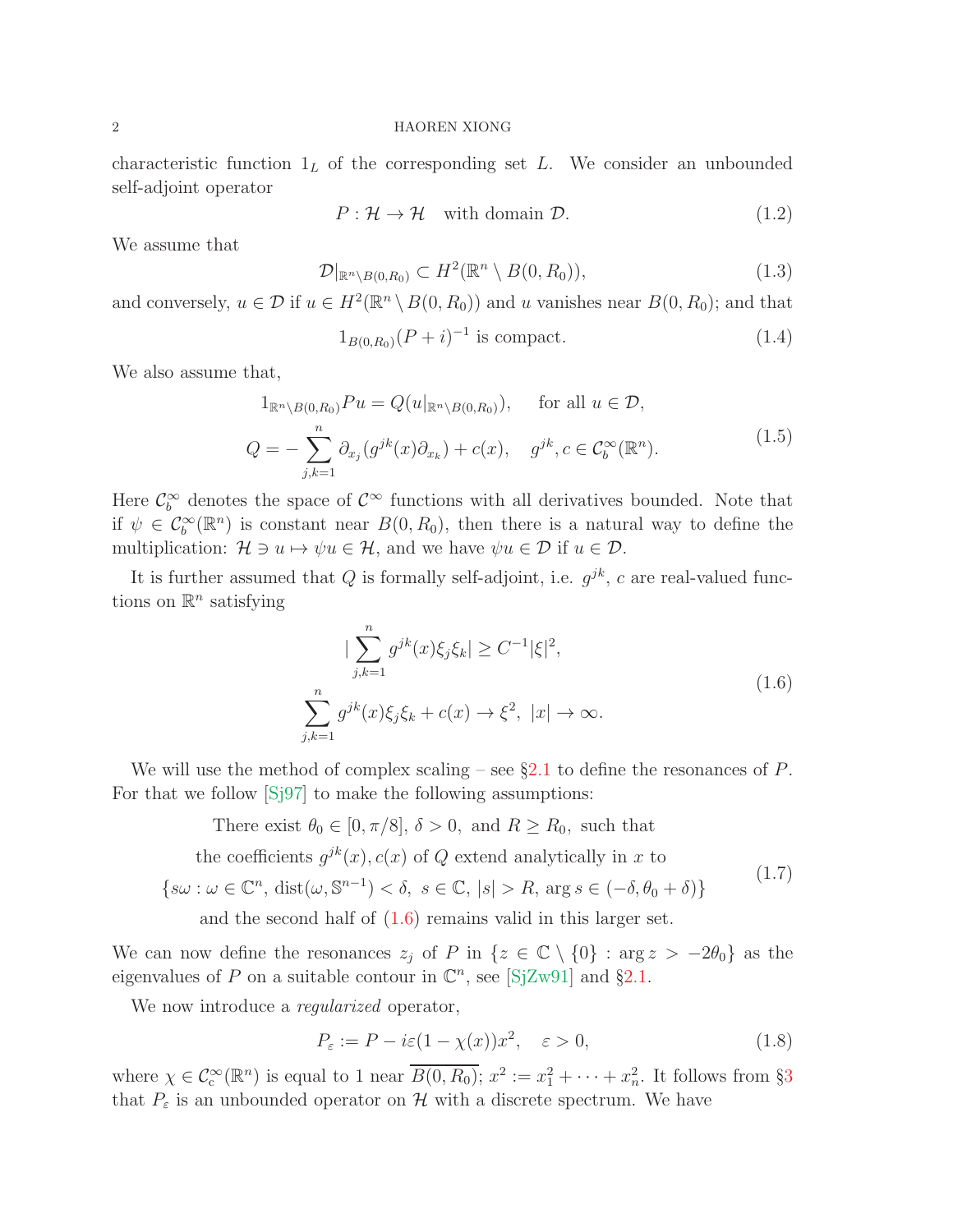characteristic function  $1<sub>L</sub>$  of the corresponding set L. We consider an unbounded self-adjoint operator

<span id="page-1-6"></span>
$$
P: \mathcal{H} \to \mathcal{H} \quad \text{with domain } \mathcal{D}. \tag{1.2}
$$

We assume that

<span id="page-1-2"></span>
$$
\mathcal{D}|_{\mathbb{R}^n \setminus B(0,R_0)} \subset H^2(\mathbb{R}^n \setminus B(0,R_0)),\tag{1.3}
$$

and conversely,  $u \in \mathcal{D}$  if  $u \in H^2(\mathbb{R}^n \setminus B(0, R_0))$  and u vanishes near  $B(0, R_0)$ ; and that

<span id="page-1-3"></span>
$$
1_{B(0,R_0)}(P+i)^{-1}
$$
 is compact. (1.4)

We also assume that,

<span id="page-1-4"></span>
$$
1_{\mathbb{R}^n \setminus B(0,R_0)} Pu = Q(u|_{\mathbb{R}^n \setminus B(0,R_0)}), \quad \text{for all } u \in \mathcal{D},
$$
  

$$
Q = -\sum_{j,k=1}^n \partial_{x_j} (g^{jk}(x)\partial_{x_k}) + c(x), \quad g^{jk}, c \in C_b^{\infty}(\mathbb{R}^n).
$$
 (1.5)

Here  $\mathcal{C}_b^{\infty}$  denotes the space of  $\mathcal{C}^{\infty}$  functions with all derivatives bounded. Note that if  $\psi \in C_b^{\infty}(\mathbb{R}^n)$  is constant near  $B(0, R_0)$ , then there is a natural way to define the multiplication:  $\mathcal{H} \ni u \mapsto \psi u \in \mathcal{H}$ , and we have  $\psi u \in \mathcal{D}$  if  $u \in \mathcal{D}$ .

It is further assumed that Q is formally self-adjoint, i.e.  $g^{jk}$ , c are real-valued functions on  $\mathbb{R}^n$  satisfying

<span id="page-1-0"></span>
$$
|\sum_{j,k=1}^{n} g^{jk}(x)\xi_j \xi_k| \ge C^{-1} |\xi|^2,
$$
  

$$
\sum_{j,k=1}^{n} g^{jk}(x)\xi_j \xi_k + c(x) \to \xi^2, |x| \to \infty.
$$
 (1.6)

We will use the method of complex scaling – see  $\S2.1$  $\S2.1$  to define the resonances of P. For that we follow [\[Sj97\]](#page-29-7) to make the following assumptions:

<span id="page-1-1"></span>There exist  $\theta_0 \in [0, \pi/8], \delta > 0$ , and  $R \ge R_0$ , such that the coefficients  $g^{jk}(x)$ ,  $c(x)$  of Q extend analytically in x to  $\{s\omega : \omega \in \mathbb{C}^n, \text{dist}(\omega, \mathbb{S}^{n-1}) < \delta, s \in \mathbb{C}, |s| > R, \text{arg } s \in (-\delta, \theta_0 + \delta)\}\$ and the second half of [\(1.6\)](#page-1-0) remains valid in this larger set. (1.7)

We can now define the resonances  $z_j$  of P in  $\{z \in \mathbb{C} \setminus \{0\} : \arg z > -2\theta_0\}$  as the eigenvalues of P on a suitable contour in  $\mathbb{C}^n$ , see [\[SjZw91\]](#page-29-6) and §[2.1.](#page-4-0)

We now introduce a *regularized* operator,

<span id="page-1-5"></span>
$$
P_{\varepsilon} := P - i\varepsilon (1 - \chi(x))x^2, \quad \varepsilon > 0,
$$
\n(1.8)

where  $\chi \in C_c^{\infty}(\mathbb{R}^n)$  is equal to 1 near  $\overline{B(0,R_0)}$ ;  $x^2 := x_1^2 + \cdots + x_n^2$ . It follows from §[3](#page-9-0) that  $P_{\varepsilon}$  is an unbounded operator on  $\mathcal{H}$  with a discrete spectrum. We have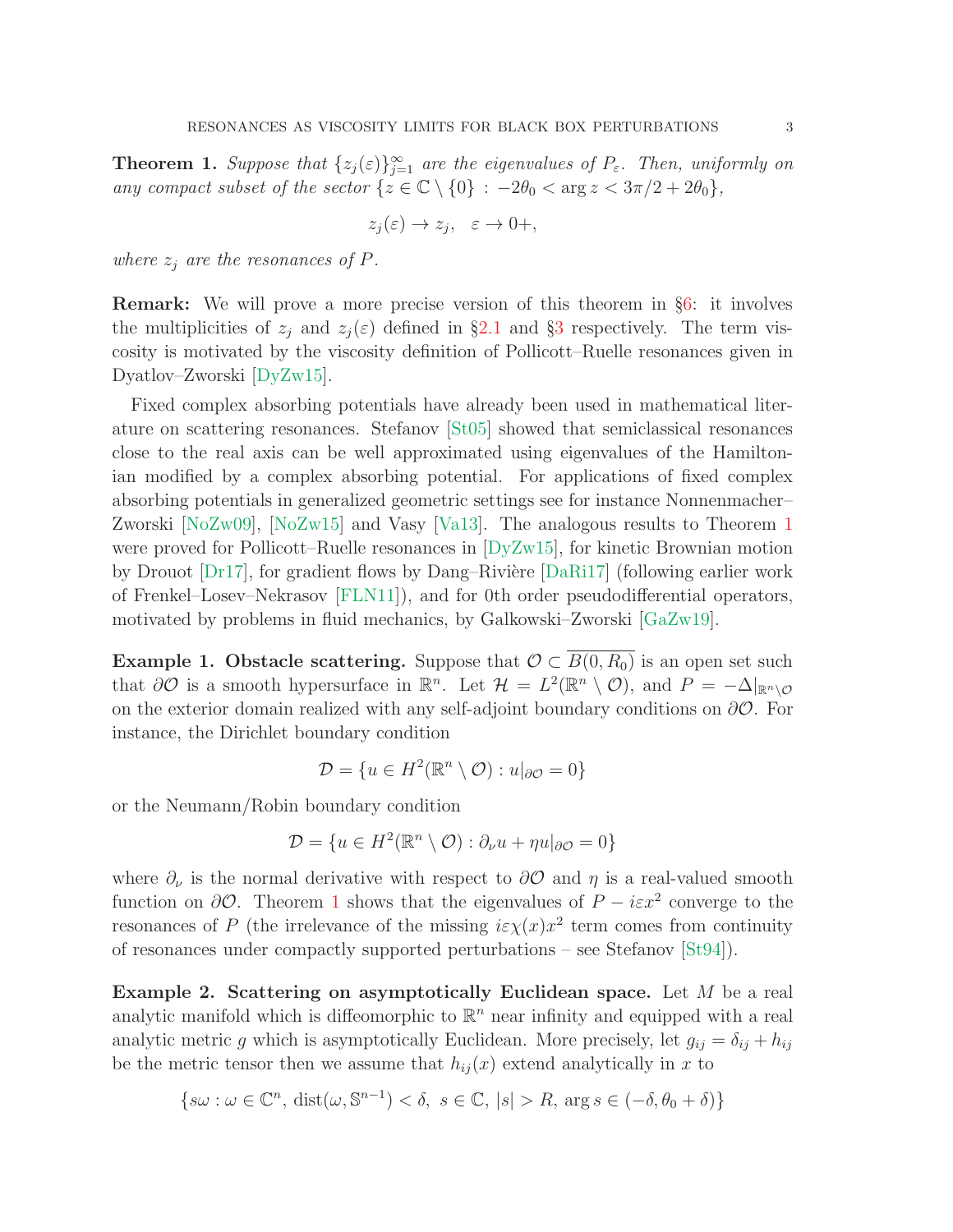<span id="page-2-0"></span>**Theorem 1.** Suppose that  $\{z_j(\varepsilon)\}_{j=1}^{\infty}$  are the eigenvalues of  $P_{\varepsilon}$ . Then, uniformly on any compact subset of the sector  $\{z \in \mathbb{C} \setminus \{0\} : -2\theta_0 < \arg z < 3\pi/2 + 2\theta_0\},\$ 

$$
z_j(\varepsilon) \to z_j, \quad \varepsilon \to 0+,
$$

where  $z_i$  are the resonances of P.

Remark: We will prove a more precise version of this theorem in §[6:](#page-25-0) it involves the multiplicities of  $z_i$  and  $z_i(\varepsilon)$  defined in §[2.1](#page-4-0) and §[3](#page-9-0) respectively. The term viscosity is motivated by the viscosity definition of Pollicott–Ruelle resonances given in Dyatlov–Zworski [\[DyZw15\]](#page-28-0).

Fixed complex absorbing potentials have already been used in mathematical literature on scattering resonances. Stefanov [\[St05\]](#page-29-8) showed that semiclassical resonances close to the real axis can be well approximated using eigenvalues of the Hamiltonian modified by a complex absorbing potential. For applications of fixed complex absorbing potentials in generalized geometric settings see for instance Nonnenmacher– Zworski [\[NoZw09\]](#page-29-9), [\[NoZw15\]](#page-29-10) and Vasy [\[Va13\]](#page-29-11). The analogous results to Theorem [1](#page-2-0) were proved for Pollicott–Ruelle resonances in [\[DyZw15\]](#page-28-0), for kinetic Brownian motion by Drouot  $[Dr17]$ , for gradient flows by Dang–Rivière  $[DaRi17]$  (following earlier work of Frenkel–Losev–Nekrasov [\[FLN11\]](#page-28-3)), and for 0th order pseudodifferential operators, motivated by problems in fluid mechanics, by Galkowski–Zworski [\[GaZw19\]](#page-28-4).

Example 1. Obstacle scattering. Suppose that  $\mathcal{O} \subset \overline{B(0,R_0)}$  is an open set such that  $\partial\mathcal{O}$  is a smooth hypersurface in  $\mathbb{R}^n$ . Let  $\mathcal{H} = L^2(\mathbb{R}^n \setminus \mathcal{O})$ , and  $P = -\Delta|_{\mathbb{R}^n \setminus \mathcal{O}}$ on the exterior domain realized with any self-adjoint boundary conditions on  $\partial\mathcal{O}$ . For instance, the Dirichlet boundary condition

$$
\mathcal{D} = \{ u \in H^2(\mathbb{R}^n \setminus \mathcal{O}) : u|_{\partial \mathcal{O}} = 0 \}
$$

or the Neumann/Robin boundary condition

$$
\mathcal{D} = \{ u \in H^2(\mathbb{R}^n \setminus \mathcal{O}) : \partial_{\nu} u + \eta u|_{\partial \mathcal{O}} = 0 \}
$$

where  $\partial_{\nu}$  is the normal derivative with respect to  $\partial O$  and  $\eta$  is a real-valued smooth function on  $\partial \mathcal{O}$ . Theorem [1](#page-2-0) shows that the eigenvalues of  $P - i \varepsilon x^2$  converge to the resonances of P (the irrelevance of the missing  $i\varepsilon \chi(x)x^2$  term comes from continuity of resonances under compactly supported perturbations – see Stefanov [\[St94\]](#page-29-12)).

Example 2. Scattering on asymptotically Euclidean space. Let M be a real analytic manifold which is diffeomorphic to  $\mathbb{R}^n$  near infinity and equipped with a real analytic metric g which is asymptotically Euclidean. More precisely, let  $g_{ij} = \delta_{ij} + h_{ij}$ be the metric tensor then we assume that  $h_{ij}(x)$  extend analytically in x to

$$
\{s\omega : \omega \in \mathbb{C}^n, \,\mathrm{dist}(\omega, \mathbb{S}^{n-1}) < \delta, \,\, s \in \mathbb{C}, \, |s| > R, \,\mathrm{arg}\, s \in \left(-\delta, \theta_0 + \delta\right)\}
$$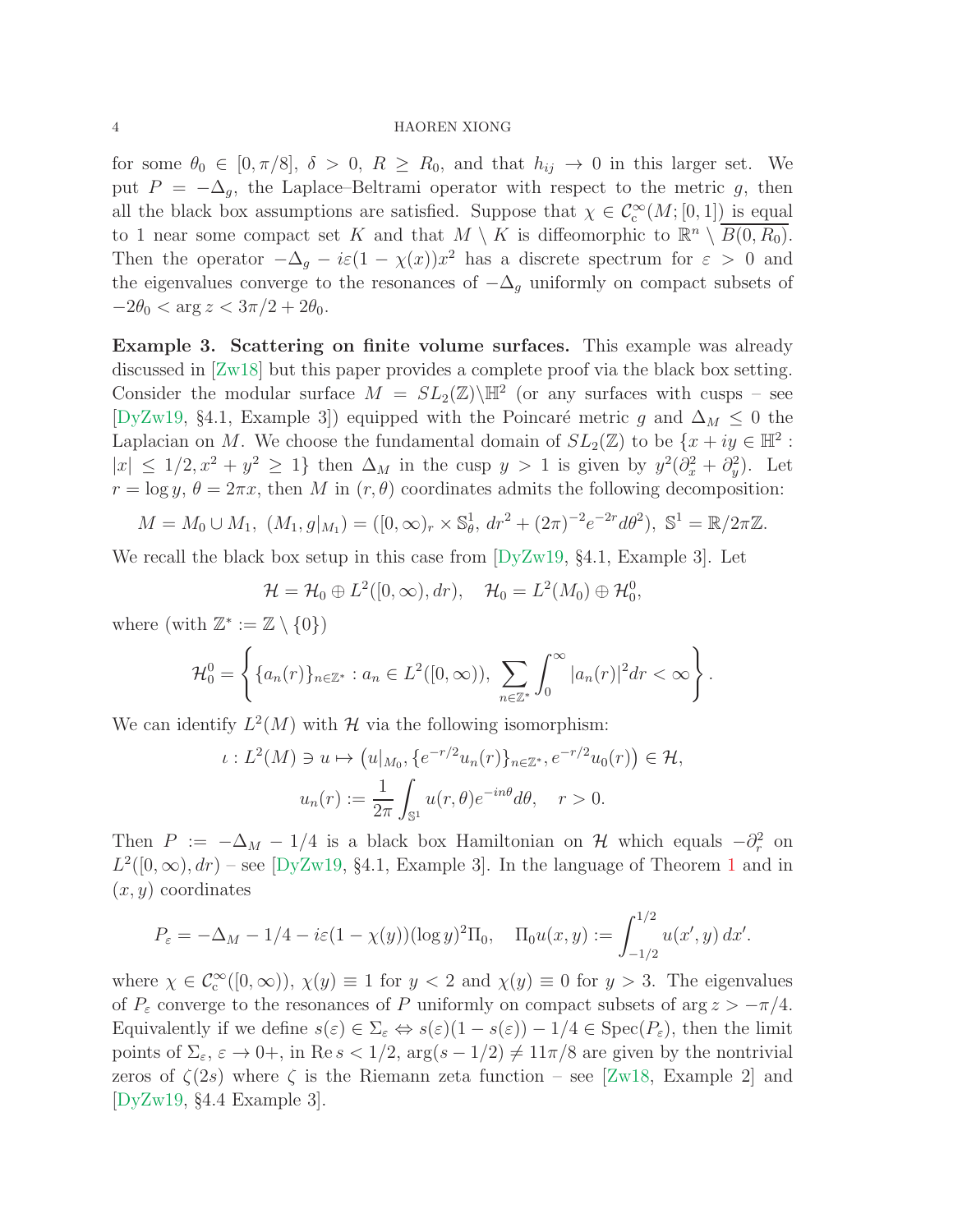for some  $\theta_0 \in [0, \pi/8], \delta > 0, R \ge R_0$ , and that  $h_{ij} \to 0$  in this larger set. We put  $P = -\Delta_q$ , the Laplace–Beltrami operator with respect to the metric g, then all the black box assumptions are satisfied. Suppose that  $\chi \in C_c^{\infty}(M; [0, 1])$  is equal to 1 near some compact set K and that  $M \setminus K$  is diffeomorphic to  $\mathbb{R}^n \setminus \overline{B(0, R_0)}$ . Then the operator  $-\Delta_g - i\varepsilon(1 - \chi(x))x^2$  has a discrete spectrum for  $\varepsilon > 0$  and the eigenvalues converge to the resonances of  $-\Delta_q$  uniformly on compact subsets of  $-2\theta_0 < \arg z < 3\pi/2 + 2\theta_0$ .

Example 3. Scattering on finite volume surfaces. This example was already discussed in [\[Zw18\]](#page-29-3) but this paper provides a complete proof via the black box setting. Consider the modular surface  $M = SL_2(\mathbb{Z})\backslash \mathbb{H}^2$  (or any surfaces with cusps – see [\[DyZw19,](#page-28-5) §4.1, Example 3]) equipped with the Poincaré metric g and  $\Delta_M \leq 0$  the Laplacian on M. We choose the fundamental domain of  $SL_2(\mathbb{Z})$  to be  $\{x+iy \in \mathbb{H}^2 :$  $|x| \leq 1/2, x^2 + y^2 \geq 1$  then  $\Delta_M$  in the cusp  $y > 1$  is given by  $y^2(\partial_x^2 + \partial_y^2)$ . Let  $r = \log y$ ,  $\theta = 2\pi x$ , then M in  $(r, \theta)$  coordinates admits the following decomposition:

$$
M = M_0 \cup M_1, \ (M_1, g|_{M_1}) = ([0, \infty)_r \times \mathbb{S}_{\theta}^1, dr^2 + (2\pi)^{-2} e^{-2r} d\theta^2), \ \mathbb{S}^1 = \mathbb{R}/2\pi\mathbb{Z}.
$$

We recall the black box setup in this case from  $[Dyzw19, §4.1, Example 3]$ . Let

$$
\mathcal{H} = \mathcal{H}_0 \oplus L^2([0,\infty), dr), \quad \mathcal{H}_0 = L^2(M_0) \oplus \mathcal{H}_0^0,
$$

where (with  $\mathbb{Z}^* := \mathbb{Z} \setminus \{0\}$ )

 $\iota$ 

$$
\mathcal{H}_0^0 = \left\{ \{a_n(r)\}_{n \in \mathbb{Z}^*} : a_n \in L^2([0,\infty)), \sum_{n \in \mathbb{Z}^*} \int_0^\infty |a_n(r)|^2 dr < \infty \right\}.
$$

We can identify  $L^2(M)$  with  $\mathcal H$  via the following isomorphism:

$$
: L^{2}(M) \ni u \mapsto (u|_{M_{0}}, \{e^{-r/2}u_{n}(r)\}_{n \in \mathbb{Z}^{*}}, e^{-r/2}u_{0}(r)) \in \mathcal{H},
$$
  

$$
u_{n}(r) := \frac{1}{2\pi} \int_{\mathbb{S}^{1}} u(r, \theta) e^{-in\theta} d\theta, \quad r > 0.
$$

Then  $P := -\Delta_M - 1/4$  is a black box Hamiltonian on  $\mathcal H$  which equals  $-\partial_r^2$  on  $L^2([0,\infty), dr)$  – see [\[DyZw19,](#page-28-5) §4.[1](#page-2-0), Example 3]. In the language of Theorem 1 and in  $(x, y)$  coordinates

$$
P_{\varepsilon} = -\Delta_M - 1/4 - i\varepsilon (1 - \chi(y)) (\log y)^2 \Pi_0, \quad \Pi_0 u(x, y) := \int_{-1/2}^{1/2} u(x', y) dx'.
$$

where  $\chi \in C_c^{\infty}([0,\infty))$ ,  $\chi(y) \equiv 1$  for  $y < 2$  and  $\chi(y) \equiv 0$  for  $y > 3$ . The eigenvalues of  $P_{\varepsilon}$  converge to the resonances of P uniformly on compact subsets of arg  $z > -\pi/4$ . Equivalently if we define  $s(\varepsilon) \in \Sigma_{\varepsilon} \Leftrightarrow s(\varepsilon)(1-s(\varepsilon)) - 1/4 \in \text{Spec}(P_{\varepsilon})$ , then the limit points of  $\Sigma_{\varepsilon}$ ,  $\varepsilon \to 0^+$ , in Re  $s < 1/2$ ,  $\arg(s - 1/2) \neq 11\pi/8$  are given by the nontrivial zeros of  $\zeta(2s)$  where  $\zeta$  is the Riemann zeta function – see [\[Zw18,](#page-29-3) Example 2] and [\[DyZw19,](#page-28-5) §4.4 Example 3].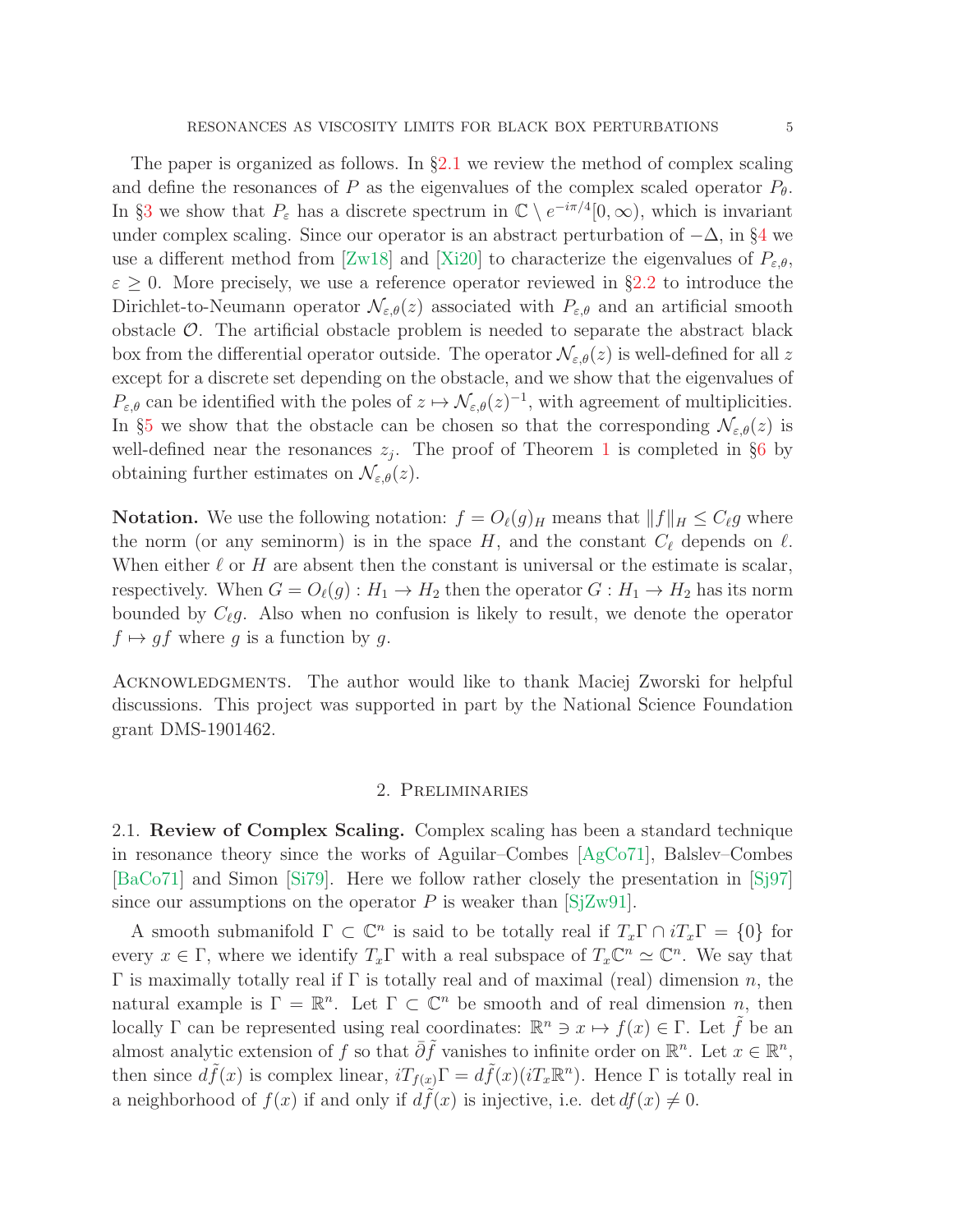The paper is organized as follows. In  $\S2.1$  $\S2.1$  we review the method of complex scaling and define the resonances of P as the eigenvalues of the complex scaled operator  $P_{\theta}$ . In §[3](#page-9-0) we show that  $P_{\varepsilon}$  has a discrete spectrum in  $\mathbb{C} \setminus e^{-i\pi/4}[0,\infty)$ , which is invariant under complex scaling. Since our operator is an abstract perturbation of  $-\Delta$ , in §[4](#page-14-0) we use a different method from [\[Zw18\]](#page-29-3) and [\[Xi20\]](#page-29-5) to characterize the eigenvalues of  $P_{\varepsilon,\theta}$ ,  $\varepsilon \geq 0$ . More precisely, we use a reference operator reviewed in §[2.2](#page-8-0) to introduce the Dirichlet-to-Neumann operator  $\mathcal{N}_{\varepsilon,\theta}(z)$  associated with  $P_{\varepsilon,\theta}$  and an artificial smooth obstacle  $\mathcal{O}$ . The artificial obstacle problem is needed to separate the abstract black box from the differential operator outside. The operator  $\mathcal{N}_{\varepsilon,\theta}(z)$  is well-defined for all z except for a discrete set depending on the obstacle, and we show that the eigenvalues of  $P_{\varepsilon,\theta}$  can be identified with the poles of  $z \mapsto \mathcal{N}_{\varepsilon,\theta}(z)^{-1}$ , with agreement of multiplicities. In §[5](#page-19-0) we show that the obstacle can be chosen so that the corresponding  $\mathcal{N}_{\varepsilon,\theta}(z)$  is well-defined near the resonances  $z_j$ . The proof of Theorem [1](#page-2-0) is completed in §[6](#page-25-0) by obtaining further estimates on  $\mathcal{N}_{\varepsilon,\theta}(z)$ .

**Notation.** We use the following notation:  $f = O_{\ell}(g)$ <sub>H</sub> means that  $||f||_H \leq C_{\ell}g$  where the norm (or any seminorm) is in the space  $H$ , and the constant  $C_{\ell}$  depends on  $\ell$ . When either  $\ell$  or H are absent then the constant is universal or the estimate is scalar, respectively. When  $G = O_{\ell}(g) : H_1 \to H_2$  then the operator  $G : H_1 \to H_2$  has its norm bounded by  $C_{\ell}g$ . Also when no confusion is likely to result, we denote the operator  $f \mapsto gf$  where g is a function by g.

Acknowledgments. The author would like to thank Maciej Zworski for helpful discussions. This project was supported in part by the National Science Foundation grant DMS-1901462.

## 2. Preliminaries

<span id="page-4-0"></span>2.1. Review of Complex Scaling. Complex scaling has been a standard technique in resonance theory since the works of Aguilar–Combes [\[AgCo71\]](#page-28-6), Balslev–Combes [\[BaCo71\]](#page-28-7) and Simon [\[Si79\]](#page-29-13). Here we follow rather closely the presentation in [\[Sj97\]](#page-29-7) since our assumptions on the operator P is weaker than  $[SZW91]$ .

A smooth submanifold  $\Gamma \subset \mathbb{C}^n$  is said to be totally real if  $T_x\Gamma \cap iT_x\Gamma = \{0\}$  for every  $x \in \Gamma$ , where we identify  $T_x \Gamma$  with a real subspace of  $T_x \mathbb{C}^n \simeq \mathbb{C}^n$ . We say that  $Γ$  is maximally totally real if Γ is totally real and of maximal (real) dimension n, the natural example is  $\Gamma = \mathbb{R}^n$ . Let  $\Gamma \subset \mathbb{C}^n$  be smooth and of real dimension  $n$ , then locally  $\Gamma$  can be represented using real coordinates:  $\mathbb{R}^n \ni x \mapsto f(x) \in \Gamma$ . Let  $\tilde{f}$  be an almost analytic extension of f so that  $\overline{\partial}\tilde{f}$  vanishes to infinite order on  $\mathbb{R}^n$ . Let  $x \in \mathbb{R}^n$ , then since  $d\tilde{f}(x)$  is complex linear,  $iT_{f(x)}\Gamma = d\tilde{f}(x)(iT_x\mathbb{R}^n)$ . Hence  $\Gamma$  is totally real in a neighborhood of  $f(x)$  if and only if  $d\tilde{f}(x)$  is injective, i.e. det  $df(x) \neq 0$ .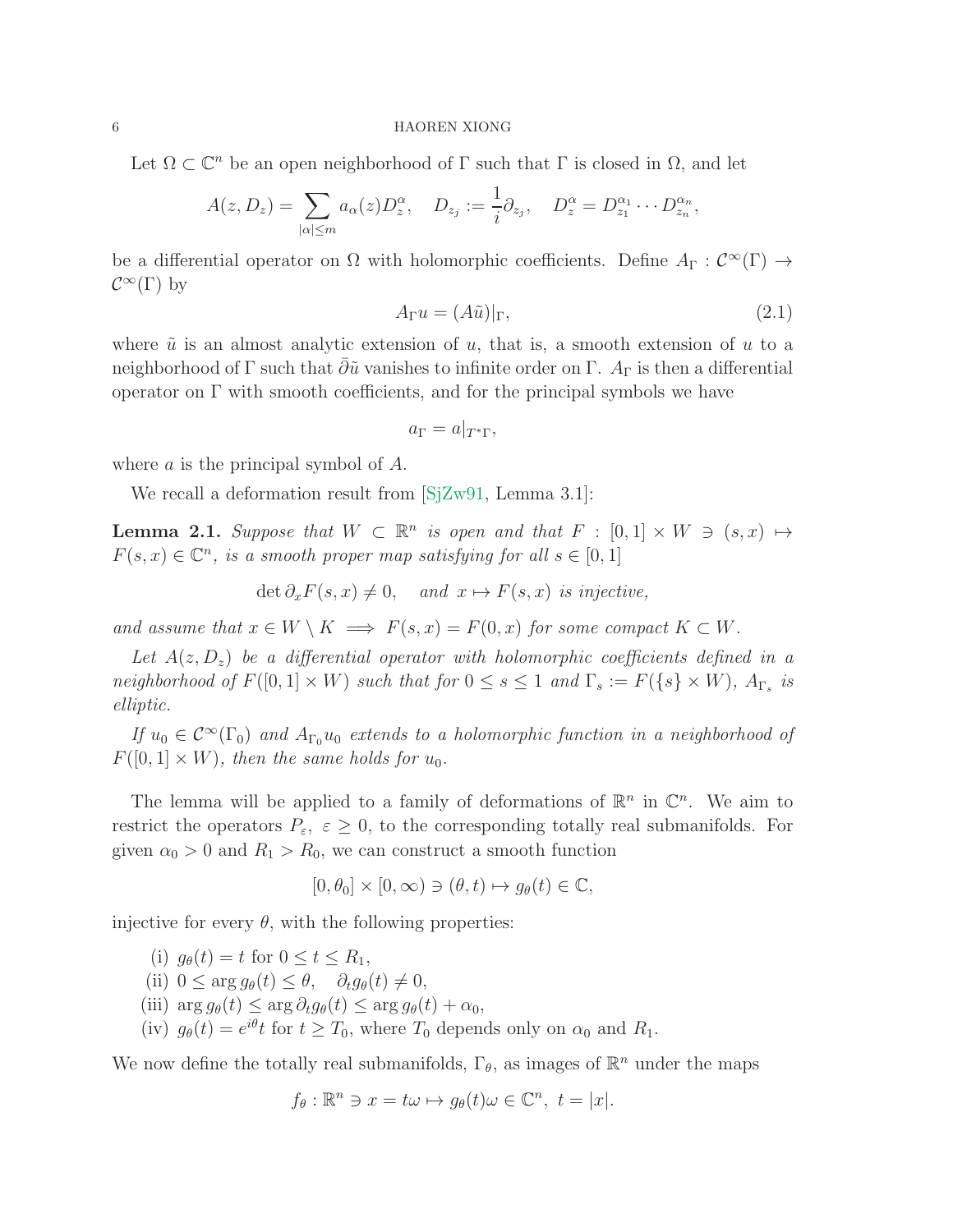Let  $\Omega \subset \mathbb{C}^n$  be an open neighborhood of  $\Gamma$  such that  $\Gamma$  is closed in  $\Omega$ , and let

$$
A(z, D_z) = \sum_{|\alpha| \leq m} a_{\alpha}(z) D_z^{\alpha}, \quad D_{z_j} := \frac{1}{i} \partial_{z_j}, \quad D_z^{\alpha} = D_{z_1}^{\alpha_1} \cdots D_{z_n}^{\alpha_n},
$$

be a differential operator on  $\Omega$  with holomorphic coefficients. Define  $A_{\Gamma}: \mathcal{C}^{\infty}(\Gamma) \to$  $\mathcal{C}^{\infty}(\Gamma)$  by

$$
A_{\Gamma}u = (A\tilde{u})|_{\Gamma},\tag{2.1}
$$

where  $\tilde{u}$  is an almost analytic extension of u, that is, a smooth extension of u to a neighborhood of Γ such that  $\bar{\partial}\tilde{u}$  vanishes to infinite order on Γ. A<sub>Γ</sub> is then a differential operator on  $\Gamma$  with smooth coefficients, and for the principal symbols we have

$$
a_{\Gamma} = a|_{T^*\Gamma},
$$

where a is the principal symbol of A.

We recall a deformation result from [SiZw91, Lemma 3.1]:

<span id="page-5-0"></span>**Lemma 2.1.** Suppose that  $W \subset \mathbb{R}^n$  is open and that  $F : [0,1] \times W \ni (s,x) \mapsto$  $F(s, x) \in \mathbb{C}^n$ , is a smooth proper map satisfying for all  $s \in [0, 1]$ 

$$
\det \partial_x F(s, x) \neq 0, \quad \text{and } x \mapsto F(s, x) \text{ is injective,}
$$

and assume that  $x \in W \setminus K \implies F(s, x) = F(0, x)$  for some compact  $K \subset W$ .

Let  $A(z, D_z)$  be a differential operator with holomorphic coefficients defined in a neighborhood of  $F([0,1] \times W)$  such that for  $0 \leq s \leq 1$  and  $\Gamma_s := F(\{s\} \times W)$ ,  $A_{\Gamma_s}$  is elliptic.

If  $u_0 \in C^{\infty}(\Gamma_0)$  and  $A_{\Gamma_0}u_0$  extends to a holomorphic function in a neighborhood of  $F([0,1] \times W)$ , then the same holds for  $u_0$ .

The lemma will be applied to a family of deformations of  $\mathbb{R}^n$  in  $\mathbb{C}^n$ . We aim to restrict the operators  $P_{\varepsilon}$ ,  $\varepsilon \geq 0$ , to the corresponding totally real submanifolds. For given  $\alpha_0 > 0$  and  $R_1 > R_0$ , we can construct a smooth function

$$
[0,\theta_0]\times [0,\infty)\ni (\theta,t)\mapsto g_\theta(t)\in \mathbb{C},
$$

injective for every  $\theta$ , with the following properties:

(i)  $q_{\theta}(t) = t$  for  $0 \leq t \leq R_1$ , (ii)  $0 \leq \arg g_{\theta}(t) \leq \theta$ ,  $\partial_t g_{\theta}(t) \neq 0$ , (iii)  $\arg g_{\theta}(t) \leq \arg \partial_t g_{\theta}(t) \leq \arg g_{\theta}(t) + \alpha_0$ , (iv)  $g_{\theta}(t) = e^{i\theta}t$  for  $t \geq T_0$ , where  $T_0$  depends only on  $\alpha_0$  and  $R_1$ .

We now define the totally real submanifolds,  $\Gamma_{\theta}$ , as images of  $\mathbb{R}^n$  under the maps

$$
f_{\theta}: \mathbb{R}^n \ni x = t\omega \mapsto g_{\theta}(t)\omega \in \mathbb{C}^n, t = |x|.
$$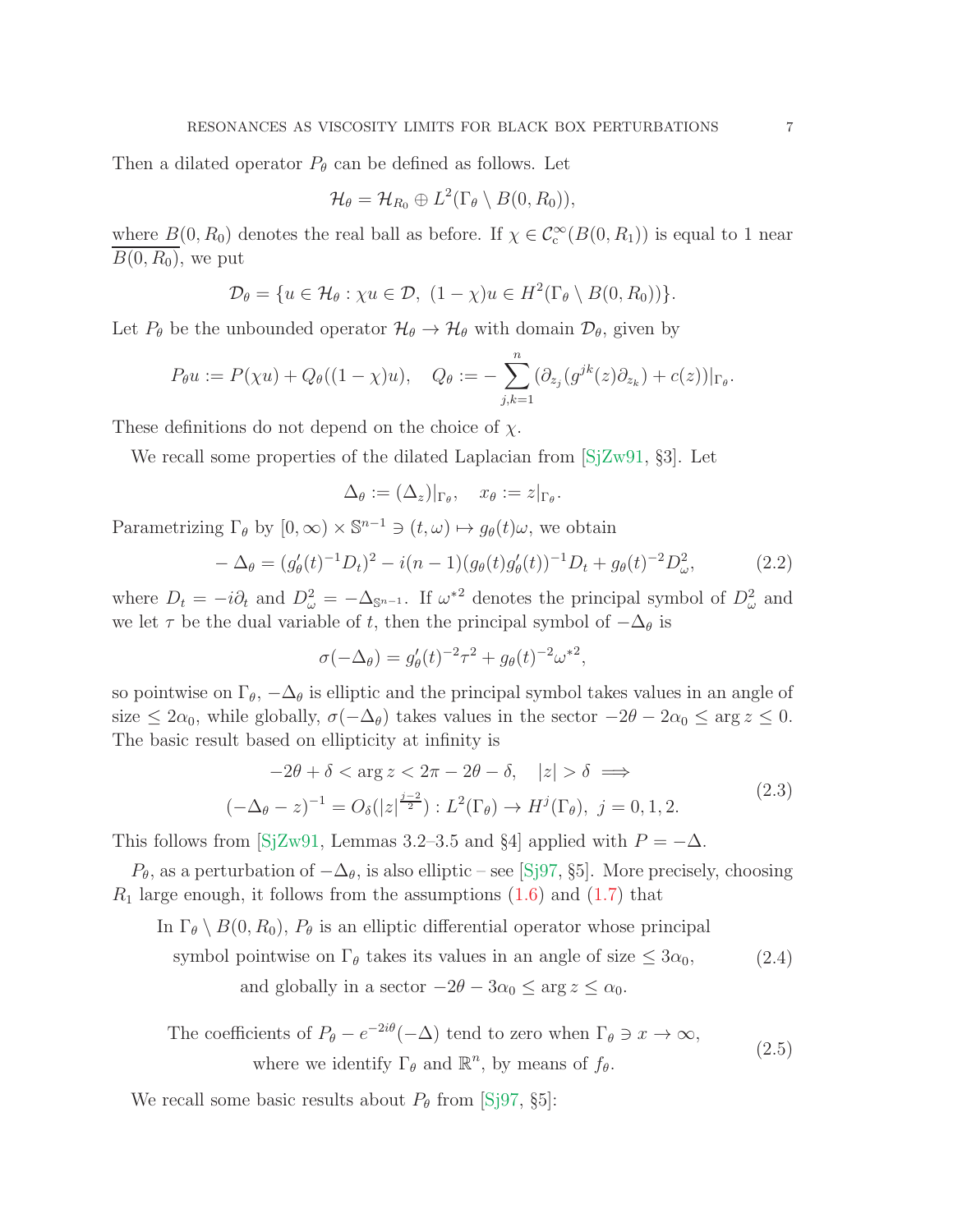Then a dilated operator  $P_{\theta}$  can be defined as follows. Let

$$
\mathcal{H}_{\theta}=\mathcal{H}_{R_0}\oplus L^2(\Gamma_{\theta}\setminus B(0,R_0)),
$$

where  $B(0, R_0)$  denotes the real ball as before. If  $\chi \in C_c^{\infty}(B(0, R_1))$  is equal to 1 near  $\overline{B(0, R_0)}$ , we put

$$
\mathcal{D}_{\theta} = \{ u \in \mathcal{H}_{\theta} : \chi u \in \mathcal{D}, \ (1 - \chi)u \in H^2(\Gamma_{\theta} \setminus B(0, R_0)) \}.
$$

Let  $P_{\theta}$  be the unbounded operator  $\mathcal{H}_{\theta} \to \mathcal{H}_{\theta}$  with domain  $\mathcal{D}_{\theta}$ , given by

$$
P_{\theta}u := P(\chi u) + Q_{\theta}((1-\chi)u), \quad Q_{\theta} := -\sum_{j,k=1}^n (\partial_{z_j}(g^{jk}(z)\partial_{z_k}) + c(z))|_{\Gamma_{\theta}}.
$$

These definitions do not depend on the choice of  $\chi$ .

We recall some properties of the dilated Laplacian from  $[SZw91, S3]$ . Let

$$
\Delta_{\theta} := (\Delta_z)|_{\Gamma_{\theta}}, \quad x_{\theta} := z|_{\Gamma_{\theta}}.
$$

Parametrizing  $\Gamma_{\theta}$  by  $[0, \infty) \times \mathbb{S}^{n-1} \ni (t, \omega) \mapsto g_{\theta}(t)\omega$ , we obtain

$$
-\Delta_{\theta} = (g_{\theta}'(t)^{-1}D_t)^2 - i(n-1)(g_{\theta}(t)g_{\theta}'(t))^{-1}D_t + g_{\theta}(t)^{-2}D_{\omega}^2,
$$
\n(2.2)

where  $D_t = -i\partial_t$  and  $D^2_\omega = -\Delta_{\mathbb{S}^{n-1}}$ . If  $\omega^{*2}$  denotes the principal symbol of  $D^2_\omega$  and we let  $\tau$  be the dual variable of t, then the principal symbol of  $-\Delta_{\theta}$  is

$$
\sigma(-\Delta_{\theta}) = g_{\theta}'(t)^{-2}\tau^{2} + g_{\theta}(t)^{-2}\omega^{*2},
$$

so pointwise on  $\Gamma_{\theta}$ ,  $-\Delta_{\theta}$  is elliptic and the principal symbol takes values in an angle of size  $\leq 2\alpha_0$ , while globally,  $\sigma(-\Delta_\theta)$  takes values in the sector  $-2\theta - 2\alpha_0 \leq \arg z \leq 0$ . The basic result based on ellipticity at infinity is

<span id="page-6-1"></span>
$$
-2\theta + \delta < \arg z < 2\pi - 2\theta - \delta, \quad |z| > \delta \implies
$$
\n
$$
(-\Delta_{\theta} - z)^{-1} = O_{\delta}(|z|^{\frac{j-2}{2}}) : L^2(\Gamma_{\theta}) \to H^j(\Gamma_{\theta}), \ j = 0, 1, 2. \tag{2.3}
$$

This follows from [\[SjZw91,](#page-29-6) Lemmas 3.2–3.5 and §4] applied with  $P = -\Delta$ .

 $P_{\theta}$ , as a perturbation of  $-\Delta_{\theta}$ , is also elliptic – see [\[Sj97,](#page-29-7) §5]. More precisely, choosing  $R_1$  large enough, it follows from the assumptions  $(1.6)$  and  $(1.7)$  that

In  $\Gamma_{\theta} \setminus B(0, R_0)$ ,  $P_{\theta}$  is an elliptic differential operator whose principal

symbol pointwise on  $\Gamma_{\theta}$  takes its values in an angle of size  $\leq 3\alpha_0$ , (2.4)

and globally in a sector  $-2\theta - 3\alpha_0 \leq \arg z \leq \alpha_0$ .

<span id="page-6-0"></span>The coefficients of 
$$
P_{\theta} - e^{-2i\theta}(-\Delta)
$$
 tend to zero when  $\Gamma_{\theta} \ni x \to \infty$ ,  
where we identify  $\Gamma_{\theta}$  and  $\mathbb{R}^n$ , by means of  $f_{\theta}$ . (2.5)

We recall some basic results about  $P_{\theta}$  from [\[Sj97,](#page-29-7) §5]: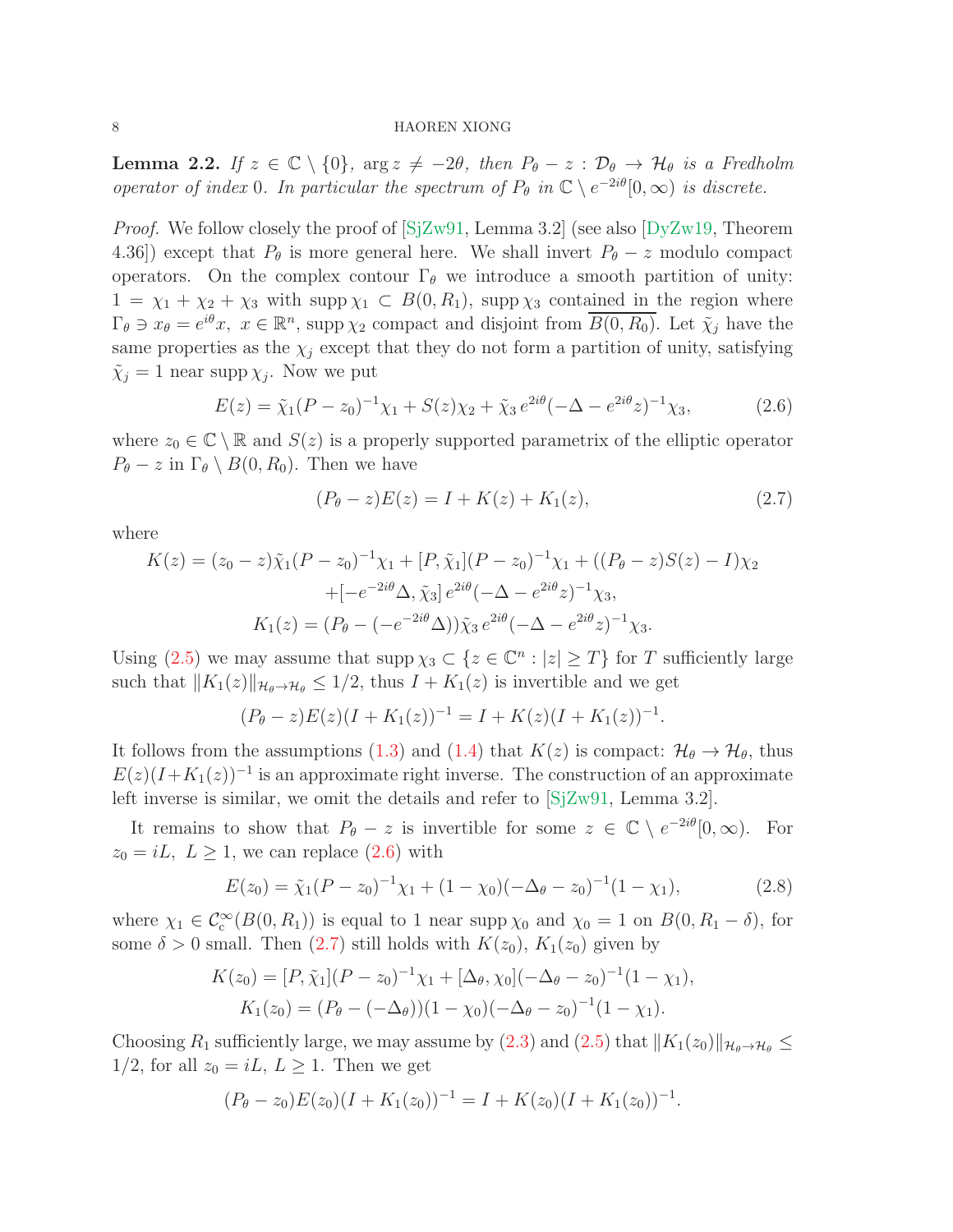<span id="page-7-2"></span>**Lemma 2.2.** If  $z \in \mathbb{C} \setminus \{0\}$ ,  $\arg z \neq -2\theta$ , then  $P_{\theta} - z : \mathcal{D}_{\theta} \to \mathcal{H}_{\theta}$  is a Fredholm operator of index 0. In particular the spectrum of  $P_{\theta}$  in  $\mathbb{C} \setminus e^{-2i\theta}[0,\infty)$  is discrete.

*Proof.* We follow closely the proof of  $[SjZw91, \text{Lemma } 3.2]$  (see also  $[DyZw19, \text{ Theorem } 3.2]$ 4.36) except that  $P_{\theta}$  is more general here. We shall invert  $P_{\theta} - z$  modulo compact operators. On the complex contour  $\Gamma_{\theta}$  we introduce a smooth partition of unity:  $1 = \chi_1 + \chi_2 + \chi_3$  with supp  $\chi_1 \subset B(0, R_1)$ , supp  $\chi_3$  contained in the region where  $\Gamma_{\theta} \ni x_{\theta} = e^{i\theta}x, \ x \in \mathbb{R}^n$ , supp  $\chi_2$  compact and disjoint from  $\overline{B(0,R_0)}$ . Let  $\tilde{\chi}_j$  have the same properties as the  $\chi_j$  except that they do not form a partition of unity, satisfying  $\tilde{\chi}_j = 1$  near supp  $\chi_j$ . Now we put

<span id="page-7-0"></span>
$$
E(z) = \tilde{\chi}_1 (P - z_0)^{-1} \chi_1 + S(z) \chi_2 + \tilde{\chi}_3 e^{2i\theta} (-\Delta - e^{2i\theta} z)^{-1} \chi_3,
$$
 (2.6)

where  $z_0 \in \mathbb{C} \setminus \mathbb{R}$  and  $S(z)$  is a properly supported parametrix of the elliptic operator  $P_{\theta} - z$  in  $\Gamma_{\theta} \setminus B(0, R_0)$ . Then we have

<span id="page-7-1"></span>
$$
(P_{\theta} - z)E(z) = I + K(z) + K_1(z), \tag{2.7}
$$

where

$$
K(z) = (z_0 - z)\tilde{\chi}_1(P - z_0)^{-1}\chi_1 + [P, \tilde{\chi}_1](P - z_0)^{-1}\chi_1 + ((P_\theta - z)S(z) - I)\chi_2
$$
  
+ 
$$
[-e^{-2i\theta}\Delta, \tilde{\chi}_3]e^{2i\theta}(-\Delta - e^{2i\theta}z)^{-1}\chi_3,
$$
  

$$
K_1(z) = (P_\theta - (-e^{-2i\theta}\Delta))\tilde{\chi}_3 e^{2i\theta}(-\Delta - e^{2i\theta}z)^{-1}\chi_3.
$$

Using [\(2.5\)](#page-6-0) we may assume that  $\text{supp }\chi_3 \subset \{z \in \mathbb{C}^n : |z| \geq T\}$  for T sufficiently large such that  $||K_1(z)||_{\mathcal{H}_{\theta}\to\mathcal{H}_{\theta}} \leq 1/2$ , thus  $I + K_1(z)$  is invertible and we get

$$
(P_{\theta}-z)E(z)(I+K_1(z))^{-1}=I+K(z)(I+K_1(z))^{-1}.
$$

It follows from the assumptions [\(1.3\)](#page-1-2) and [\(1.4\)](#page-1-3) that  $K(z)$  is compact:  $\mathcal{H}_{\theta} \to \mathcal{H}_{\theta}$ , thus  $E(z)(I+K_1(z))^{-1}$  is an approximate right inverse. The construction of an approximate left inverse is similar, we omit the details and refer to [\[SjZw91,](#page-29-6) Lemma 3.2].

It remains to show that  $P_{\theta} - z$  is invertible for some  $z \in \mathbb{C} \setminus e^{-2i\theta}[0, \infty)$ . For  $z_0 = iL, L \geq 1$ , we can replace  $(2.6)$  with

$$
E(z_0) = \tilde{\chi}_1 (P - z_0)^{-1} \chi_1 + (1 - \chi_0) (-\Delta_\theta - z_0)^{-1} (1 - \chi_1), \tag{2.8}
$$

where  $\chi_1 \in C_c^{\infty}(B(0,R_1))$  is equal to 1 near supp  $\chi_0$  and  $\chi_0 = 1$  on  $B(0, R_1 - \delta)$ , for some  $\delta > 0$  small. Then  $(2.7)$  still holds with  $K(z_0)$ ,  $K_1(z_0)$  given by

$$
K(z_0) = [P, \tilde{\chi}_1](P - z_0)^{-1}\chi_1 + [\Delta_\theta, \chi_0](-\Delta_\theta - z_0)^{-1}(1 - \chi_1),
$$
  
\n
$$
K_1(z_0) = (P_\theta - (-\Delta_\theta))(1 - \chi_0)(-\Delta_\theta - z_0)^{-1}(1 - \chi_1).
$$

Choosing  $R_1$  sufficiently large, we may assume by [\(2.3\)](#page-6-1) and [\(2.5\)](#page-6-0) that  $||K_1(z_0)||_{\mathcal{H}_{\theta}\to\mathcal{H}_{\theta}} \le$  $1/2$ , for all  $z_0 = iL, L \ge 1$ . Then we get

$$
(P_{\theta}-z_0)E(z_0)(I+K_1(z_0))^{-1}=I+K(z_0)(I+K_1(z_0))^{-1}.
$$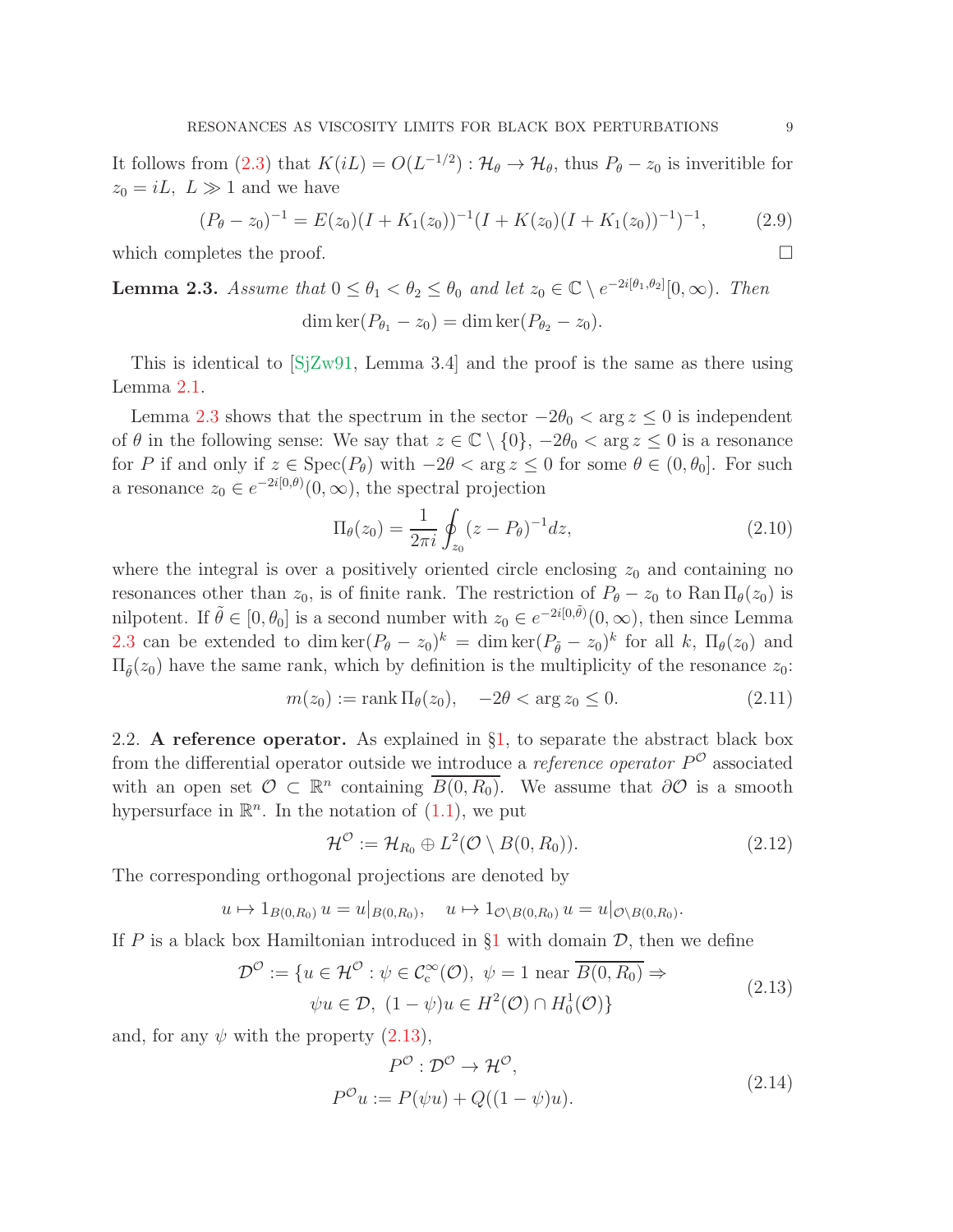It follows from [\(2.3\)](#page-6-1) that  $K(iL) = O(L^{-1/2}) : \mathcal{H}_{\theta} \to \mathcal{H}_{\theta}$ , thus  $P_{\theta} - z_0$  is inveritible for  $z_0 = iL, L \gg 1$  and we have

<span id="page-8-5"></span>
$$
(P_{\theta} - z_0)^{-1} = E(z_0)(I + K_1(z_0))^{-1}(I + K(z_0)(I + K_1(z_0))^{-1})^{-1},
$$
 (2.9)

which completes the proof.  $\Box$ 

<span id="page-8-1"></span>**Lemma 2.3.** Assume that  $0 \le \theta_1 < \theta_2 \le \theta_0$  and let  $z_0 \in \mathbb{C} \setminus e^{-2i[\theta_1, \theta_2]}[0, \infty)$ . Then

$$
\dim \ker(P_{\theta_1} - z_0) = \dim \ker(P_{\theta_2} - z_0).
$$

This is identical to  $[SZW91, \text{Lemma } 3.4]$  and the proof is the same as there using Lemma [2.1.](#page-5-0)

Lemma [2.3](#page-8-1) shows that the spectrum in the sector  $-2\theta_0 < \arg z \leq 0$  is independent of  $\theta$  in the following sense: We say that  $z \in \mathbb{C} \setminus \{0\}$ ,  $-2\theta_0 < \arg z \leq 0$  is a resonance for P if and only if  $z \in \text{Spec}(P_{\theta})$  with  $-2\theta < \arg z \leq 0$  for some  $\theta \in (0, \theta_0]$ . For such a resonance  $z_0 \in e^{-2i[0,\theta)}(0,\infty)$ , the spectral projection

$$
\Pi_{\theta}(z_0) = \frac{1}{2\pi i} \oint_{z_0} (z - P_{\theta})^{-1} dz,
$$
\n(2.10)

where the integral is over a positively oriented circle enclosing  $z_0$  and containing no resonances other than  $z_0$ , is of finite rank. The restriction of  $P_\theta - z_0$  to Ran  $\Pi_\theta(z_0)$  is nilpotent. If  $\tilde{\theta} \in [0, \theta_0]$  is a second number with  $z_0 \in e^{-2i[0,\tilde{\theta}]}(0,\infty)$ , then since Lemma [2.3](#page-8-1) can be extended to dim ker $(P_{\theta} - z_0)^k = \dim \ker (P_{\tilde{\theta}} - z_0)^k$  for all k,  $\Pi_{\theta}(z_0)$  and  $\Pi_{\tilde{\theta}}(z_0)$  have the same rank, which by definition is the multiplicity of the resonance  $z_0$ :

<span id="page-8-6"></span>
$$
m(z_0) := \text{rank } \Pi_{\theta}(z_0), \quad -2\theta < \text{arg } z_0 \le 0. \tag{2.11}
$$

<span id="page-8-0"></span>2.2. A reference operator. As explained in §[1,](#page-0-0) to separate the abstract black box from the differential operator outside we introduce a *reference operator*  $P^{\mathcal{O}}$  associated with an open set  $\mathcal{O} \subset \mathbb{R}^n$  containing  $\overline{B(0,R_0)}$ . We assume that  $\partial \mathcal{O}$  is a smooth hypersurface in  $\mathbb{R}^n$ . In the notation of  $(1.1)$ , we put

<span id="page-8-4"></span>
$$
\mathcal{H}^{\mathcal{O}} := \mathcal{H}_{R_0} \oplus L^2(\mathcal{O} \setminus B(0, R_0)). \tag{2.12}
$$

The corresponding orthogonal projections are denoted by

$$
u \mapsto 1_{B(0,R_0)} u = u|_{B(0,R_0)}, \quad u \mapsto 1_{\mathcal{O}\backslash B(0,R_0)} u = u|_{\mathcal{O}\backslash B(0,R_0)}.
$$

If P is a black box Hamiltonian introduced in  $\S1$  $\S1$  with domain  $\mathcal{D}$ , then we define

<span id="page-8-2"></span>
$$
\mathcal{D}^{\mathcal{O}} := \{ u \in \mathcal{H}^{\mathcal{O}} : \psi \in \mathcal{C}^{\infty}_{c}(\mathcal{O}), \ \psi = 1 \text{ near } \overline{B(0, R_0)} \Rightarrow
$$
  

$$
\psi u \in \mathcal{D}, \ (1 - \psi)u \in H^2(\mathcal{O}) \cap H_0^1(\mathcal{O}) \}
$$
 (2.13)

and, for any  $\psi$  with the property  $(2.13)$ ,

<span id="page-8-3"></span>
$$
P^{\mathcal{O}} : \mathcal{D}^{\mathcal{O}} \to \mathcal{H}^{\mathcal{O}},
$$
  
\n
$$
P^{\mathcal{O}} u := P(\psi u) + Q((1 - \psi)u).
$$
\n(2.14)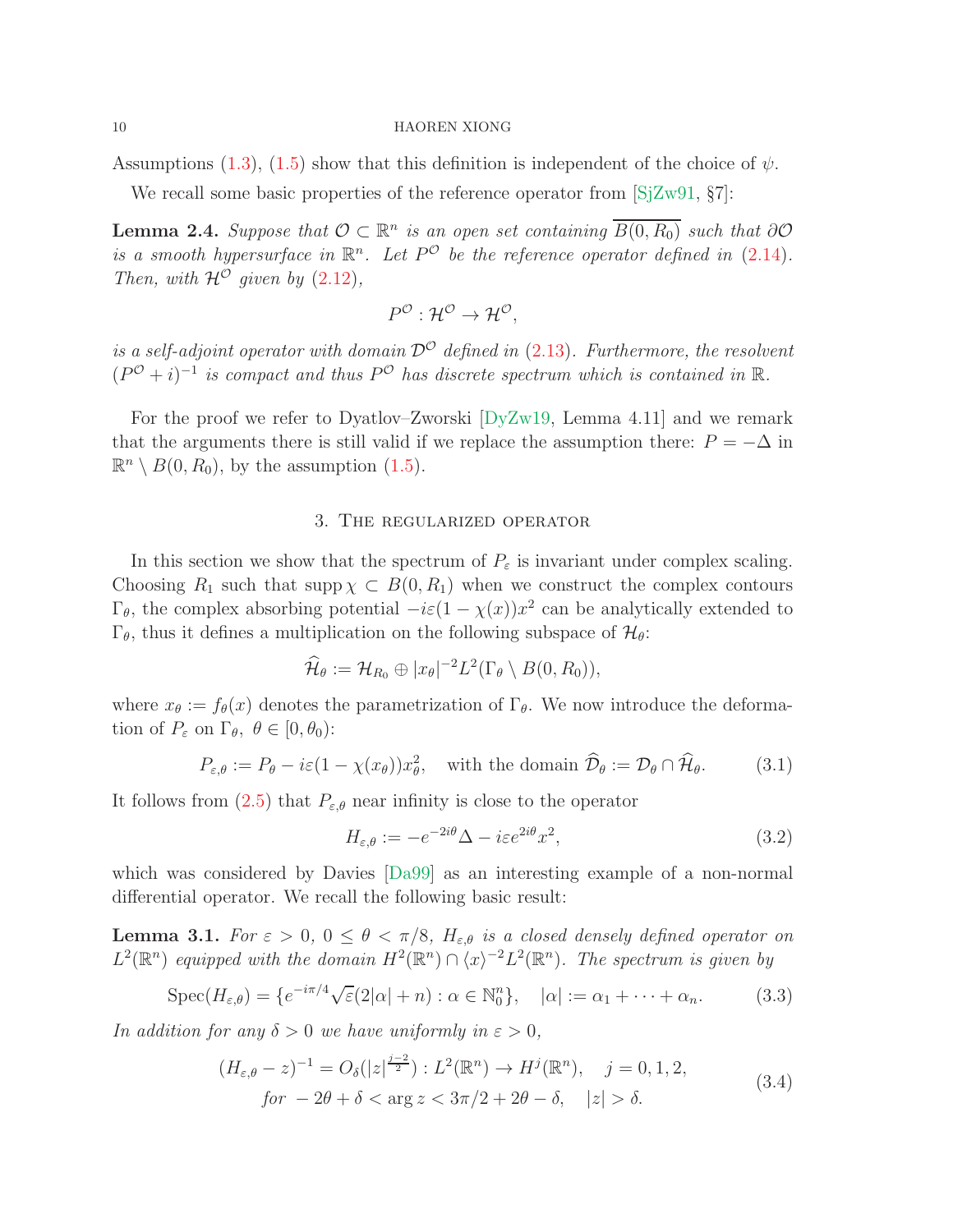Assumptions [\(1.3\)](#page-1-2), [\(1.5\)](#page-1-4) show that this definition is independent of the choice of  $\psi$ .

We recall some basic properties of the reference operator from  $[SZW91, \S7]$ :

<span id="page-9-4"></span>**Lemma 2.4.** Suppose that  $\mathcal{O} \subset \mathbb{R}^n$  is an open set containing  $\overline{B(0,R_0)}$  such that  $\partial \mathcal{O}$ is a smooth hypersurface in  $\mathbb{R}^n$ . Let  $P^{\mathcal{O}}$  be the reference operator defined in [\(2.14\)](#page-8-3). Then, with  $\mathcal{H}^{\mathcal{O}}$  given by  $(2.12)$ ,

$$
P^{\mathcal{O}}: \mathcal{H}^{\mathcal{O}} \to \mathcal{H}^{\mathcal{O}},
$$

is a self-adjoint operator with domain  $\mathcal{D}^{\mathcal{O}}$  defined in [\(2.13\)](#page-8-2). Furthermore, the resolvent  $(P^{\mathcal{O}}+i)^{-1}$  is compact and thus  $P^{\mathcal{O}}$  has discrete spectrum which is contained in  $\mathbb{R}$ .

<span id="page-9-0"></span>For the proof we refer to Dyatlov–Zworski [\[DyZw19,](#page-28-5) Lemma 4.11] and we remark that the arguments there is still valid if we replace the assumption there:  $P = -\Delta$  in  $\mathbb{R}^n \setminus B(0, R_0)$ , by the assumption [\(1.5\)](#page-1-4).

## 3. The regularized operator

In this section we show that the spectrum of  $P_{\varepsilon}$  is invariant under complex scaling. Choosing  $R_1$  such that supp  $\chi \subset B(0, R_1)$  when we construct the complex contours  $\Gamma_{\theta}$ , the complex absorbing potential  $-i\varepsilon(1-\chi(x))x^2$  can be analytically extended to  $\Gamma_{\theta}$ , thus it defines a multiplication on the following subspace of  $\mathcal{H}_{\theta}$ :

$$
\widehat{\mathcal{H}}_{\theta} := \mathcal{H}_{R_0} \oplus |x_{\theta}|^{-2} L^2(\Gamma_{\theta} \setminus B(0, R_0)),
$$

where  $x_{\theta} := f_{\theta}(x)$  denotes the parametrization of  $\Gamma_{\theta}$ . We now introduce the deformation of  $P_{\varepsilon}$  on  $\Gamma_{\theta}$ ,  $\theta \in [0, \theta_0)$ :

$$
P_{\varepsilon,\theta} := P_{\theta} - i\varepsilon (1 - \chi(x_{\theta})) x_{\theta}^2, \quad \text{with the domain } \widehat{\mathcal{D}}_{\theta} := \mathcal{D}_{\theta} \cap \widehat{\mathcal{H}}_{\theta}.
$$
 (3.1)

It follows from [\(2.5\)](#page-6-0) that  $P_{\varepsilon,\theta}$  near infinity is close to the operator

$$
H_{\varepsilon,\theta} := -e^{-2i\theta} \Delta - i\varepsilon e^{2i\theta} x^2,\tag{3.2}
$$

which was considered by Davies [\[Da99\]](#page-28-8) as an interesting example of a non-normal differential operator. We recall the following basic result:

<span id="page-9-3"></span>**Lemma 3.1.** For  $\varepsilon > 0$ ,  $0 \le \theta < \pi/8$ ,  $H_{\varepsilon,\theta}$  is a closed densely defined operator on  $L^2(\mathbb{R}^n)$  equipped with the domain  $H^2(\mathbb{R}^n) \cap \langle x \rangle^{-2} L^2(\mathbb{R}^n)$ . The spectrum is given by

<span id="page-9-1"></span>
$$
Spec(H_{\varepsilon,\theta}) = \{e^{-i\pi/4}\sqrt{\varepsilon}(2|\alpha|+n) : \alpha \in \mathbb{N}_0^n\}, \quad |\alpha| := \alpha_1 + \dots + \alpha_n. \tag{3.3}
$$

In addition for any  $\delta > 0$  we have uniformly in  $\varepsilon > 0$ ,

<span id="page-9-2"></span>
$$
(H_{\varepsilon,\theta} - z)^{-1} = O_{\delta}(|z|^{\frac{j-2}{2}}) : L^{2}(\mathbb{R}^{n}) \to H^{j}(\mathbb{R}^{n}), \quad j = 0, 1, 2,
$$
  
for  $-2\theta + \delta < \arg z < 3\pi/2 + 2\theta - \delta, \quad |z| > \delta.$  (3.4)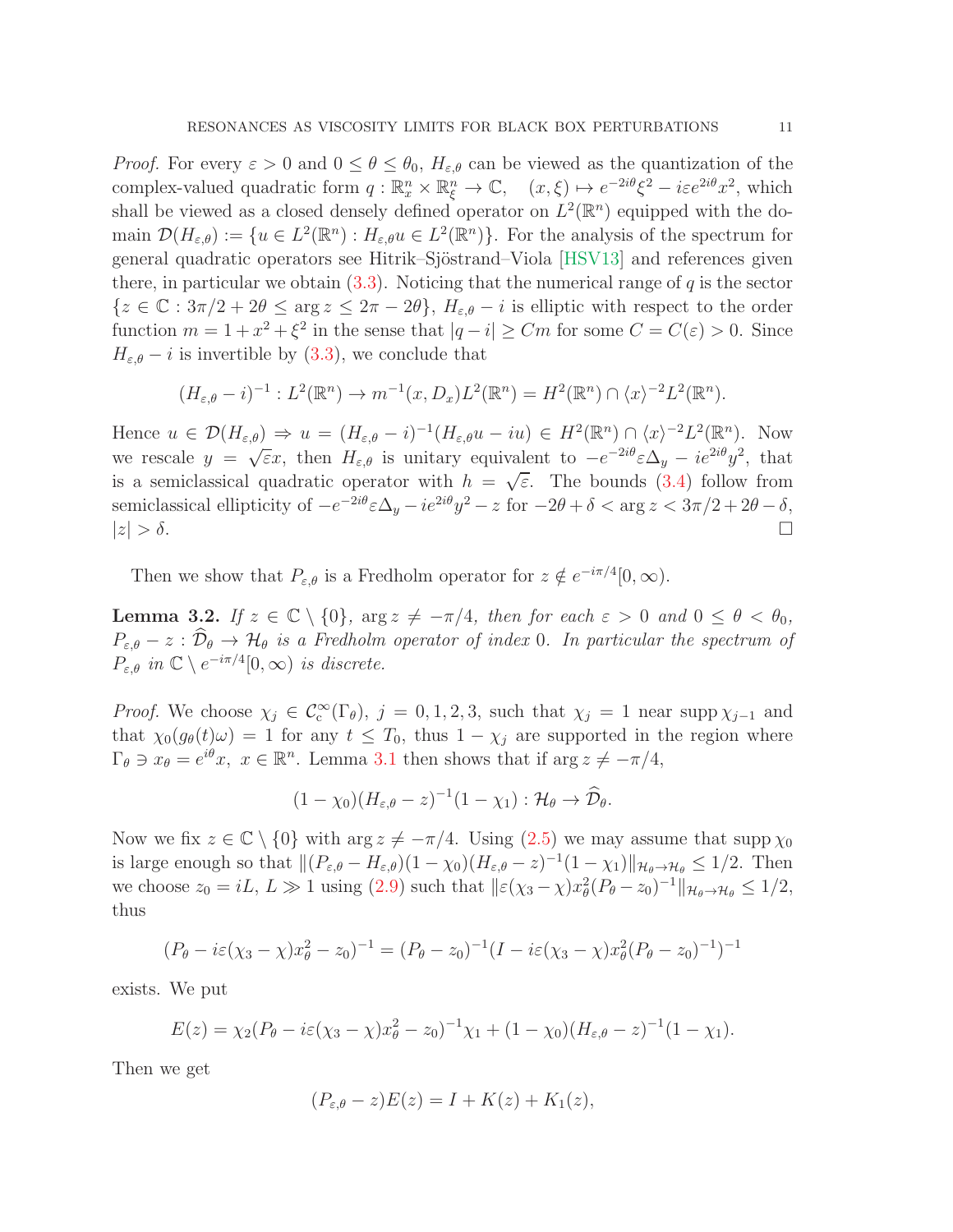*Proof.* For every  $\varepsilon > 0$  and  $0 \le \theta \le \theta_0$ ,  $H_{\varepsilon,\theta}$  can be viewed as the quantization of the complex-valued quadratic form  $q : \mathbb{R}_x^n \times \mathbb{R}_\xi^n \to \mathbb{C}$ ,  $(x, \xi) \mapsto e^{-2i\theta} \xi^2 - i\varepsilon e^{2i\theta} x^2$ , which shall be viewed as a closed densely defined operator on  $L^2(\mathbb{R}^n)$  equipped with the domain  $\mathcal{D}(H_{\varepsilon,\theta}) := \{u \in L^2(\mathbb{R}^n) : H_{\varepsilon,\theta}u \in L^2(\mathbb{R}^n)\}\.$  For the analysis of the spectrum for general quadratic operators see Hitrik–Sjöstrand–Viola [\[HSV13\]](#page-28-9) and references given there, in particular we obtain  $(3.3)$ . Noticing that the numerical range of q is the sector  ${z \in \mathbb{C} : 3\pi/2 + 2\theta \le \arg z \le 2\pi - 2\theta}, H_{\varepsilon,\theta} - i$  is elliptic with respect to the order function  $m = 1 + x^2 + \xi^2$  in the sense that  $|q - i| \geq Cm$  for some  $C = C(\varepsilon) > 0$ . Since  $H_{\varepsilon,\theta} - i$  is invertible by [\(3.3\)](#page-9-1), we conclude that

$$
(H_{\varepsilon,\theta}-i)^{-1}: L^2(\mathbb{R}^n) \to m^{-1}(x,D_x)L^2(\mathbb{R}^n) = H^2(\mathbb{R}^n) \cap \langle x \rangle^{-2}L^2(\mathbb{R}^n).
$$

Hence  $u \in \mathcal{D}(H_{\varepsilon,\theta}) \Rightarrow u = (H_{\varepsilon,\theta} - i)^{-1}(H_{\varepsilon,\theta}u - iu) \in H^2(\mathbb{R}^n) \cap \langle x \rangle^{-2}L^2(\mathbb{R}^n)$ . Now we rescale  $y = \sqrt{\varepsilon}x$ , then  $H_{\varepsilon,\theta}$  is unitary equivalent to  $-e^{-2i\theta}\varepsilon\Delta_y - ie^{2i\theta}y^2$ , that is a semiclassical quadratic operator with  $h = \sqrt{\varepsilon}$ . The bounds [\(3.4\)](#page-9-2) follow from semiclassical ellipticity of  $-e^{-2i\theta}\varepsilon\Delta_y - ie^{2i\theta}y^2 - z$  for  $-2\theta + \delta < \arg z < 3\pi/2 + 2\theta - \delta$ ,  $|z| > \delta$ .

Then we show that  $P_{\varepsilon,\theta}$  is a Fredholm operator for  $z \notin e^{-i\pi/4}[0,\infty)$ .

<span id="page-10-0"></span>**Lemma 3.2.** If  $z \in \mathbb{C} \setminus \{0\}$ ,  $\arg z \neq -\pi/4$ , then for each  $\varepsilon > 0$  and  $0 \leq \theta < \theta_0$ ,  $P_{\varepsilon,\theta} - z : \widehat{\mathcal{D}}_{\theta} \to \mathcal{H}_{\theta}$  is a Fredholm operator of index 0. In particular the spectrum of  $P_{\varepsilon,\theta}$  in  $\mathbb{C} \setminus e^{-i\pi/4}[0,\infty)$  is discrete.

*Proof.* We choose  $\chi_j \in C_c^{\infty}(\Gamma_{\theta})$ ,  $j = 0, 1, 2, 3$ , such that  $\chi_j = 1$  near supp  $\chi_{j-1}$  and that  $\chi_0(g_{\theta}(t)\omega) = 1$  for any  $t \leq T_0$ , thus  $1 - \chi_j$  are supported in the region where  $\Gamma_{\theta} \ni x_{\theta} = e^{i\theta}x, \ x \in \mathbb{R}^n$ . Lemma [3.1](#page-9-3) then shows that if  $\arg z \neq -\pi/4$ ,

$$
(1 - \chi_0)(H_{\varepsilon,\theta} - z)^{-1}(1 - \chi_1) : \mathcal{H}_{\theta} \to \widehat{\mathcal{D}}_{\theta}.
$$

Now we fix  $z \in \mathbb{C} \setminus \{0\}$  with  $\arg z \neq -\pi/4$ . Using  $(2.5)$  we may assume that supp  $\chi_0$ is large enough so that  $||(P_{\varepsilon,\theta} - H_{\varepsilon,\theta})(1 - \chi_0)(H_{\varepsilon,\theta} - z)^{-1}(1 - \chi_1)||_{\mathcal{H}_{\theta} \to \mathcal{H}_{\theta}} \leq 1/2$ . Then we choose  $z_0 = iL, L \gg 1$  using [\(2.9\)](#page-8-5) such that  $\|\varepsilon(\chi_3 - \chi)x_\theta^2(P_\theta - z_0)^{-1}\|_{\mathcal{H}_\theta \to \mathcal{H}_\theta} \leq 1/2$ , thus

$$
(P_{\theta} - i\varepsilon(\chi_3 - \chi)x_{\theta}^2 - z_0)^{-1} = (P_{\theta} - z_0)^{-1}(I - i\varepsilon(\chi_3 - \chi)x_{\theta}^2(P_{\theta} - z_0)^{-1})^{-1}
$$

exists. We put

$$
E(z) = \chi_2 (P_{\theta} - i\varepsilon(\chi_3 - \chi)x_{\theta}^2 - z_0)^{-1}\chi_1 + (1 - \chi_0)(H_{\varepsilon,\theta} - z)^{-1}(1 - \chi_1).
$$

Then we get

$$
(P_{\varepsilon,\theta}-z)E(z) = I + K(z) + K_1(z),
$$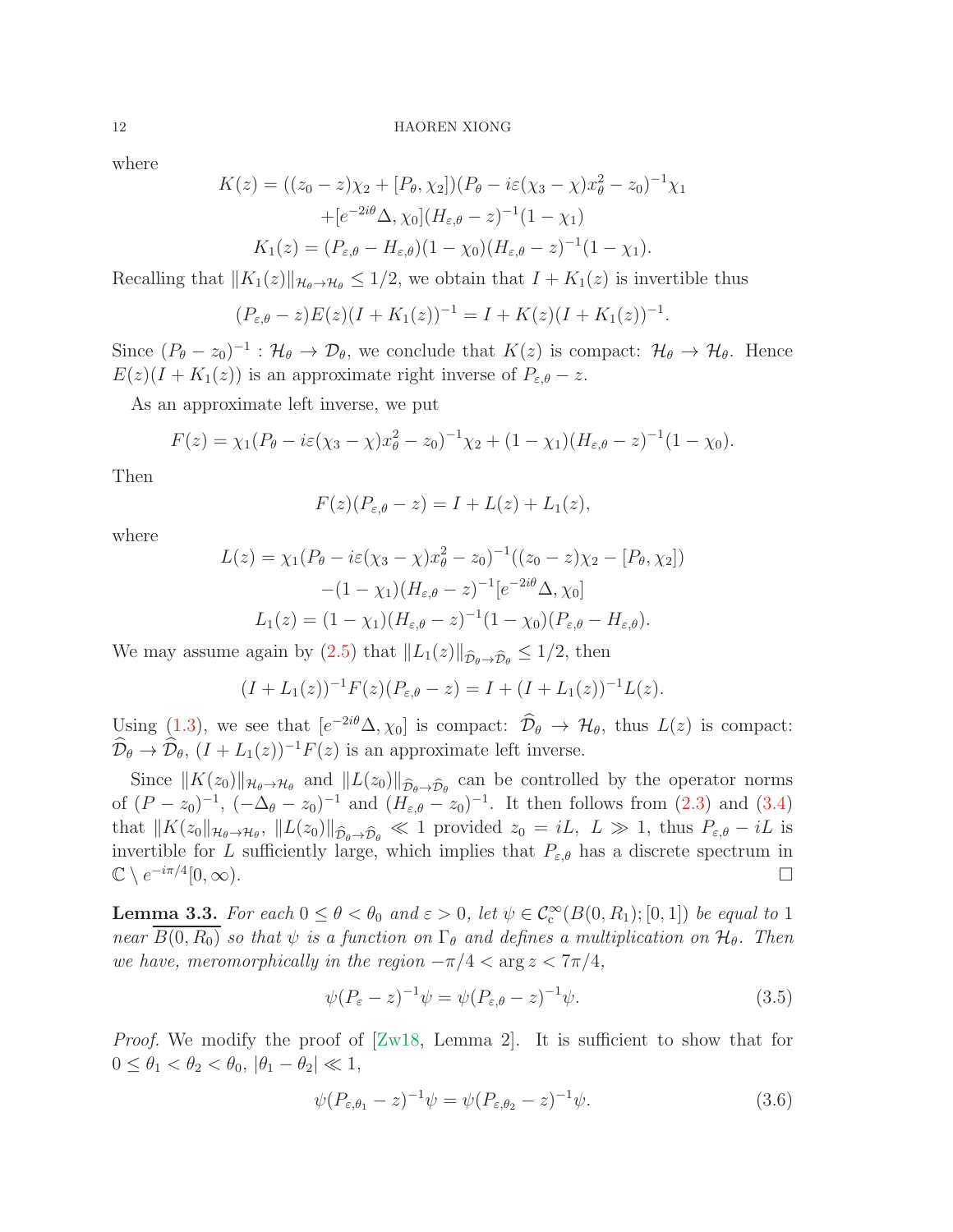where

$$
K(z) = ((z_0 - z)\chi_2 + [P_{\theta}, \chi_2])(P_{\theta} - i\varepsilon(\chi_3 - \chi)x_{\theta}^2 - z_0)^{-1}\chi_1
$$
  
+ 
$$
[e^{-2i\theta}\Delta, \chi_0](H_{\varepsilon, \theta} - z)^{-1}(1 - \chi_1)
$$
  

$$
K_1(z) = (P_{\varepsilon, \theta} - H_{\varepsilon, \theta})(1 - \chi_0)(H_{\varepsilon, \theta} - z)^{-1}(1 - \chi_1).
$$

Recalling that  $||K_1(z)||_{\mathcal{H}_{\theta}\to\mathcal{H}_{\theta}} \leq 1/2$ , we obtain that  $I + K_1(z)$  is invertible thus

$$
(P_{\varepsilon,\theta} - z)E(z)(I + K_1(z))^{-1} = I + K(z)(I + K_1(z))^{-1}
$$

.

Since  $(P_{\theta}-z_0)^{-1}$ :  $\mathcal{H}_{\theta} \to \mathcal{D}_{\theta}$ , we conclude that  $K(z)$  is compact:  $\mathcal{H}_{\theta} \to \mathcal{H}_{\theta}$ . Hence  $E(z)(I + K_1(z))$  is an approximate right inverse of  $P_{\varepsilon,\theta} - z$ .

As an approximate left inverse, we put

$$
F(z) = \chi_1 (P_{\theta} - i\varepsilon(\chi_3 - \chi)x_{\theta}^2 - z_0)^{-1} \chi_2 + (1 - \chi_1)(H_{\varepsilon, \theta} - z)^{-1} (1 - \chi_0).
$$

Then

$$
F(z)(P_{\varepsilon,\theta}-z)=I+L(z)+L_1(z),
$$

where

$$
L(z) = \chi_1 (P_{\theta} - i\varepsilon (\chi_3 - \chi)x_{\theta}^2 - z_0)^{-1} ((z_0 - z)\chi_2 - [P_{\theta}, \chi_2])
$$

$$
- (1 - \chi_1)(H_{\varepsilon, \theta} - z)^{-1} [e^{-2i\theta} \Delta, \chi_0]
$$

$$
L_1(z) = (1 - \chi_1)(H_{\varepsilon, \theta} - z)^{-1} (1 - \chi_0)(P_{\varepsilon, \theta} - H_{\varepsilon, \theta}).
$$

We may assume again by [\(2.5\)](#page-6-0) that  $||L_1(z)||_{\widehat{\mathcal{D}}_\theta \to \widehat{\mathcal{D}}_\theta} \leq 1/2$ , then

$$
(I + L_1(z))^{-1} F(z) (P_{\varepsilon, \theta} - z) = I + (I + L_1(z))^{-1} L(z).
$$

Using [\(1.3\)](#page-1-2), we see that  $[e^{-2i\theta}\Delta, \chi_0]$  is compact:  $\mathcal{D}_{\theta} \to \mathcal{H}_{\theta}$ , thus  $L(z)$  is compact:  $\widehat{\mathcal{D}}_{\theta} \to \widehat{\mathcal{D}}_{\theta}, (I + L_1(z))^{-1} F(z)$  is an approximate left inverse.

Since  $||K(z_0)||_{\mathcal{H}_{\theta}\to\mathcal{H}_{\theta}}$  and  $||L(z_0)||_{\widehat{\mathcal{D}}_{\theta}\to\widehat{\mathcal{D}}_{\theta}}$  can be controlled by the operator norms of  $(P - z_0)^{-1}$ ,  $(-\Delta_{\theta} - z_0)^{-1}$  and  $(H_{\varepsilon,\theta} - z_0)^{-1}$ . It then follows from  $(2.3)$  and  $(3.4)$ that  $||K(z_0||_{\mathcal{H}_{\theta}\to\mathcal{H}_{\theta}}, ||L(z_0)||_{\widehat{\mathcal{D}}_{\theta}\to\widehat{\mathcal{D}}_{\theta}} \ll 1$  provided  $z_0 = iL, L \gg 1$ , thus  $P_{\varepsilon,\theta} - iL$  is invertible for L sufficiently large, which implies that  $P_{\varepsilon,\theta}$  has a discrete spectrum in  $\mathbb{C} \setminus e^{-i\pi/4}$  $[0, \infty)$ .

<span id="page-11-0"></span>**Lemma 3.3.** For each  $0 \le \theta < \theta_0$  and  $\varepsilon > 0$ , let  $\psi \in C_c^{\infty}(B(0,R_1);[0,1])$  be equal to 1 near  $\overline{B(0, R_0)}$  so that  $\psi$  is a function on  $\Gamma_\theta$  and defines a multiplication on  $\mathcal{H}_\theta$ . Then we have, meromorphically in the region  $-\pi/4 < \arg z < 7\pi/4$ ,

$$
\psi(P_{\varepsilon} - z)^{-1} \psi = \psi(P_{\varepsilon,\theta} - z)^{-1} \psi.
$$
\n(3.5)

*Proof.* We modify the proof of  $[Zw18, \text{ Lemma 2}]$ . It is sufficient to show that for  $0 \le \theta_1 < \theta_2 < \theta_0, |\theta_1 - \theta_2| \ll 1,$ 

$$
\psi(P_{\varepsilon,\theta_1} - z)^{-1}\psi = \psi(P_{\varepsilon,\theta_2} - z)^{-1}\psi.
$$
\n(3.6)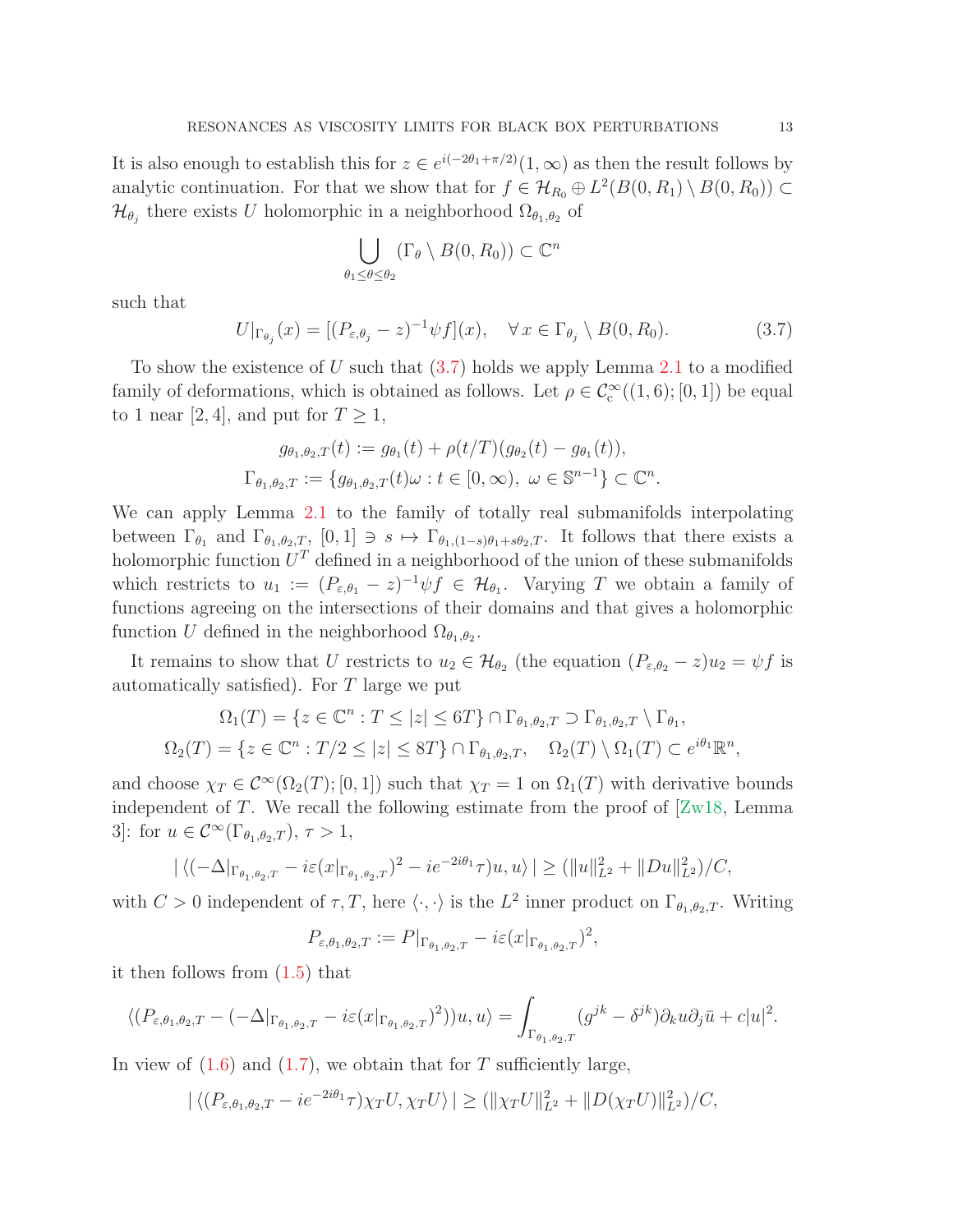It is also enough to establish this for  $z \in e^{i(-2\theta_1 + \pi/2)}(1, \infty)$  as then the result follows by analytic continuation. For that we show that for  $f \in \mathcal{H}_{R_0} \oplus L^2(B(0, R_1) \setminus B(0, R_0)) \subset$  $\mathcal{H}_{\theta_j}$  there exists U holomorphic in a neighborhood  $\Omega_{\theta_1,\theta_2}$  of

$$
\bigcup_{\theta_1 \le \theta \le \theta_2} (\Gamma_{\theta} \setminus B(0, R_0)) \subset \mathbb{C}^n
$$

such that

<span id="page-12-0"></span>
$$
U|_{\Gamma_{\theta_j}}(x) = [(P_{\varepsilon,\theta_j} - z)^{-1} \psi f](x), \quad \forall x \in \Gamma_{\theta_j} \setminus B(0,R_0).
$$
 (3.7)

To show the existence of U such that  $(3.7)$  holds we apply Lemma [2.1](#page-5-0) to a modified family of deformations, which is obtained as follows. Let  $\rho \in C_c^{\infty}((1,6);[0,1])$  be equal to 1 near [2, 4], and put for  $T \geq 1$ ,

$$
g_{\theta_1, \theta_2, T}(t) := g_{\theta_1}(t) + \rho(t/T)(g_{\theta_2}(t) - g_{\theta_1}(t)),
$$
  

$$
\Gamma_{\theta_1, \theta_2, T} := \{ g_{\theta_1, \theta_2, T}(t)\omega : t \in [0, \infty), \ \omega \in \mathbb{S}^{n-1} \} \subset \mathbb{C}^n.
$$

We can apply Lemma [2.1](#page-5-0) to the family of totally real submanifolds interpolating between  $\Gamma_{\theta_1}$  and  $\Gamma_{\theta_1,\theta_2,T}$ ,  $[0,1] \ni s \mapsto \Gamma_{\theta_1,(1-s)\theta_1+s\theta_2,T}$ . It follows that there exists a holomorphic function  $U^T$  defined in a neighborhood of the union of these submanifolds which restricts to  $u_1 := (P_{\varepsilon,\theta_1} - z)^{-1} \psi f \in \mathcal{H}_{\theta_1}$ . Varying T we obtain a family of functions agreeing on the intersections of their domains and that gives a holomorphic function U defined in the neighborhood  $\Omega_{\theta_1,\theta_2}$ .

It remains to show that U restricts to  $u_2 \in \mathcal{H}_{\theta_2}$  (the equation  $(P_{\varepsilon,\theta_2} - z)u_2 = \psi f$  is automatically satisfied). For T large we put

$$
\Omega_1(T) = \{ z \in \mathbb{C}^n : T \le |z| \le 6T \} \cap \Gamma_{\theta_1, \theta_2, T} \supset \Gamma_{\theta_1, \theta_2, T} \setminus \Gamma_{\theta_1},
$$
  

$$
\Omega_2(T) = \{ z \in \mathbb{C}^n : T/2 \le |z| \le 8T \} \cap \Gamma_{\theta_1, \theta_2, T}, \quad \Omega_2(T) \setminus \Omega_1(T) \subset e^{i\theta_1} \mathbb{R}^n,
$$

and choose  $\chi_T \in C^{\infty}(\Omega_2(T);[0,1])$  such that  $\chi_T = 1$  on  $\Omega_1(T)$  with derivative bounds independent of  $T$ . We recall the following estimate from the proof of  $\left[ \text{Zw18}, \text{ Lemma} \right]$ 3]: for  $u \in C^{\infty}(\Gamma_{\theta_1,\theta_2,T}), \tau > 1$ ,

$$
|\langle (-\Delta|_{\Gamma_{\theta_1,\theta_2,T}} - i\varepsilon(x|_{\Gamma_{\theta_1,\theta_2,T}})^2 - ie^{-2i\theta_1}\tau)u,u\rangle| \geq (||u||_{L^2}^2 + ||Du||_{L^2}^2)/C,
$$

with  $C > 0$  independent of  $\tau, T$ , here  $\langle \cdot, \cdot \rangle$  is the  $L^2$  inner product on  $\Gamma_{\theta_1, \theta_2, T}$ . Writing

$$
P_{\varepsilon,\theta_1,\theta_2,T} := P|_{\Gamma_{\theta_1,\theta_2,T}} - i\varepsilon (x|_{\Gamma_{\theta_1,\theta_2,T}})^2,
$$

it then follows from [\(1.5\)](#page-1-4) that

$$
\langle (P_{\varepsilon,\theta_1,\theta_2,T} - (-\Delta|_{\Gamma_{\theta_1,\theta_2,T}} - i\varepsilon(x|_{\Gamma_{\theta_1,\theta_2,T}})^2))u,u\rangle = \int_{\Gamma_{\theta_1,\theta_2,T}} (g^{jk} - \delta^{jk})\partial_k u \partial_j \bar{u} + c|u|^2.
$$

In view of  $(1.6)$  and  $(1.7)$ , we obtain that for T sufficiently large,

$$
|\langle (P_{\varepsilon,\theta_1,\theta_2,T} - ie^{-2i\theta_1}\tau)\chi_T U, \chi_T U \rangle| \ge (\|\chi_T U\|_{L^2}^2 + \|D(\chi_T U)\|_{L^2}^2)/C,
$$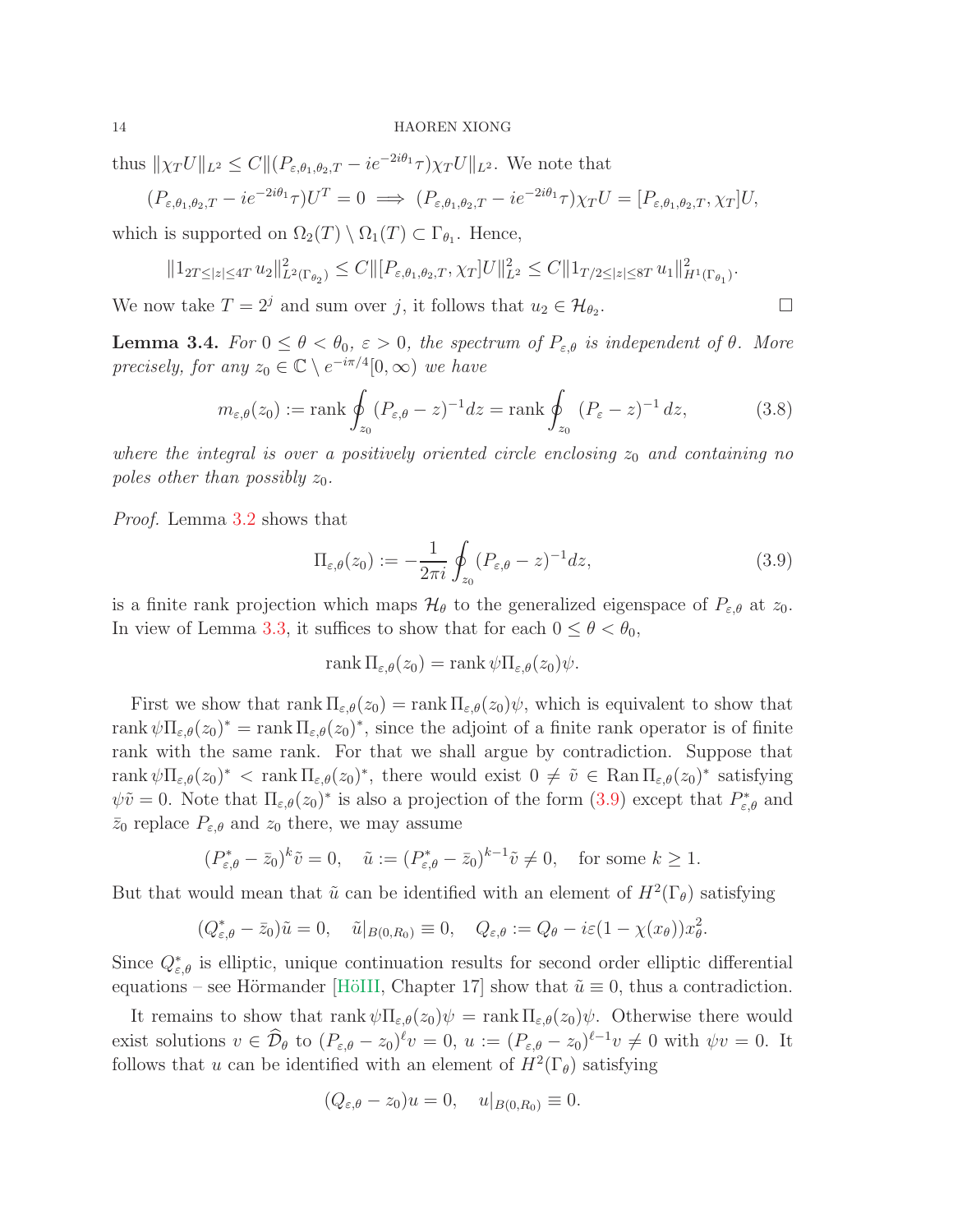thus  $\|\chi_T U\|_{L^2} \leq C \|(P_{\varepsilon,\theta_1,\theta_2,T} - i e^{-2i\theta_1}\tau)\chi_T U\|_{L^2}$ . We note that

$$
(P_{\varepsilon,\theta_1,\theta_2,T} - ie^{-2i\theta_1}\tau)U^T = 0 \implies (P_{\varepsilon,\theta_1,\theta_2,T} - ie^{-2i\theta_1}\tau)\chi_T U = [P_{\varepsilon,\theta_1,\theta_2,T},\chi_T]U,
$$

which is supported on  $\Omega_2(T) \setminus \Omega_1(T) \subset \Gamma_{\theta_1}$ . Hence,

$$
||1_{2T \leq |z| \leq 4T} u_2||_{L^2(\Gamma_{\theta_2})}^2 \leq C ||[P_{\varepsilon,\theta_1,\theta_2,T}, \chi_T]U||_{L^2}^2 \leq C ||1_{T/2 \leq |z| \leq 8T} u_1||_{H^1(\Gamma_{\theta_1})}^2.
$$

We now take  $T = 2<sup>j</sup>$  and sum over j, it follows that  $u_2 \in \mathcal{H}_{\theta_2}$ . — Пример, пример, пример, пример, пример, пример, пример, пример, пример, пример, пример, пример, пример, пр<br>В стала и пример, пример, пример, пример, пример, пример, пример, пример, пример, пример, пример, пример, прим

<span id="page-13-2"></span>**Lemma 3.4.** For  $0 \le \theta < \theta_0$ ,  $\varepsilon > 0$ , the spectrum of  $P_{\varepsilon,\theta}$  is independent of  $\theta$ . More precisely, for any  $z_0 \in \mathbb{C} \setminus e^{-i\pi/4}[0, \infty)$  we have

<span id="page-13-1"></span>
$$
m_{\varepsilon,\theta}(z_0) := \text{rank} \oint_{z_0} (P_{\varepsilon,\theta} - z)^{-1} dz = \text{rank} \oint_{z_0} (P_{\varepsilon} - z)^{-1} dz,
$$
 (3.8)

where the integral is over a positively oriented circle enclosing  $z_0$  and containing no poles other than possibly  $z_0$ .

Proof. Lemma [3.2](#page-10-0) shows that

<span id="page-13-0"></span>
$$
\Pi_{\varepsilon,\theta}(z_0) := -\frac{1}{2\pi i} \oint_{z_0} (P_{\varepsilon,\theta} - z)^{-1} dz,
$$
\n(3.9)

is a finite rank projection which maps  $\mathcal{H}_{\theta}$  to the generalized eigenspace of  $P_{\varepsilon,\theta}$  at  $z_0$ . In view of Lemma [3.3,](#page-11-0) it suffices to show that for each  $0 \le \theta < \theta_0$ ,

$$
rank \Pi_{\varepsilon,\theta}(z_0) = rank \psi \Pi_{\varepsilon,\theta}(z_0) \psi.
$$

First we show that rank  $\Pi_{\varepsilon,\theta}(z_0) = \text{rank } \Pi_{\varepsilon,\theta}(z_0)\psi$ , which is equivalent to show that rank  $\psi \Pi_{\varepsilon,\theta}(z_0)^* = \text{rank } \Pi_{\varepsilon,\theta}(z_0)^*$ , since the adjoint of a finite rank operator is of finite rank with the same rank. For that we shall argue by contradiction. Suppose that rank  $\psi \Pi_{\varepsilon,\theta}(z_0)^* < \text{rank } \Pi_{\varepsilon,\theta}(z_0)^*$ , there would exist  $0 \neq \tilde{v} \in \text{Ran } \Pi_{\varepsilon,\theta}(z_0)^*$  satisfying  $\psi\tilde{v} = 0$ . Note that  $\Pi_{\varepsilon,\theta}(z_0)^*$  is also a projection of the form  $(3.9)$  except that  $P^*_{\varepsilon,\theta}$  and  $\bar{z}_0$  replace  $P_{\varepsilon,\theta}$  and  $z_0$  there, we may assume

$$
(P_{\varepsilon,\theta}^* - \bar{z}_0)^k \tilde{v} = 0, \quad \tilde{u} := (P_{\varepsilon,\theta}^* - \bar{z}_0)^{k-1} \tilde{v} \neq 0, \quad \text{for some } k \ge 1.
$$

But that would mean that  $\tilde{u}$  can be identified with an element of  $H^2(\Gamma_\theta)$  satisfying

$$
(Q_{\varepsilon,\theta}^* - \bar{z}_0)\tilde{u} = 0, \quad \tilde{u}|_{B(0,R_0)} \equiv 0, \quad Q_{\varepsilon,\theta} := Q_\theta - i\varepsilon(1 - \chi(x_\theta))x_\theta^2.
$$

Since  $Q_{\varepsilon,\theta}^*$  is elliptic, unique continuation results for second order elliptic differential equations – see Hörmander [HöIII, Chapter 17] show that  $\tilde{u} \equiv 0$ , thus a contradiction.

It remains to show that  $\text{rank } \psi \Pi_{\varepsilon,\theta}(z_0)\psi = \text{rank } \Pi_{\varepsilon,\theta}(z_0)\psi$ . Otherwise there would exist solutions  $v \in \mathcal{D}_{\theta}$  to  $(P_{\varepsilon,\theta} - z_0)^{\ell}v = 0$ ,  $u := (P_{\varepsilon,\theta} - z_0)^{\ell-1}v \neq 0$  with  $\psi v = 0$ . It follows that u can be identified with an element of  $H^2(\Gamma_\theta)$  satisfying

$$
(Q_{\varepsilon,\theta}-z_0)u=0, \quad u|_{B(0,R_0)}\equiv 0.
$$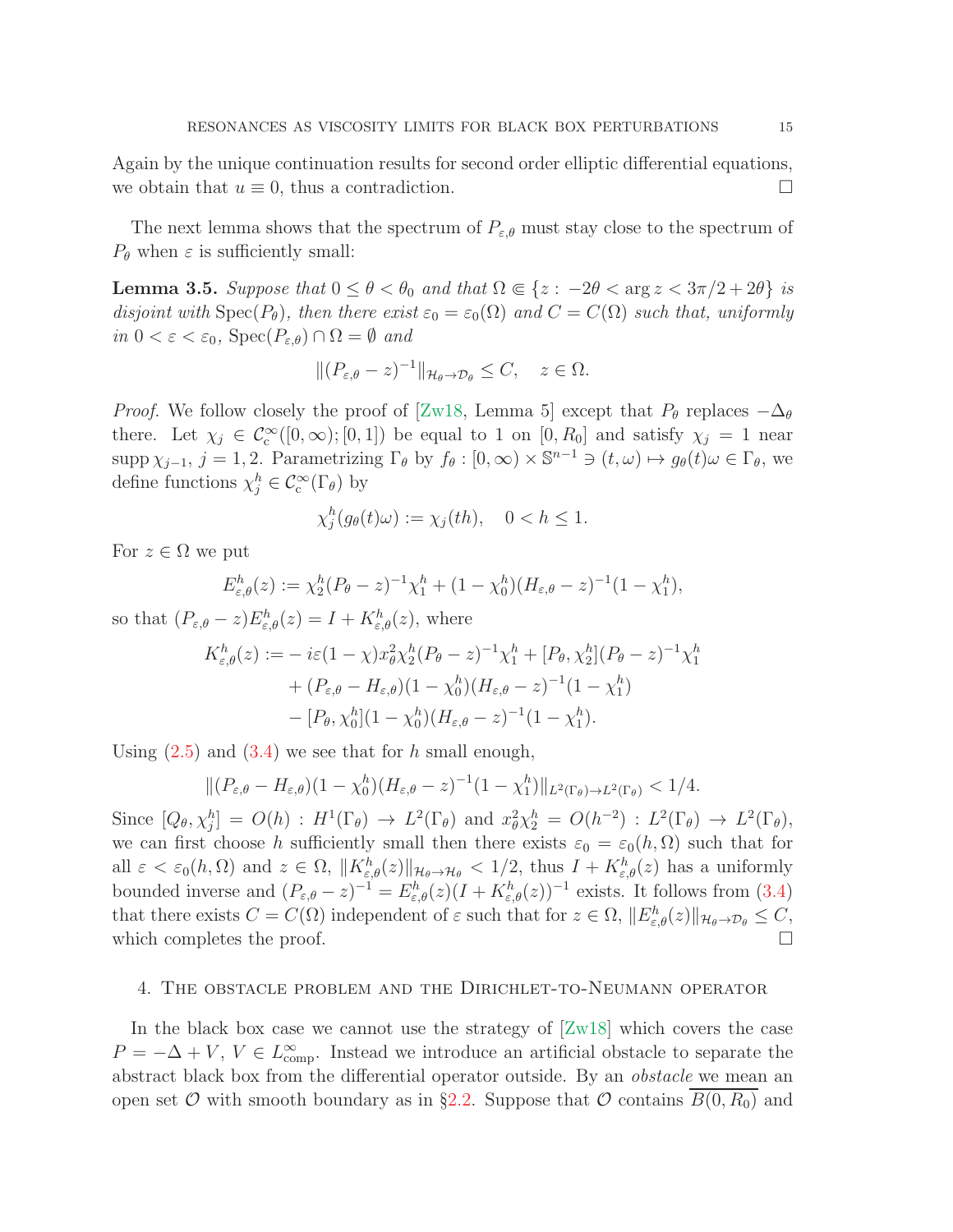Again by the unique continuation results for second order elliptic differential equations, we obtain that  $u \equiv 0$ , thus a contradiction.

The next lemma shows that the spectrum of  $P_{\varepsilon,\theta}$  must stay close to the spectrum of  $P_{\theta}$  when  $\varepsilon$  is sufficiently small:

<span id="page-14-1"></span>**Lemma 3.5.** Suppose that  $0 \le \theta < \theta_0$  and that  $\Omega \in \{z : -2\theta < \arg z < 3\pi/2 + 2\theta\}$  is disjoint with  $Spec(P_{\theta})$ , then there exist  $\varepsilon_0 = \varepsilon_0(\Omega)$  and  $C = C(\Omega)$  such that, uniformly in  $0 < \varepsilon < \varepsilon_0$ ,  $Spec(P_{\varepsilon,\theta}) \cap \Omega = \emptyset$  and

$$
\|(P_{\varepsilon,\theta}-z)^{-1}\|_{\mathcal{H}_{\theta}\to\mathcal{D}_{\theta}}\leq C, \quad z\in\Omega.
$$

*Proof.* We follow closely the proof of [\[Zw18,](#page-29-3) Lemma 5] except that  $P_{\theta}$  replaces  $-\Delta_{\theta}$ there. Let  $\chi_j \in C_c^{\infty}([0,\infty);[0,1])$  be equal to 1 on  $[0,R_0]$  and satisfy  $\chi_j = 1$  near supp  $\chi_{j-1}, j = 1, 2$ . Parametrizing  $\Gamma_{\theta}$  by  $f_{\theta} : [0, \infty) \times \mathbb{S}^{n-1} \ni (t, \omega) \mapsto g_{\theta}(t) \omega \in \Gamma_{\theta}$ , we define functions  $\chi_j^h \in \mathcal{C}^{\infty}_c(\Gamma_\theta)$  by

$$
\chi_j^h(g_\theta(t)\omega) := \chi_j(th), \quad 0 < h \le 1.
$$

For  $z \in \Omega$  we put

$$
E_{\varepsilon,\theta}^h(z) := \chi_2^h (P_{\theta} - z)^{-1} \chi_1^h + (1 - \chi_0^h)(H_{\varepsilon,\theta} - z)^{-1} (1 - \chi_1^h),
$$

so that  $(P_{\varepsilon,\theta}-z)E_{\varepsilon,\theta}^h(z)=I+K_{\varepsilon,\theta}^h(z)$ , where

$$
K_{\varepsilon,\theta}^{h}(z) := -i\varepsilon (1-\chi)x_{\theta}^{2}\chi_{2}^{h}(P_{\theta}-z)^{-1}\chi_{1}^{h} + [P_{\theta},\chi_{2}^{h}](P_{\theta}-z)^{-1}\chi_{1}^{h} + (P_{\varepsilon,\theta}-H_{\varepsilon,\theta})(1-\chi_{0}^{h})(H_{\varepsilon,\theta}-z)^{-1}(1-\chi_{1}^{h}) - [P_{\theta},\chi_{0}^{h}](1-\chi_{0}^{h})(H_{\varepsilon,\theta}-z)^{-1}(1-\chi_{1}^{h}).
$$

Using  $(2.5)$  and  $(3.4)$  we see that for h small enough,

$$
\|(P_{\varepsilon,\theta}-H_{\varepsilon,\theta})(1-\chi_0^h)(H_{\varepsilon,\theta}-z)^{-1}(1-\chi_1^h)\|_{L^2(\Gamma_\theta)\to L^2(\Gamma_\theta)}<1/4.
$$

Since  $[Q_\theta, \chi_j^h] = O(h) : H^1(\Gamma_\theta) \to L^2(\Gamma_\theta)$  and  $x_\theta^2 \chi_2^h = O(h^{-2}) : L^2(\Gamma_\theta) \to L^2(\Gamma_\theta)$ , we can first choose h sufficiently small then there exists  $\varepsilon_0 = \varepsilon_0(h, \Omega)$  such that for all  $\varepsilon < \varepsilon_0(h, \Omega)$  and  $z \in \Omega$ ,  $||K_{\varepsilon,\theta}^h(z)||_{\mathcal{H}_{\theta}\to\mathcal{H}_{\theta}} < 1/2$ , thus  $I + K_{\varepsilon,\theta}^h(z)$  has a uniformly bounded inverse and  $(P_{\varepsilon,\theta}-z)^{-1}=E_{\varepsilon,\theta}^h(z)(I+K_{\varepsilon,\theta}^h(z))^{-1}$  exists. It follows from [\(3.4\)](#page-9-2) that there exists  $C = C(\Omega)$  independent of  $\varepsilon$  such that for  $z \in \Omega$ ,  $||E_{\varepsilon,\theta}^h(z)||_{\mathcal{H}_{\theta}\to\mathcal{D}_{\theta}} \leq C$ , which completes the proof.  $\Box$ 

#### <span id="page-14-0"></span>4. The obstacle problem and the Dirichlet-to-Neumann operator

In the black box case we cannot use the strategy of  $[Zw18]$  which covers the case  $P = -\Delta + V$ ,  $V \in L^{\infty}_{\text{comp}}$ . Instead we introduce an artificial obstacle to separate the abstract black box from the differential operator outside. By an obstacle we mean an open set  $\mathcal O$  with smooth boundary as in §[2.2.](#page-8-0) Suppose that  $\mathcal O$  contains  $B(0, R_0)$  and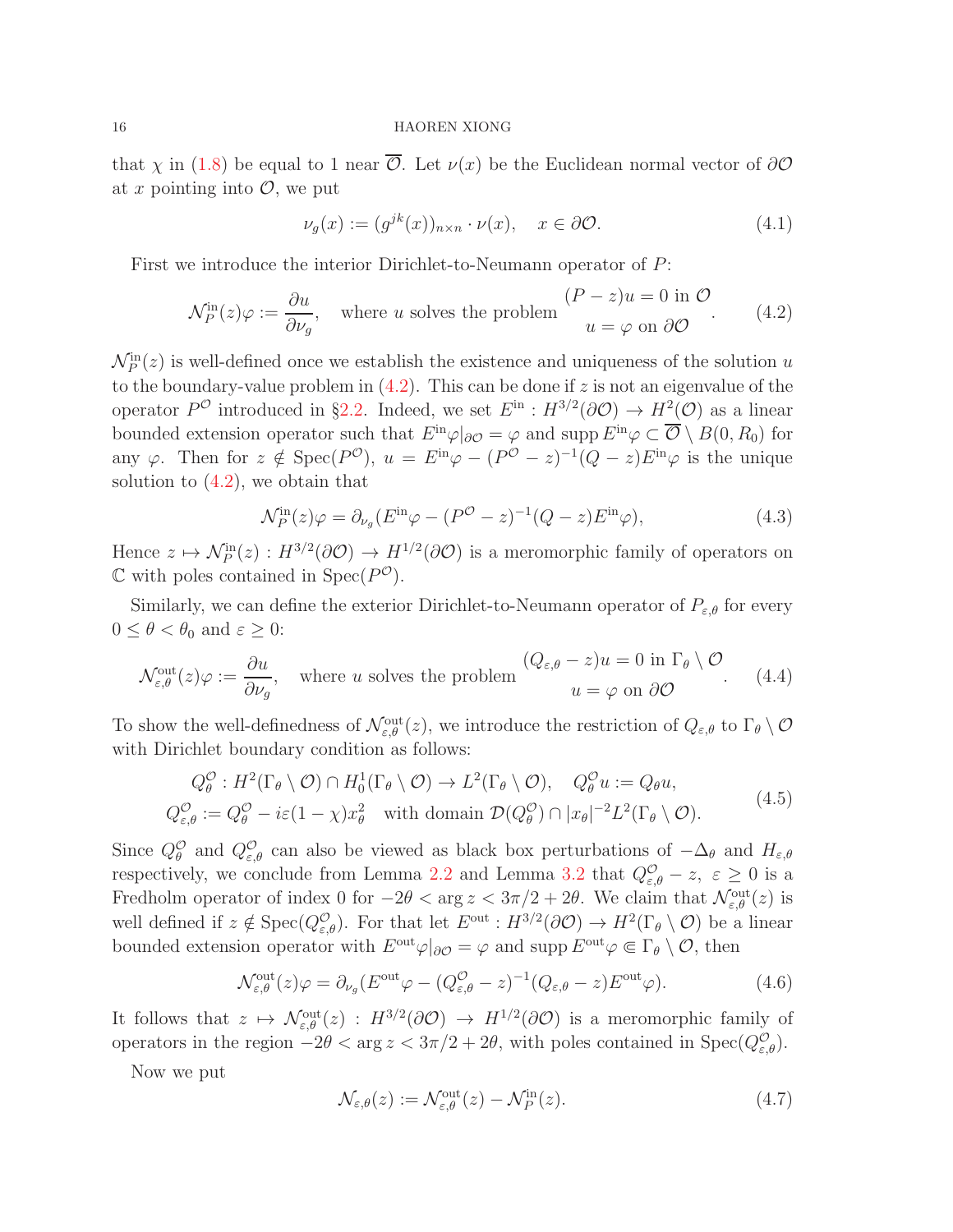that  $\chi$  in [\(1.8\)](#page-1-5) be equal to 1 near  $\overline{\mathcal{O}}$ . Let  $\nu(x)$  be the Euclidean normal vector of  $\partial\mathcal{O}$ at x pointing into  $\mathcal{O}$ , we put

$$
\nu_g(x) := (g^{jk}(x))_{n \times n} \cdot \nu(x), \quad x \in \partial \mathcal{O}.
$$
 (4.1)

First we introduce the interior Dirichlet-to-Neumann operator of P:

<span id="page-15-0"></span>
$$
\mathcal{N}_P^{\text{in}}(z)\varphi := \frac{\partial u}{\partial \nu_g}, \quad \text{where } u \text{ solves the problem} \quad \begin{array}{c} (P-z)u = 0 \text{ in } \mathcal{O} \\ u = \varphi \text{ on } \partial \mathcal{O} \end{array} \tag{4.2}
$$

 $\mathcal{N}_P^{\text{in}}(z)$  is well-defined once we establish the existence and uniqueness of the solution u to the boundary-value problem in  $(4.2)$ . This can be done if z is not an eigenvalue of the operator  $P^{\mathcal{O}}$  introduced in §[2.2.](#page-8-0) Indeed, we set  $E^{in}: H^{3/2}(\partial \mathcal{O}) \to H^2(\mathcal{O})$  as a linear bounded extension operator such that  $E^{in}\varphi|_{\partial\mathcal{O}}=\varphi$  and supp  $E^{in}\varphi\subset\overline{\mathcal{O}}\setminus B(0,R_0)$  for any  $\varphi$ . Then for  $z \notin \text{Spec}(P^{\mathcal{O}}), u = E^{\text{in}}\varphi - (P^{\mathcal{O}} - z)^{-1}(Q - z)E^{\text{in}}\varphi$  is the unique solution to  $(4.2)$ , we obtain that

<span id="page-15-4"></span>
$$
\mathcal{N}_P^{\text{in}}(z)\varphi = \partial_{\nu_g}(E^{\text{in}}\varphi - (P^{\mathcal{O}} - z)^{-1}(Q - z)E^{\text{in}}\varphi),\tag{4.3}
$$

Hence  $z \mapsto \mathcal{N}_P^{\text{in}}(z) : H^{3/2}(\partial \mathcal{O}) \to H^{1/2}(\partial \mathcal{O})$  is a meromorphic family of operators on  $\mathbb C$  with poles contained in  $Spec(P^{\mathcal O})$ .

Similarly, we can define the exterior Dirichlet-to-Neumann operator of  $P_{\varepsilon,\theta}$  for every  $0 \leq \theta < \theta_0$  and  $\varepsilon \geq 0$ :

<span id="page-15-1"></span>
$$
\mathcal{N}_{\varepsilon,\theta}^{\text{out}}(z)\varphi := \frac{\partial u}{\partial \nu_g}, \quad \text{where } u \text{ solves the problem} \quad \begin{array}{c} (Q_{\varepsilon,\theta} - z)u = 0 \text{ in } \Gamma_{\theta} \setminus \mathcal{O} \\ u = \varphi \text{ on } \partial \mathcal{O} \end{array} \tag{4.4}
$$

To show the well-definedness of  $\mathcal{N}_{\varepsilon,\theta}^{\text{out}}(z)$ , we introduce the restriction of  $Q_{\varepsilon,\theta}$  to  $\Gamma_{\theta}\setminus\mathcal{O}$ with Dirichlet boundary condition as follows:

<span id="page-15-5"></span>
$$
Q_{\theta}^{\mathcal{O}} : H^2(\Gamma_{\theta} \setminus \mathcal{O}) \cap H_0^1(\Gamma_{\theta} \setminus \mathcal{O}) \to L^2(\Gamma_{\theta} \setminus \mathcal{O}), \quad Q_{\theta}^{\mathcal{O}} u := Q_{\theta} u,
$$
  
\n
$$
Q_{\varepsilon,\theta}^{\mathcal{O}} := Q_{\theta}^{\mathcal{O}} - i\varepsilon (1 - \chi)x_{\theta}^2 \quad \text{with domain } \mathcal{D}(Q_{\theta}^{\mathcal{O}}) \cap |x_{\theta}|^{-2} L^2(\Gamma_{\theta} \setminus \mathcal{O}). \tag{4.5}
$$

Since  $Q_{\theta}^{\mathcal{O}}$  and  $Q_{\varepsilon,\theta}^{\mathcal{O}}$  can also be viewed as black box perturbations of  $-\Delta_{\theta}$  and  $H_{\varepsilon,\theta}$ respectively, we conclude from Lemma [2.2](#page-7-2) and Lemma [3.2](#page-10-0) that  $Q_{\varepsilon,\theta}^{\mathcal{O}} - z$ ,  $\varepsilon \geq 0$  is a Fredholm operator of index 0 for  $-2\theta < \arg z < 3\pi/2 + 2\theta$ . We claim that  $\mathcal{N}_{\varepsilon,\theta}^{\text{out}}(z)$  is well defined if  $z \notin \text{Spec}(Q^{\mathcal{O}}_{\varepsilon,\theta})$ . For that let  $E^{\text{out}} : H^{3/2}(\partial \mathcal{O}) \to H^2(\Gamma_{\theta} \setminus \mathcal{O})$  be a linear bounded extension operator with  $E^{\text{out}}\varphi|_{\partial\mathcal{O}}=\varphi$  and supp  $E^{\text{out}}\varphi\Subset\Gamma_{\theta}\setminus\mathcal{O}$ , then

<span id="page-15-2"></span>
$$
\mathcal{N}_{\varepsilon,\theta}^{\text{out}}(z)\varphi = \partial_{\nu_g}(E^{\text{out}}\varphi - (Q_{\varepsilon,\theta}^{\mathcal{O}} - z)^{-1}(Q_{\varepsilon,\theta} - z)E^{\text{out}}\varphi).
$$
(4.6)

It follows that  $z \mapsto \mathcal{N}_{\varepsilon,\theta}^{\text{out}}(z) : H^{3/2}(\partial \mathcal{O}) \to H^{1/2}(\partial \mathcal{O})$  is a meromorphic family of operators in the region  $-2\theta < \arg z < 3\pi/2 + 2\theta$ , with poles contained in  $Spec(Q_{\varepsilon,\theta}^{\mathcal{O}})$ .

Now we put

<span id="page-15-3"></span>
$$
\mathcal{N}_{\varepsilon,\theta}(z) := \mathcal{N}_{\varepsilon,\theta}^{\text{out}}(z) - \mathcal{N}_P^{\text{in}}(z). \tag{4.7}
$$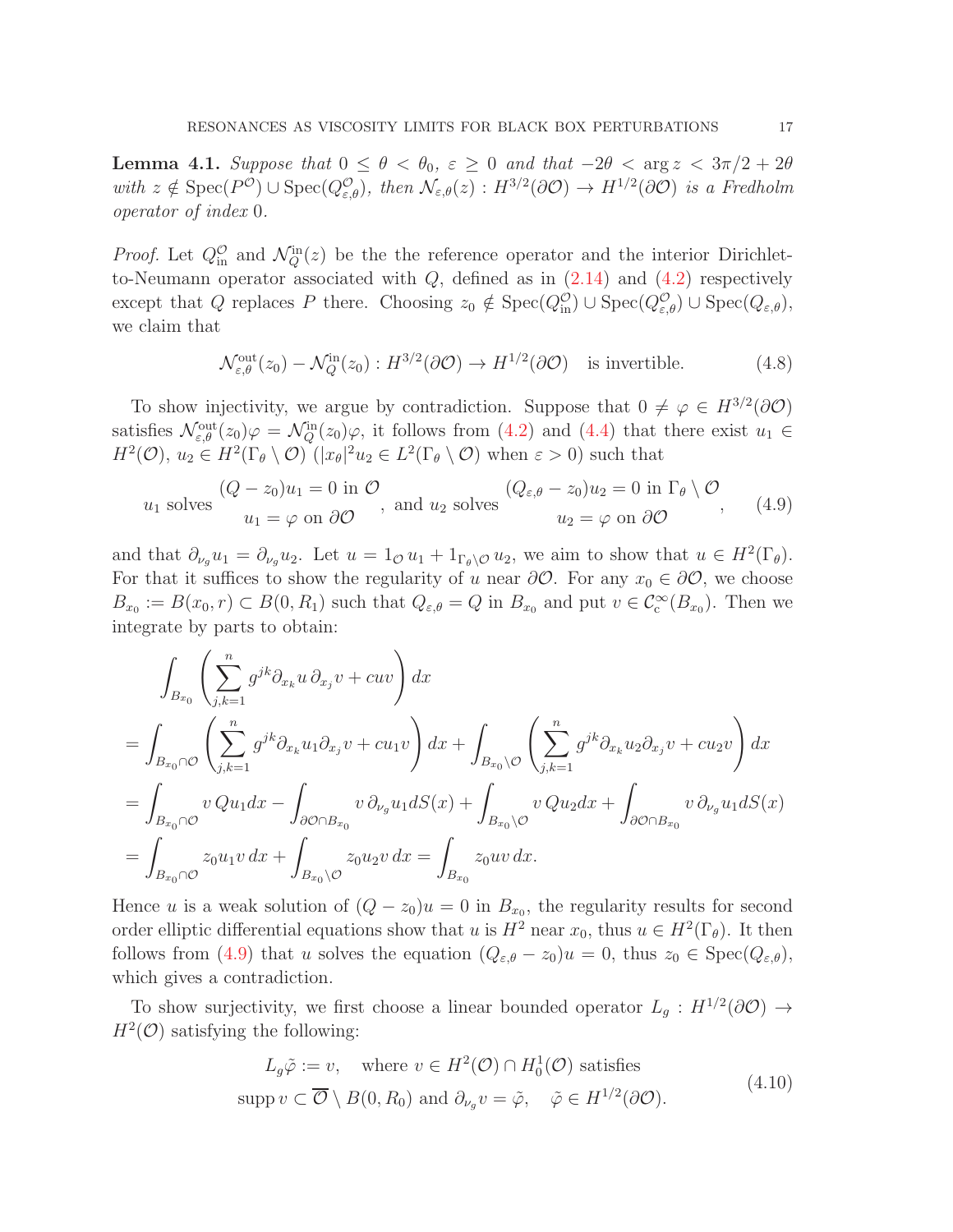<span id="page-16-2"></span>**Lemma 4.1.** Suppose that  $0 \le \theta < \theta_0$ ,  $\varepsilon \ge 0$  and that  $-2\theta < \arg z < 3\pi/2 + 2\theta$ with  $z \notin \text{Spec}(P^{\mathcal{O}}) \cup \text{Spec}(Q^{\mathcal{O}}_{\varepsilon,\theta}), \text{ then } \mathcal{N}_{\varepsilon,\theta}(z) : H^{3/2}(\partial \mathcal{O}) \to H^{1/2}(\partial \mathcal{O}) \text{ is a Fredholm}$ operator of index 0.

*Proof.* Let  $Q_{\text{in}}^{\mathcal{O}}$  and  $\mathcal{N}_Q^{\text{in}}(z)$  be the reference operator and the interior Dirichletto-Neumann operator associated with  $Q$ , defined as in  $(2.14)$  and  $(4.2)$  respectively except that Q replaces P there. Choosing  $z_0 \notin \text{Spec}(Q_{\text{in}}^{\mathcal{O}}) \cup \text{Spec}(Q_{\varepsilon,\theta}^{\mathcal{O}}) \cup \text{Spec}(Q_{\varepsilon,\theta}),$ we claim that

<span id="page-16-1"></span>
$$
\mathcal{N}_{\varepsilon,\theta}^{\text{out}}(z_0) - \mathcal{N}_Q^{\text{in}}(z_0) : H^{3/2}(\partial \mathcal{O}) \to H^{1/2}(\partial \mathcal{O}) \quad \text{is invertible.} \tag{4.8}
$$

To show injectivity, we argue by contradiction. Suppose that  $0 \neq \varphi \in H^{3/2}(\partial \mathcal{O})$ satisfies  $\mathcal{N}_{\varepsilon,\theta}^{\text{out}}(z_0)\varphi = \mathcal{N}_Q^{\text{in}}(z_0)\varphi$ , it follows from [\(4.2\)](#page-15-0) and [\(4.4\)](#page-15-1) that there exist  $u_1 \in$  $H^2(\mathcal{O}), u_2 \in H^2(\Gamma_\theta \setminus \mathcal{O})$   $(|x_\theta|^2 u_2 \in L^2(\Gamma_\theta \setminus \mathcal{O})$  when  $\varepsilon > 0$ ) such that

<span id="page-16-0"></span>
$$
u_1 \text{ solves } \begin{aligned} (Q - z_0)u_1 &= 0 \text{ in } \mathcal{O} \\ u_1 &= \varphi \text{ on } \partial \mathcal{O} \end{aligned} \text{, and } u_2 \text{ solves } \begin{aligned} (Q_{\varepsilon,\theta} - z_0)u_2 &= 0 \text{ in } \Gamma_\theta \setminus \mathcal{O} \\ u_2 &= \varphi \text{ on } \partial \mathcal{O} \end{aligned} \tag{4.9}
$$

and that  $\partial_{\nu_g} u_1 = \partial_{\nu_g} u_2$ . Let  $u = 1_{\mathcal{O}} u_1 + 1_{\Gamma_\theta \setminus \mathcal{O}} u_2$ , we aim to show that  $u \in H^2(\Gamma_\theta)$ . For that it suffices to show the regularity of u near  $\partial\mathcal{O}$ . For any  $x_0 \in \partial\mathcal{O}$ , we choose  $B_{x_0} := B(x_0, r) \subset B(0, R_1)$  such that  $Q_{\varepsilon,\theta} = Q$  in  $B_{x_0}$  and put  $v \in C_c^{\infty}(B_{x_0})$ . Then we integrate by parts to obtain:

$$
\int_{B_{x_0}} \left( \sum_{j,k=1}^n g^{jk} \partial_{x_k} u \, \partial_{x_j} v + c u v \right) dx
$$
\n
$$
= \int_{B_{x_0} \cap \mathcal{O}} \left( \sum_{j,k=1}^n g^{jk} \partial_{x_k} u_1 \partial_{x_j} v + c u_1 v \right) dx + \int_{B_{x_0} \setminus \mathcal{O}} \left( \sum_{j,k=1}^n g^{jk} \partial_{x_k} u_2 \partial_{x_j} v + c u_2 v \right) dx
$$
\n
$$
= \int_{B_{x_0} \cap \mathcal{O}} v Q u_1 dx - \int_{\partial \mathcal{O} \cap B_{x_0}} v \partial_{\nu_g} u_1 dS(x) + \int_{B_{x_0} \setminus \mathcal{O}} v Q u_2 dx + \int_{\partial \mathcal{O} \cap B_{x_0}} v \partial_{\nu_g} u_1 dS(x)
$$
\n
$$
= \int_{B_{x_0} \cap \mathcal{O}} z_0 u_1 v dx + \int_{B_{x_0} \setminus \mathcal{O}} z_0 u_2 v dx = \int_{B_{x_0}} z_0 u v dx.
$$

Hence u is a weak solution of  $(Q - z_0)u = 0$  in  $B_{x_0}$ , the regularity results for second order elliptic differential equations show that u is  $H^2$  near  $x_0$ , thus  $u \in H^2(\Gamma_\theta)$ . It then follows from [\(4.9\)](#page-16-0) that u solves the equation  $(Q_{\varepsilon,\theta} - z_0)u = 0$ , thus  $z_0 \in \text{Spec}(Q_{\varepsilon,\theta})$ , which gives a contradiction.

To show surjectivity, we first choose a linear bounded operator  $L_g: H^{1/2}(\partial \mathcal{O}) \to$  $H^2(\mathcal{O})$  satisfying the following:

<span id="page-16-3"></span>
$$
L_g \tilde{\varphi} := v, \text{ where } v \in H^2(\mathcal{O}) \cap H_0^1(\mathcal{O}) \text{ satisfies}
$$
  
 
$$
\text{supp } v \subset \overline{\mathcal{O}} \setminus B(0, R_0) \text{ and } \partial_{\nu_g} v = \tilde{\varphi}, \quad \tilde{\varphi} \in H^{1/2}(\partial \mathcal{O}). \tag{4.10}
$$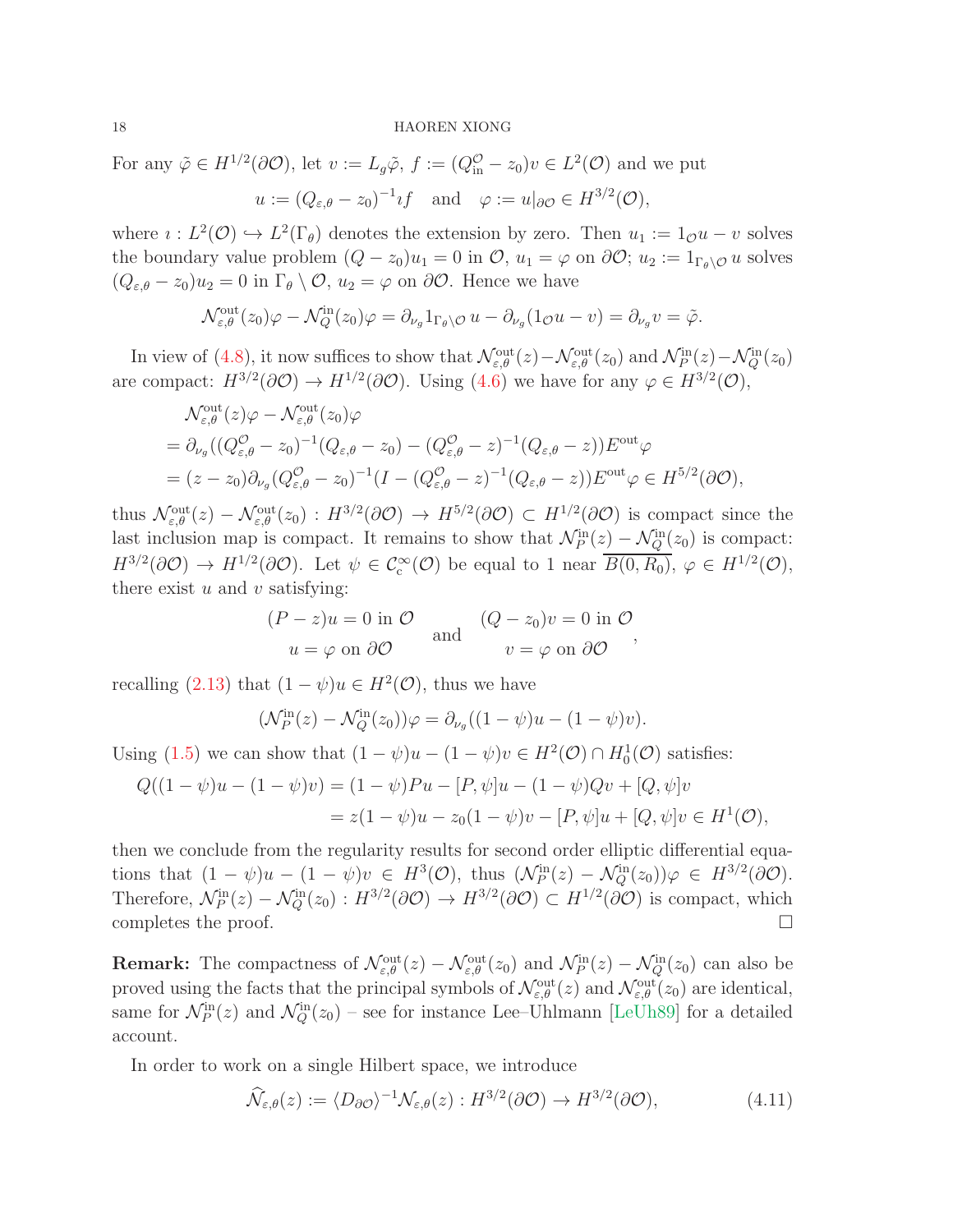For any  $\tilde{\varphi} \in H^{1/2}(\partial \mathcal{O}),$  let  $v := L_g \tilde{\varphi}, f := (Q_{\text{in}}^{\mathcal{O}} - z_0)v \in L^2(\mathcal{O})$  and we put

$$
u := (Q_{\varepsilon,\theta} - z_0)^{-1} \iota f
$$
 and  $\varphi := u|_{\partial \mathcal{O}} \in H^{3/2}(\mathcal{O}),$ 

where  $i: L^2(\mathcal{O}) \hookrightarrow L^2(\Gamma_\theta)$  denotes the extension by zero. Then  $u_1 := 1_{\mathcal{O}} u - v$  solves the boundary value problem  $(Q - z_0)u_1 = 0$  in  $\mathcal{O}, u_1 = \varphi$  on  $\partial \mathcal{O}; u_2 := 1_{\Gamma_{\theta} \setminus \mathcal{O}} u$  solves  $(Q_{\varepsilon,\theta} - z_0)u_2 = 0$  in  $\Gamma_\theta \setminus \mathcal{O}, u_2 = \varphi$  on  $\partial \mathcal{O}$ . Hence we have

$$
\mathcal{N}_{\varepsilon,\theta}^{\text{out}}(z_0)\varphi - \mathcal{N}_Q^{\text{in}}(z_0)\varphi = \partial_{\nu_g} 1_{\Gamma_\theta \setminus \mathcal{O}} u - \partial_{\nu_g} (1_{\mathcal{O}} u - v) = \partial_{\nu_g} v = \tilde{\varphi}.
$$

In view of [\(4.8\)](#page-16-1), it now suffices to show that  $\mathcal{N}_{\varepsilon,\theta}^{\text{out}}(z) - \mathcal{N}_{\varepsilon,\theta}^{\text{out}}(z_0)$  and  $\mathcal{N}_P^{\text{in}}(z) - \mathcal{N}_Q^{\text{in}}(z_0)$ are compact:  $H^{3/2}(\partial \mathcal{O}) \to H^{1/2}(\partial \mathcal{O})$ . Using [\(4.6\)](#page-15-2) we have for any  $\varphi \in H^{3/2}(\mathcal{O})$ ,

$$
\mathcal{N}_{\varepsilon,\theta}^{\text{out}}(z)\varphi - \mathcal{N}_{\varepsilon,\theta}^{\text{out}}(z_0)\varphi
$$
\n
$$
= \partial_{\nu_g}((Q_{\varepsilon,\theta}^{\mathcal{O}} - z_0)^{-1}(Q_{\varepsilon,\theta} - z_0) - (Q_{\varepsilon,\theta}^{\mathcal{O}} - z)^{-1}(Q_{\varepsilon,\theta} - z))E^{\text{out}}\varphi
$$
\n
$$
= (z - z_0)\partial_{\nu_g}(Q_{\varepsilon,\theta}^{\mathcal{O}} - z_0)^{-1}(I - (Q_{\varepsilon,\theta}^{\mathcal{O}} - z)^{-1}(Q_{\varepsilon,\theta} - z))E^{\text{out}}\varphi \in H^{5/2}(\partial\mathcal{O}),
$$

thus  $\mathcal{N}_{\varepsilon,\theta}^{\text{out}}(z) - \mathcal{N}_{\varepsilon,\theta}^{\text{out}}(z_0) : H^{3/2}(\partial \mathcal{O}) \to H^{5/2}(\partial \mathcal{O}) \subset H^{1/2}(\partial \mathcal{O})$  is compact since the last inclusion map is compact. It remains to show that  $\mathcal{N}_P^{\text{in}}(z) - \mathcal{N}_Q^{\text{in}}(z_0)$  is compact:  $H^{3/2}(\partial \mathcal{O}) \to H^{1/2}(\partial \mathcal{O})$ . Let  $\psi \in C_c^{\infty}(\mathcal{O})$  be equal to 1 near  $\overline{B(0,R_0)}$ ,  $\varphi \in H^{1/2}(\mathcal{O})$ , there exist  $u$  and  $v$  satisfying:

$$
(P - z)u = 0 \text{ in } \mathcal{O} \qquad (Q - z_0)v = 0 \text{ in } \mathcal{O}
$$
  
 
$$
u = \varphi \text{ on } \partial \mathcal{O} \qquad \text{and} \qquad v = \varphi \text{ on } \partial \mathcal{O} \qquad ,
$$

recalling [\(2.13\)](#page-8-2) that  $(1 - \psi)u \in H^2(\mathcal{O})$ , thus we have

$$
(\mathcal{N}_P^{\text{in}}(z) - \mathcal{N}_Q^{\text{in}}(z_0))\varphi = \partial_{\nu_g}((1 - \psi)u - (1 - \psi)v).
$$

Using [\(1.5\)](#page-1-4) we can show that  $(1 - \psi)u - (1 - \psi)v \in H^2(\mathcal{O}) \cap H_0^1(\mathcal{O})$  satisfies:

$$
Q((1 - \psi)u - (1 - \psi)v) = (1 - \psi)Pu - [P, \psi]u - (1 - \psi)Qv + [Q, \psi]v
$$
  
=  $z(1 - \psi)u - z_0(1 - \psi)v - [P, \psi]u + [Q, \psi]v \in H^1(\mathcal{O}),$ 

then we conclude from the regularity results for second order elliptic differential equations that  $(1 - \psi)u - (1 - \psi)v \in H^3(\mathcal{O})$ , thus  $(\mathcal{N}_P^{\text{in}}(z) - \mathcal{N}_Q^{\text{in}}(z_0))\varphi \in H^{3/2}(\partial \mathcal{O})$ . Therefore,  $\mathcal{N}_P^{\text{in}}(z) - \mathcal{N}_Q^{\text{in}}(z_0) : H^{3/2}(\partial \mathcal{O}) \to H^{3/2}(\partial \mathcal{O}) \subset H^{1/2}(\partial \mathcal{O})$  is compact, which completes the proof.  $\Box$ 

**Remark:** The compactness of  $\mathcal{N}_{\varepsilon,\theta}^{\text{out}}(z) - \mathcal{N}_{\varepsilon,\theta}^{\text{out}}(z_0)$  and  $\mathcal{N}_P^{\text{in}}(z) - \mathcal{N}_Q^{\text{in}}(z_0)$  can also be proved using the facts that the principal symbols of  $\mathcal{N}_{\varepsilon,\theta}^{\text{out}}(z)$  and  $\mathcal{N}_{\varepsilon,\theta}^{\text{out}}(z_0)$  are identical, same for  $\mathcal{N}_P^{\text{in}}(z)$  and  $\mathcal{N}_Q^{\text{in}}(z_0)$  – see for instance Lee–Uhlmann [\[LeUh89\]](#page-29-15) for a detailed account.

In order to work on a single Hilbert space, we introduce

<span id="page-17-0"></span>
$$
\widehat{\mathcal{N}}_{\varepsilon,\theta}(z) := \langle D_{\partial \mathcal{O}} \rangle^{-1} \mathcal{N}_{\varepsilon,\theta}(z) : H^{3/2}(\partial \mathcal{O}) \to H^{3/2}(\partial \mathcal{O}), \tag{4.11}
$$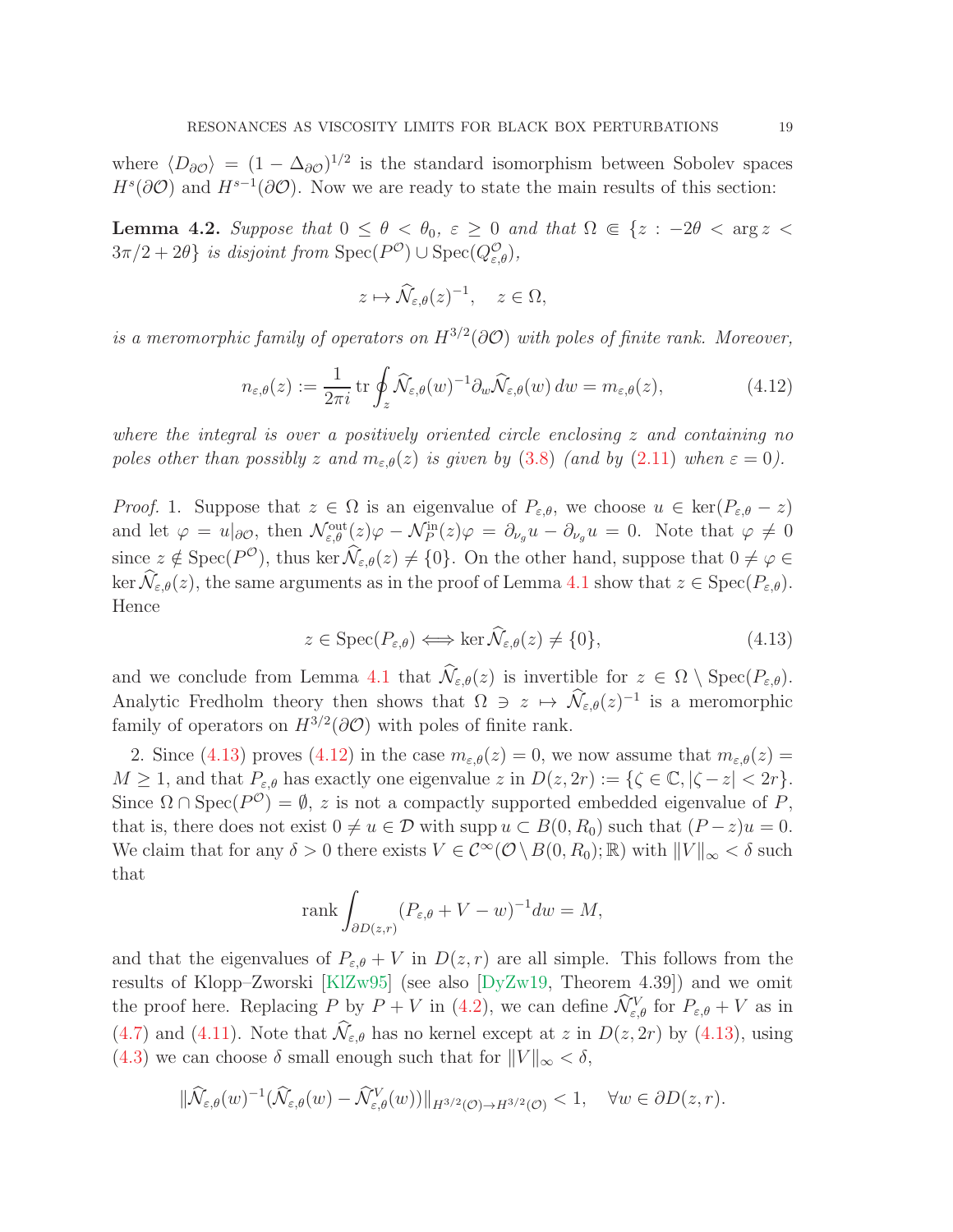where  $\langle D_{\partial \mathcal{O}} \rangle = (1 - \Delta_{\partial \mathcal{O}})^{1/2}$  is the standard isomorphism between Sobolev spaces  $H^s(\partial\mathcal{O})$  and  $H^{s-1}(\partial\mathcal{O})$ . Now we are ready to state the main results of this section:

<span id="page-18-2"></span>**Lemma 4.2.** Suppose that  $0 \le \theta < \theta_0$ ,  $\varepsilon \ge 0$  and that  $\Omega \in \{z : -2\theta < \arg z < \theta_0\}$  $3\pi/2 + 2\theta$  is disjoint from  $Spec(P^{\mathcal{O}}) \cup Spec(Q^{\mathcal{O}}_{\varepsilon,\theta}),$ 

$$
z \mapsto \widehat{\mathcal{N}}_{\varepsilon,\theta}(z)^{-1}, \quad z \in \Omega,
$$

is a meromorphic family of operators on  $H^{3/2}(\partial \mathcal{O})$  with poles of finite rank. Moreover,

<span id="page-18-1"></span>
$$
n_{\varepsilon,\theta}(z) := \frac{1}{2\pi i} \operatorname{tr} \oint_z \widehat{\mathcal{N}}_{\varepsilon,\theta}(w)^{-1} \partial_w \widehat{\mathcal{N}}_{\varepsilon,\theta}(w) \, dw = m_{\varepsilon,\theta}(z), \tag{4.12}
$$

where the integral is over a positively oriented circle enclosing  $z$  and containing no poles other than possibly z and  $m_{\varepsilon,\theta}(z)$  is given by [\(3.8\)](#page-13-1) (and by [\(2.11\)](#page-8-6) when  $\varepsilon = 0$ ).

*Proof.* 1. Suppose that  $z \in \Omega$  is an eigenvalue of  $P_{\varepsilon,\theta}$ , we choose  $u \in \text{ker}(P_{\varepsilon,\theta} - z)$ and let  $\varphi = u|_{\partial\mathcal{O}}$ , then  $\mathcal{N}_{\varepsilon,\theta}^{\text{out}}(z)\varphi - \mathcal{N}_P^{\text{in}}(z)\varphi = \partial_{\nu_g}u - \partial_{\nu_g}u = 0$ . Note that  $\varphi \neq 0$ since  $z \notin \text{Spec}(P^{\mathcal{O}})$ , thus ker  $\mathcal{N}_{\varepsilon,\theta}(z) \neq \{0\}$ . On the other hand, suppose that  $0 \neq \varphi \in$ ker  $\widehat{\mathcal{N}}_{\varepsilon,\theta}(z)$ , the same arguments as in the proof of Lemma [4.1](#page-16-2) show that  $z \in \text{Spec}(P_{\varepsilon,\theta})$ . Hence

<span id="page-18-0"></span>
$$
z \in \operatorname{Spec}(P_{\varepsilon,\theta}) \iff \ker \widehat{\mathcal{N}}_{\varepsilon,\theta}(z) \neq \{0\},\tag{4.13}
$$

and we conclude from Lemma [4.1](#page-16-2) that  $\widehat{\mathcal{N}}_{\varepsilon,\theta}(z)$  is invertible for  $z \in \Omega \setminus \text{Spec}(P_{\varepsilon,\theta})$ . Analytic Fredholm theory then shows that  $\Omega \ni z \mapsto \hat{\mathcal{N}}_{\varepsilon,\theta}(z)^{-1}$  is a meromorphic family of operators on  $H^{3/2}(\partial \mathcal{O})$  with poles of finite rank.

2. Since [\(4.13\)](#page-18-0) proves [\(4.12\)](#page-18-1) in the case  $m_{\varepsilon,\theta}(z) = 0$ , we now assume that  $m_{\varepsilon,\theta}(z) = 0$  $M \geq 1$ , and that  $P_{\varepsilon,\theta}$  has exactly one eigenvalue  $z$  in  $D(z, 2r) := {\{\zeta \in \mathbb{C}, |\zeta - z| < 2r\}.}$ Since  $\Omega \cap \text{Spec}(P^{\mathcal{O}}) = \emptyset$ , z is not a compactly supported embedded eigenvalue of P, that is, there does not exist  $0 \neq u \in \mathcal{D}$  with supp  $u \subset B(0, R_0)$  such that  $(P - z)u = 0$ . We claim that for any  $\delta > 0$  there exists  $V \in C^{\infty}(\mathcal{O} \setminus B(0, R_0); \mathbb{R})$  with  $||V||_{\infty} < \delta$  such that

$$
rank \int_{\partial D(z,r)} (P_{\varepsilon,\theta} + V - w)^{-1} dw = M,
$$

and that the eigenvalues of  $P_{\varepsilon,\theta} + V$  in  $D(z,r)$  are all simple. This follows from the results of Klopp–Zworski [\[KlZw95\]](#page-29-16) (see also [\[DyZw19,](#page-28-5) Theorem 4.39]) and we omit the proof here. Replacing  $P$  by  $P + V$  in [\(4.2\)](#page-15-0), we can define  $\hat{\mathcal{N}}_{\varepsilon,\theta}^V$  for  $P_{\varepsilon,\theta} + V$  as in [\(4.7\)](#page-15-3) and [\(4.11\)](#page-17-0). Note that  $\widehat{\mathcal{N}}_{\varepsilon,\theta}$  has no kernel except at z in  $D(z, 2r)$  by [\(4.13\)](#page-18-0), using [\(4.3\)](#page-15-4) we can choose  $\delta$  small enough such that for  $||V||_{\infty} < \delta$ ,

$$
\|\widehat{\mathcal{N}}_{\varepsilon,\theta}(w)^{-1}(\widehat{\mathcal{N}}_{\varepsilon,\theta}(w)-\widehat{\mathcal{N}}^V_{\varepsilon,\theta}(w))\|_{H^{3/2}(\mathcal{O})\to H^{3/2}(\mathcal{O})}<1,\quad\forall w\in\partial D(z,r).
$$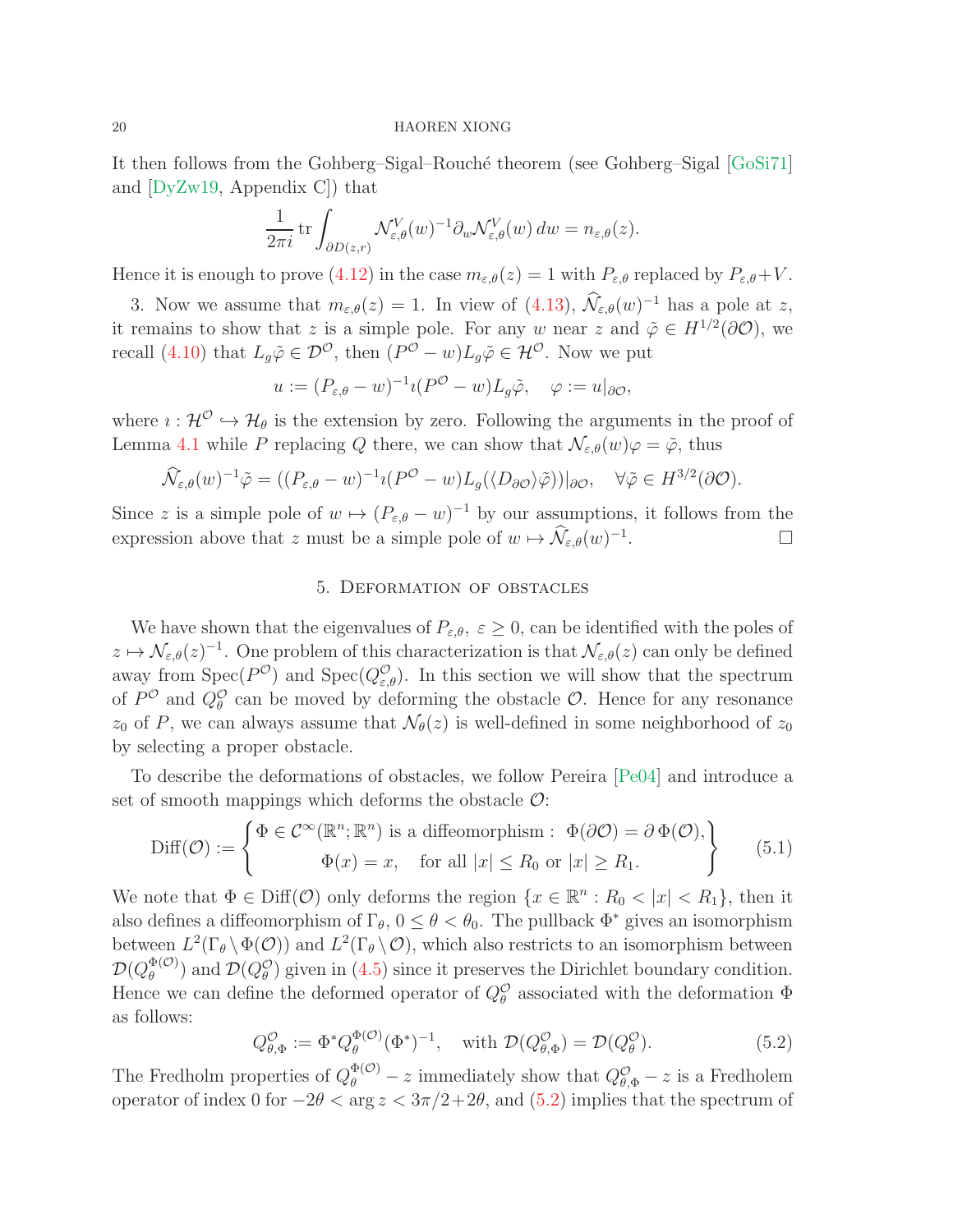It then follows from the Gohberg–Sigal–Rouché theorem (see Gohberg–Sigal [\[GoSi71\]](#page-28-10) and [\[DyZw19,](#page-28-5) Appendix C]) that

$$
\frac{1}{2\pi i} \operatorname{tr} \int_{\partial D(z,r)} \mathcal{N}_{\varepsilon,\theta}^V(w)^{-1} \partial_w \mathcal{N}_{\varepsilon,\theta}^V(w) \, dw = n_{\varepsilon,\theta}(z).
$$

Hence it is enough to prove [\(4.12\)](#page-18-1) in the case  $m_{\varepsilon,\theta}(z) = 1$  with  $P_{\varepsilon,\theta}$  replaced by  $P_{\varepsilon,\theta} + V$ .

3. Now we assume that  $m_{\varepsilon,\theta}(z) = 1$ . In view of  $(4.13), \tilde{\mathcal{N}}_{\varepsilon,\theta}(w)^{-1}$  has a pole at z, it remains to show that z is a simple pole. For any w near z and  $\tilde{\varphi} \in H^{1/2}(\partial \mathcal{O})$ , we recall [\(4.10\)](#page-16-3) that  $L_g\tilde{\varphi} \in \mathcal{D}^{\mathcal{O}}$ , then  $(P^{\mathcal{O}} - w)L_g\tilde{\varphi} \in \mathcal{H}^{\mathcal{O}}$ . Now we put

$$
u := (P_{\varepsilon,\theta} - w)^{-1} \imath (P^{\mathcal{O}} - w) L_g \tilde{\varphi}, \quad \varphi := u|_{\partial \mathcal{O}},
$$

where  $\iota : \mathcal{H}^{\mathcal{O}} \hookrightarrow \mathcal{H}_{\theta}$  is the extension by zero. Following the arguments in the proof of Lemma [4.1](#page-16-2) while P replacing Q there, we can show that  $\mathcal{N}_{\varepsilon,\theta}(w)\varphi = \tilde{\varphi}$ , thus

$$
\widehat{\mathcal{N}}_{\varepsilon,\theta}(w)^{-1}\tilde{\varphi} = ((P_{\varepsilon,\theta}-w)^{-1}\iota(P^{\mathcal{O}}-w)L_{g}(\langle D_{\partial\mathcal{O}}\rangle\tilde{\varphi}))|_{\partial\mathcal{O}}, \quad \forall \tilde{\varphi} \in H^{3/2}(\partial\mathcal{O}).
$$

<span id="page-19-0"></span>Since z is a simple pole of  $w \mapsto (P_{\varepsilon,\theta} - w)^{-1}$  by our assumptions, it follows from the expression above that z must be a simple pole of  $w \mapsto \mathcal{N}_{\varepsilon,\theta}(w)^{-1}$ . — Пример, на пример, на пример, на пример, на пример, на пример, на пример, на пример, на пример, на пример,<br>В село на пример, на пример, на пример, на пример, на пример, на пример, на пример, на пример, на пример, на п

## 5. Deformation of obstacles

We have shown that the eigenvalues of  $P_{\varepsilon,\theta}$ ,  $\varepsilon \geq 0$ , can be identified with the poles of  $z \mapsto \mathcal{N}_{\varepsilon,\theta}(z)^{-1}$ . One problem of this characterization is that  $\mathcal{N}_{\varepsilon,\theta}(z)$  can only be defined away from  $Spec(P^{\mathcal{O}})$  and  $Spec(Q^{\mathcal{O}}_{\varepsilon,\theta})$ . In this section we will show that the spectrum of  $P^{\mathcal{O}}$  and  $Q_{\theta}^{\mathcal{O}}$  can be moved by deforming the obstacle  $\mathcal{O}$ . Hence for any resonance  $z_0$  of P, we can always assume that  $\mathcal{N}_{\theta}(z)$  is well-defined in some neighborhood of  $z_0$ by selecting a proper obstacle.

To describe the deformations of obstacles, we follow Pereira [\[Pe04\]](#page-29-17) and introduce a set of smooth mappings which deforms the obstacle  $\mathcal{O}$ :

$$
\text{Diff}(\mathcal{O}) := \begin{cases} \Phi \in \mathcal{C}^{\infty}(\mathbb{R}^n; \mathbb{R}^n) \text{ is a diffeomorphism : } \Phi(\partial \mathcal{O}) = \partial \Phi(\mathcal{O}), \\ \Phi(x) = x, \quad \text{for all } |x| \le R_0 \text{ or } |x| \ge R_1. \end{cases}
$$
(5.1)

We note that  $\Phi \in \text{Diff}(\mathcal{O})$  only deforms the region  $\{x \in \mathbb{R}^n : R_0 < |x| < R_1\}$ , then it also defines a diffeomorphism of  $\Gamma_{\theta}$ ,  $0 \le \theta < \theta_0$ . The pullback  $\Phi^*$  gives an isomorphism between  $L^2(\Gamma_\theta \setminus \Phi(\mathcal{O}))$  and  $L^2(\Gamma_\theta \setminus \mathcal{O})$ , which also restricts to an isomorphism between  $\mathcal{D}(Q_\theta^{\Phi(\mathcal{O})}$  $\mathcal{D}(\mathcal{O}_{\theta}^{(0)})$  and  $\mathcal{D}(Q_{\theta}^{(0)})$  given in [\(4.5\)](#page-15-5) since it preserves the Dirichlet boundary condition. Hence we can define the deformed operator of  $Q_{\theta}^{\mathcal{O}}$  associated with the deformation  $\Phi$ as follows:

<span id="page-19-1"></span>
$$
Q_{\theta,\Phi}^{\mathcal{O}} := \Phi^* Q_{\theta}^{\Phi(\mathcal{O})} (\Phi^*)^{-1}, \quad \text{with } \mathcal{D}(Q_{\theta,\Phi}^{\mathcal{O}}) = \mathcal{D}(Q_{\theta}^{\mathcal{O}}). \tag{5.2}
$$

The Fredholm properties of  $Q_{\theta}^{\Phi(\mathcal{O})} - z$  immediately show that  $Q_{\theta,\Phi}^{\mathcal{O}} - z$  is a Fredholem operator of index 0 for  $-2\theta < \arg z < 3\pi/2+2\theta$ , and [\(5.2\)](#page-19-1) implies that the spectrum of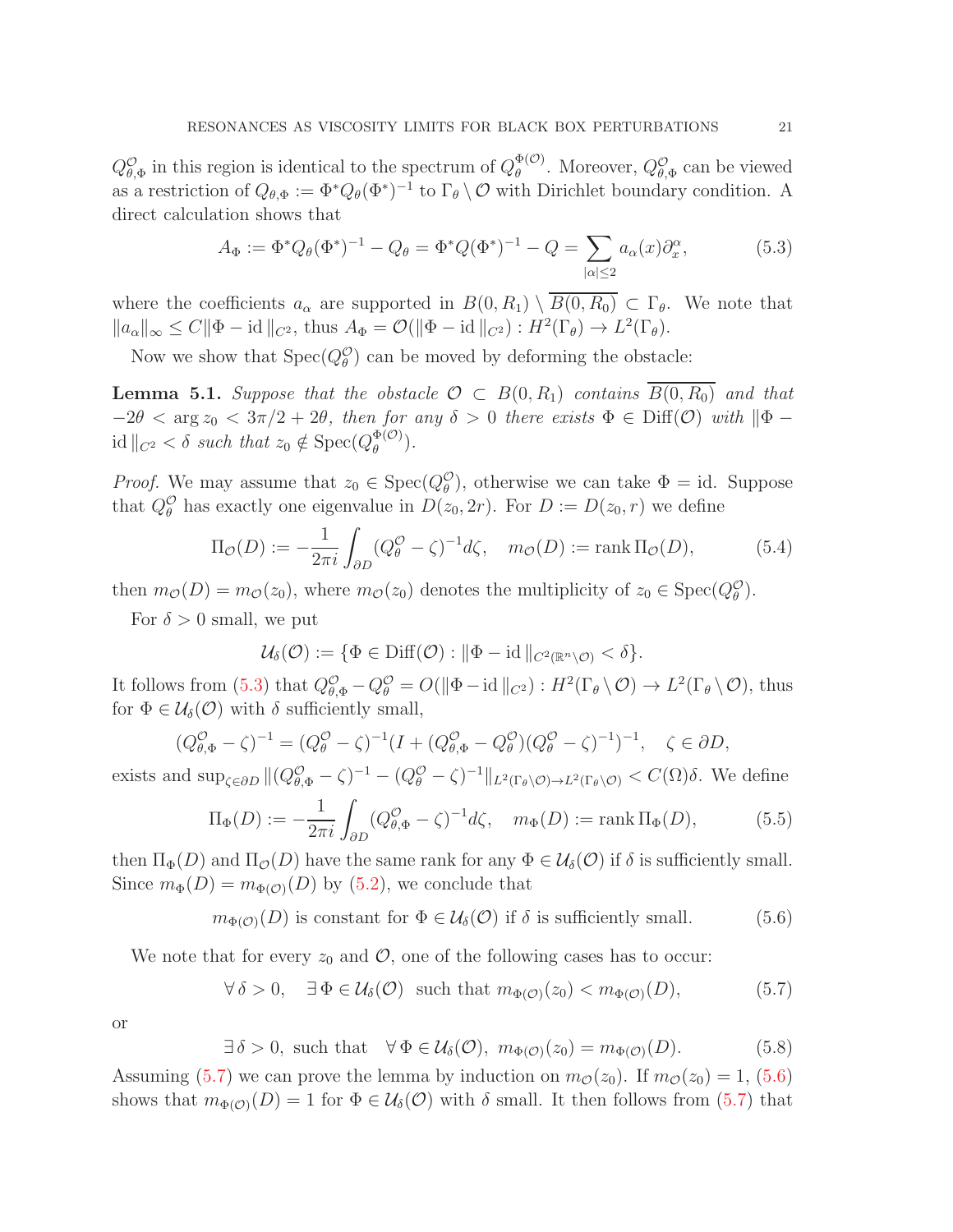$Q_{\theta,\Phi}^{\mathcal{O}}$  in this region is identical to the spectrum of  $Q_{\theta}^{\Phi(\mathcal{O})}$  $\mathcal{Q}_{\theta}^{(\mathcal{O})}$ . Moreover,  $Q_{\theta,\Phi}^{\mathcal{O}}$  can be viewed as a restriction of  $Q_{\theta,\Phi} := \Phi^* Q_{\theta}(\Phi^*)^{-1}$  to  $\Gamma_{\theta} \setminus \mathcal{O}$  with Dirichlet boundary condition. A direct calculation shows that

<span id="page-20-0"></span>
$$
A_{\Phi} := \Phi^* Q_{\theta} (\Phi^*)^{-1} - Q_{\theta} = \Phi^* Q (\Phi^*)^{-1} - Q = \sum_{|\alpha| \le 2} a_{\alpha}(x) \partial_x^{\alpha}, \tag{5.3}
$$

where the coefficients  $a_{\alpha}$  are supported in  $B(0, R_1) \setminus \overline{B(0, R_0)} \subset \Gamma_{\theta}$ . We note that  $||a_{\alpha}||_{\infty} \leq C ||\Phi - id||_{C^2}$ , thus  $A_{\Phi} = \mathcal{O}(|\Phi - id||_{C^2}) : H^2(\Gamma_{\theta}) \to L^2(\Gamma_{\theta})$ .

Now we show that  $Spec(Q_{\theta}^{\mathcal{O}})$  can be moved by deforming the obstacle:

<span id="page-20-5"></span>**Lemma 5.1.** Suppose that the obstacle  $\mathcal{O} \subset B(0, R_1)$  contains  $\overline{B(0, R_0)}$  and that  $-2\theta < \arg z_0 < 3\pi/2 + 2\theta$ , then for any  $\delta > 0$  there exists  $\Phi \in \text{Diff}(\mathcal{O})$  with  $\|\Phi - \Phi\|$ id  $||_{C^2} < \delta$  such that  $z_0 \notin \text{Spec}(Q_{\theta}^{\Phi(\mathcal{O})})$  $\frac{\Psi(\mathcal{O})}{\theta}$ ).

*Proof.* We may assume that  $z_0 \in \text{Spec}(Q_\theta^{\mathcal{O}})$ , otherwise we can take  $\Phi = id$ . Suppose that  $Q_{\theta}^{\mathcal{O}}$  has exactly one eigenvalue in  $D(z_0, 2r)$ . For  $D := D(z_0, r)$  we define

$$
\Pi_{\mathcal{O}}(D) := -\frac{1}{2\pi i} \int_{\partial D} (Q^{\mathcal{O}}_{\theta} - \zeta)^{-1} d\zeta, \quad m_{\mathcal{O}}(D) := \text{rank } \Pi_{\mathcal{O}}(D), \tag{5.4}
$$

then  $m_{\mathcal{O}}(D) = m_{\mathcal{O}}(z_0)$ , where  $m_{\mathcal{O}}(z_0)$  denotes the multiplicity of  $z_0 \in \text{Spec}(Q^{\mathcal{O}}_{\theta})$ .

For  $\delta > 0$  small, we put

$$
\mathcal{U}_{\delta}(\mathcal{O}) := \{ \Phi \in \text{Diff}(\mathcal{O}) : \|\Phi - \text{id}\|_{C^2(\mathbb{R}^n \setminus \mathcal{O})} < \delta \}.
$$

It follows from [\(5.3\)](#page-20-0) that  $Q_{\theta,\Phi}^{\mathcal{O}} - Q_{\theta}^{\mathcal{O}} = O(||\Phi - \mathrm{id}||_{C^2}) : H^2(\Gamma_{\theta} \setminus \mathcal{O}) \to L^2(\Gamma_{\theta} \setminus \mathcal{O}),$  thus for  $\Phi \in \mathcal{U}_{\delta}(\mathcal{O})$  with  $\delta$  sufficiently small,

$$
(Q_{\theta,\Phi}^{\mathcal{O}} - \zeta)^{-1} = (Q_{\theta}^{\mathcal{O}} - \zeta)^{-1} (I + (Q_{\theta,\Phi}^{\mathcal{O}} - Q_{\theta}^{\mathcal{O}})(Q_{\theta}^{\mathcal{O}} - \zeta)^{-1})^{-1}, \quad \zeta \in \partial D,
$$

exists and  $\sup_{\zeta \in \partial D} ||(Q_{\theta,\Phi}^{\mathcal{O}} - \zeta)^{-1} - (Q_{\theta}^{\mathcal{O}} - \zeta)^{-1} ||_{L^{2}(\Gamma_{\theta}\setminus\mathcal{O}) \to L^{2}(\Gamma_{\theta}\setminus\mathcal{O})} < C(\Omega)\delta$ . We define

<span id="page-20-4"></span>
$$
\Pi_{\Phi}(D) := -\frac{1}{2\pi i} \int_{\partial D} (Q^{\mathcal{O}}_{\theta,\Phi} - \zeta)^{-1} d\zeta, \quad m_{\Phi}(D) := \text{rank } \Pi_{\Phi}(D), \tag{5.5}
$$

then  $\Pi_{\Phi}(D)$  and  $\Pi_{\mathcal{O}}(D)$  have the same rank for any  $\Phi \in \mathcal{U}_{\delta}(\mathcal{O})$  if  $\delta$  is sufficiently small. Since  $m_{\Phi}(D) = m_{\Phi(\mathcal{O})}(D)$  by [\(5.2\)](#page-19-1), we conclude that

<span id="page-20-2"></span> $m_{\Phi(\mathcal{O})}(D)$  is constant for  $\Phi \in \mathcal{U}_{\delta}(\mathcal{O})$  if  $\delta$  is sufficiently small. (5.6)

We note that for every  $z_0$  and  $\mathcal{O}$ , one of the following cases has to occur:

<span id="page-20-1"></span>
$$
\forall \delta > 0, \quad \exists \Phi \in \mathcal{U}_{\delta}(\mathcal{O}) \quad \text{such that } m_{\Phi(\mathcal{O})}(z_0) < m_{\Phi(\mathcal{O})}(D), \tag{5.7}
$$

or

<span id="page-20-3"></span>
$$
\exists \delta > 0, \text{ such that } \forall \Phi \in \mathcal{U}_{\delta}(\mathcal{O}), \ m_{\Phi(\mathcal{O})}(z_0) = m_{\Phi(\mathcal{O})}(D). \tag{5.8}
$$

Assuming [\(5.7\)](#page-20-1) we can prove the lemma by induction on  $m_{\mathcal{O}}(z_0)$ . If  $m_{\mathcal{O}}(z_0) = 1$ , [\(5.6\)](#page-20-2) shows that  $m_{\Phi(\mathcal{O})}(D) = 1$  for  $\Phi \in \mathcal{U}_{\delta}(\mathcal{O})$  with  $\delta$  small. It then follows from [\(5.7\)](#page-20-1) that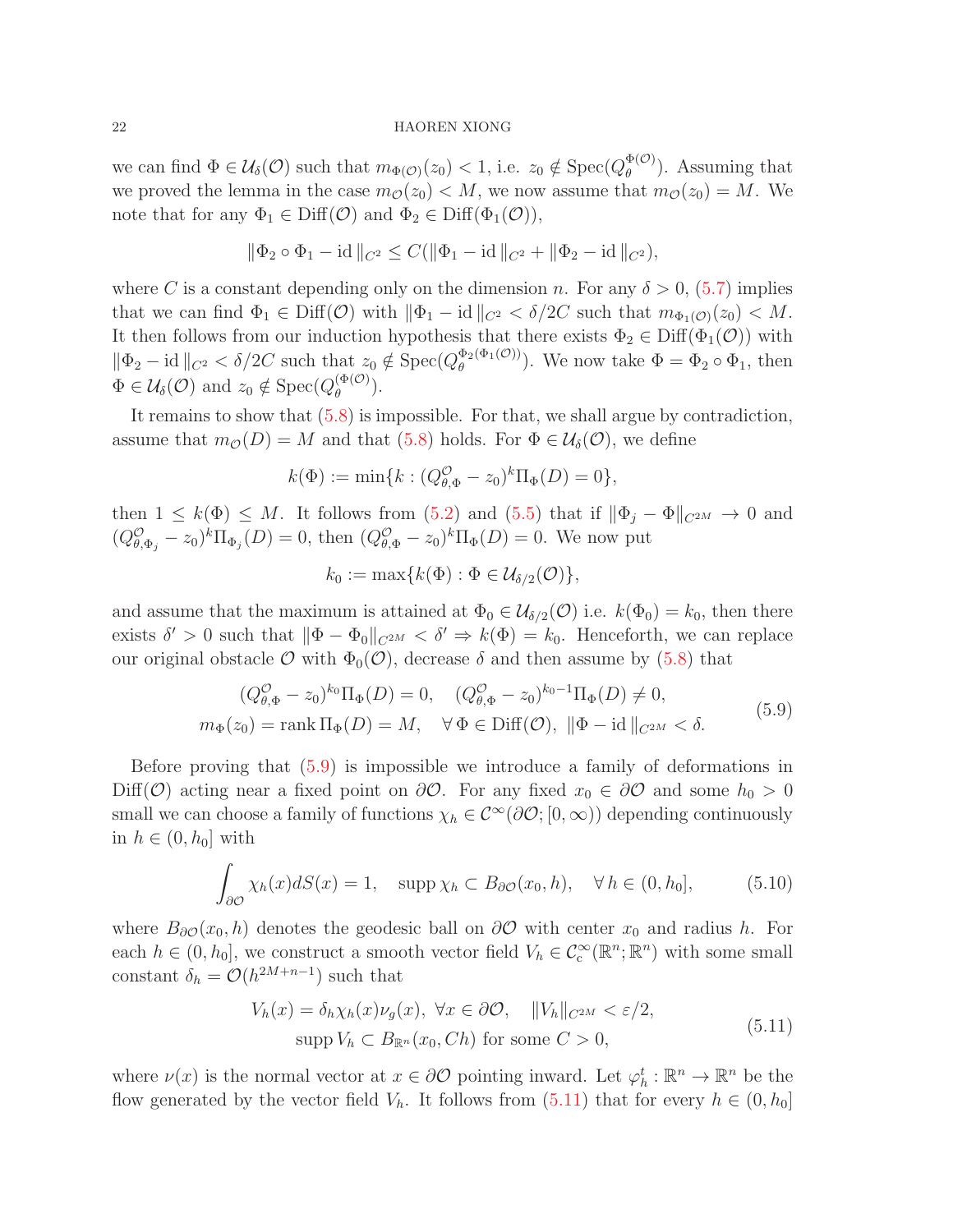we can find  $\Phi \in \mathcal{U}_{\delta}(\mathcal{O})$  such that  $m_{\Phi(\mathcal{O})}(z_0) < 1$ , i.e.  $z_0 \notin \text{Spec}(Q_{\theta}^{\Phi(\mathcal{O})})$  $_{\theta}^{\Phi(\mathcal{O})}$ . Assuming that we proved the lemma in the case  $m_{\mathcal{O}}(z_0) < M$ , we now assume that  $m_{\mathcal{O}}(z_0) = M$ . We note that for any  $\Phi_1 \in \text{Diff}(\mathcal{O})$  and  $\Phi_2 \in \text{Diff}(\Phi_1(\mathcal{O}))$ ,

$$
\|\Phi_2\circ\Phi_1-\mathrm{id}\|_{C^2}\leq C(\|\Phi_1-\mathrm{id}\|_{C^2}+\|\Phi_2-\mathrm{id}\|_{C^2}),
$$

where C is a constant depending only on the dimension n. For any  $\delta > 0$ , [\(5.7\)](#page-20-1) implies that we can find  $\Phi_1 \in \text{Diff}(\mathcal{O})$  with  $\|\Phi_1 - \text{id}\|_{C^2} < \delta/2C$  such that  $m_{\Phi_1(\mathcal{O})}(z_0) < M$ . It then follows from our induction hypothesis that there exists  $\Phi_2 \in \text{Diff}(\Phi_1(\mathcal{O}))$  with  $\|\Phi_2 - \mathrm{id}\|_{C^2} < \delta/2C$  such that  $z_0 \notin \mathrm{Spec}(Q_\theta^{\Phi_2(\Phi_1(\mathcal{O}))})$  $\Phi_{\theta}^{(\Psi_1(\mathcal{O})))}$ . We now take  $\Phi = \Phi_2 \circ \Phi_1$ , then  $\Phi \in \mathcal{U}_{\delta}(\mathcal{O})$  and  $z_0 \notin \text{Spec}(Q_{\theta}^{(\Phi(\mathcal{O})}$  $\binom{\Psi(\mathcal{O})}{\theta}$ .

It remains to show that [\(5.8\)](#page-20-3) is impossible. For that, we shall argue by contradiction, assume that  $m_{\mathcal{O}}(D) = M$  and that [\(5.8\)](#page-20-3) holds. For  $\Phi \in \mathcal{U}_{\delta}(\mathcal{O})$ , we define

$$
k(\Phi) := \min\{k : (Q_{\theta,\Phi}^{\mathcal{O}} - z_0)^k \Pi_{\Phi}(D) = 0\},\
$$

then  $1 \leq k(\Phi) \leq M$ . It follows from  $(5.2)$  and  $(5.5)$  that if  $\|\Phi_i - \Phi\|_{C^{2M}} \to 0$  and  $(Q_{\theta,\Phi_j}^{\mathcal{O}} - z_0)^k \Pi_{\Phi_j}(D) = 0$ , then  $(Q_{\theta,\Phi}^{\mathcal{O}} - z_0)^k \Pi_{\Phi}(D) = 0$ . We now put

$$
k_0 := \max\{k(\Phi) : \Phi \in \mathcal{U}_{\delta/2}(\mathcal{O})\},\
$$

and assume that the maximum is attained at  $\Phi_0 \in \mathcal{U}_{\delta/2}(\mathcal{O})$  i.e.  $k(\Phi_0) = k_0$ , then there exists  $\delta' > 0$  such that  $\|\Phi - \Phi_0\|_{C^{2M}} < \delta' \Rightarrow k(\Phi) = k_0$ . Henceforth, we can replace our original obstacle  $\mathcal O$  with  $\Phi_0(\mathcal O)$ , decrease  $\delta$  and then assume by [\(5.8\)](#page-20-3) that

<span id="page-21-0"></span>
$$
(Q_{\theta,\Phi}^{\mathcal{O}} - z_0)^{k_0} \Pi_{\Phi}(D) = 0, \quad (Q_{\theta,\Phi}^{\mathcal{O}} - z_0)^{k_0 - 1} \Pi_{\Phi}(D) \neq 0,
$$
  

$$
m_{\Phi}(z_0) = \text{rank } \Pi_{\Phi}(D) = M, \quad \forall \Phi \in \text{Diff}(\mathcal{O}), \ \|\Phi - \text{id}\|_{C^{2M}} < \delta.
$$
 (5.9)

Before proving that [\(5.9\)](#page-21-0) is impossible we introduce a family of deformations in Diff( $\mathcal{O}$ ) acting near a fixed point on  $\partial\mathcal{O}$ . For any fixed  $x_0 \in \partial\mathcal{O}$  and some  $h_0 > 0$ small we can choose a family of functions  $\chi_h \in C^{\infty}(\partial \mathcal{O}; [0, \infty))$  depending continuously in  $h \in (0, h_0]$  with

<span id="page-21-2"></span>
$$
\int_{\partial \mathcal{O}} \chi_h(x) dS(x) = 1, \quad \text{supp }\chi_h \subset B_{\partial \mathcal{O}}(x_0, h), \quad \forall \, h \in (0, h_0], \tag{5.10}
$$

where  $B_{\partial\mathcal{O}}(x_0, h)$  denotes the geodesic ball on  $\partial\mathcal{O}$  with center  $x_0$  and radius h. For each  $h \in (0, h_0]$ , we construct a smooth vector field  $V_h \in C_c^{\infty}(\mathbb{R}^n; \mathbb{R}^n)$  with some small constant  $\delta_h = \mathcal{O}(h^{2M+n-1})$  such that

<span id="page-21-1"></span>
$$
V_h(x) = \delta_h \chi_h(x) \nu_g(x), \ \forall x \in \partial \mathcal{O}, \quad ||V_h||_{C^{2M}} < \varepsilon/2,
$$
\n
$$
\text{supp } V_h \subset B_{\mathbb{R}^n}(x_0, Ch) \text{ for some } C > 0,
$$
\n
$$
(5.11)
$$

where  $\nu(x)$  is the normal vector at  $x \in \partial \mathcal{O}$  pointing inward. Let  $\varphi_h^t : \mathbb{R}^n \to \mathbb{R}^n$  be the flow generated by the vector field  $V_h$ . It follows from  $(5.11)$  that for every  $h \in (0, h_0]$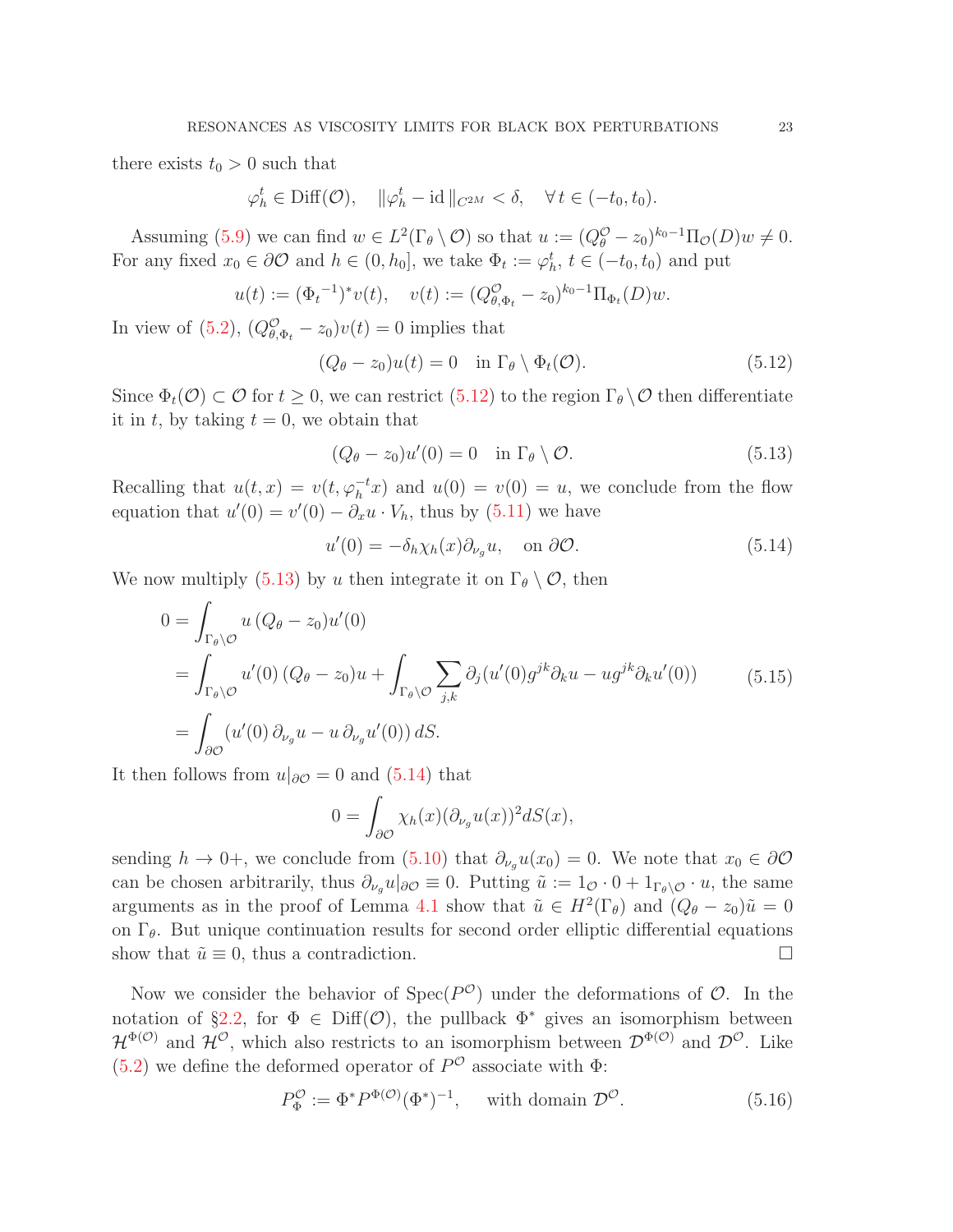there exists  $t_0 > 0$  such that

$$
\varphi_h^t \in \text{Diff}(\mathcal{O}), \quad \|\varphi_h^t - \text{id}\|_{C^{2M}} < \delta, \quad \forall \, t \in (-t_0, t_0).
$$

Assuming [\(5.9\)](#page-21-0) we can find  $w \in L^2(\Gamma_\theta \setminus \mathcal{O})$  so that  $u := (Q_\theta^{\mathcal{O}} - z_0)^{k_0 - 1} \Pi_{\mathcal{O}}(D) w \neq 0$ . For any fixed  $x_0 \in \partial \mathcal{O}$  and  $h \in (0, h_0]$ , we take  $\Phi_t := \varphi_h^t$ ,  $t \in (-t_0, t_0)$  and put

$$
u(t) := (\Phi_t^{-1})^* v(t), \quad v(t) := (Q_{\theta, \Phi_t}^{\mathcal{O}} - z_0)^{k_0 - 1} \Pi_{\Phi_t}(D) w.
$$

In view of [\(5.2\)](#page-19-1),  $(Q_{\theta,\Phi_t}^{\mathcal{O}} - z_0)v(t) = 0$  implies that

<span id="page-22-0"></span>
$$
(Q_{\theta} - z_0)u(t) = 0 \quad \text{in } \Gamma_{\theta} \setminus \Phi_t(\mathcal{O}). \tag{5.12}
$$

Since  $\Phi_t(\mathcal{O}) \subset \mathcal{O}$  for  $t \geq 0$ , we can restrict  $(5.12)$  to the region  $\Gamma_\theta \setminus \mathcal{O}$  then differentiate it in t, by taking  $t = 0$ , we obtain that

<span id="page-22-1"></span>
$$
(Q_{\theta} - z_0)u'(0) = 0 \quad \text{in } \Gamma_{\theta} \setminus \mathcal{O}. \tag{5.13}
$$

Recalling that  $u(t, x) = v(t, \varphi_h^{-t} x)$  and  $u(0) = v(0) = u$ , we conclude from the flow equation that  $u'(0) = v'(0) - \partial_x u \cdot V_h$ , thus by [\(5.11\)](#page-21-1) we have

<span id="page-22-2"></span>
$$
u'(0) = -\delta_h \chi_h(x) \partial_{\nu_g} u, \quad \text{on } \partial \mathcal{O}.
$$
 (5.14)

We now multiply [\(5.13\)](#page-22-1) by u then integrate it on  $\Gamma_{\theta} \setminus \mathcal{O}$ , then

<span id="page-22-3"></span>
$$
0 = \int_{\Gamma_{\theta}\backslash\mathcal{O}} u\left(Q_{\theta} - z_0\right)u'(0)
$$
  
= 
$$
\int_{\Gamma_{\theta}\backslash\mathcal{O}} u'(0)\left(Q_{\theta} - z_0\right)u + \int_{\Gamma_{\theta}\backslash\mathcal{O}} \sum_{j,k} \partial_j(u'(0)g^{jk}\partial_k u - ug^{jk}\partial_k u'(0))
$$
(5.15)  
= 
$$
\int_{\partial\mathcal{O}} (u'(0)\partial_{\nu_g} u - u\partial_{\nu_g} u'(0)) dS.
$$

It then follows from  $u|_{\partial\mathcal{O}} = 0$  and [\(5.14\)](#page-22-2) that

$$
0 = \int_{\partial \mathcal{O}} \chi_h(x) (\partial_{\nu_g} u(x))^2 dS(x),
$$

sending  $h \to 0+$ , we conclude from  $(5.10)$  that  $\partial_{\nu_q} u(x_0) = 0$ . We note that  $x_0 \in \partial \mathcal{O}$ can be chosen arbitrarily, thus  $\partial_{\nu_g} u|_{\partial \mathcal{O}} \equiv 0$ . Putting  $\tilde{u} := 1_{\mathcal{O}} \cdot 0 + 1_{\Gamma_\theta \setminus \mathcal{O}} \cdot u$ , the same arguments as in the proof of Lemma [4.1](#page-16-2) show that  $\tilde{u} \in H^2(\Gamma_\theta)$  and  $(Q_\theta - z_0)\tilde{u} = 0$ on  $\Gamma_{\theta}$ . But unique continuation results for second order elliptic differential equations show that  $\tilde{u} \equiv 0$ , thus a contradiction.

Now we consider the behavior of  $Spec(P^{\mathcal{O}})$  under the deformations of  $\mathcal{O}$ . In the notation of §[2.2,](#page-8-0) for  $\Phi \in \text{Diff}(\mathcal{O})$ , the pullback  $\Phi^*$  gives an isomorphism between  $\mathcal{H}^{\Phi(\mathcal{O})}$  and  $\mathcal{H}^{\mathcal{O}}$ , which also restricts to an isomorphism between  $\mathcal{D}^{\Phi(\mathcal{O})}$  and  $\mathcal{D}^{\mathcal{O}}$ . Like  $(5.2)$  we define the deformed operator of  $P^{\mathcal{O}}$  associate with  $\Phi$ :

$$
P_{\Phi}^{\mathcal{O}} := \Phi^* P^{\Phi(\mathcal{O})} (\Phi^*)^{-1}, \quad \text{ with domain } \mathcal{D}^{\mathcal{O}}.
$$
 (5.16)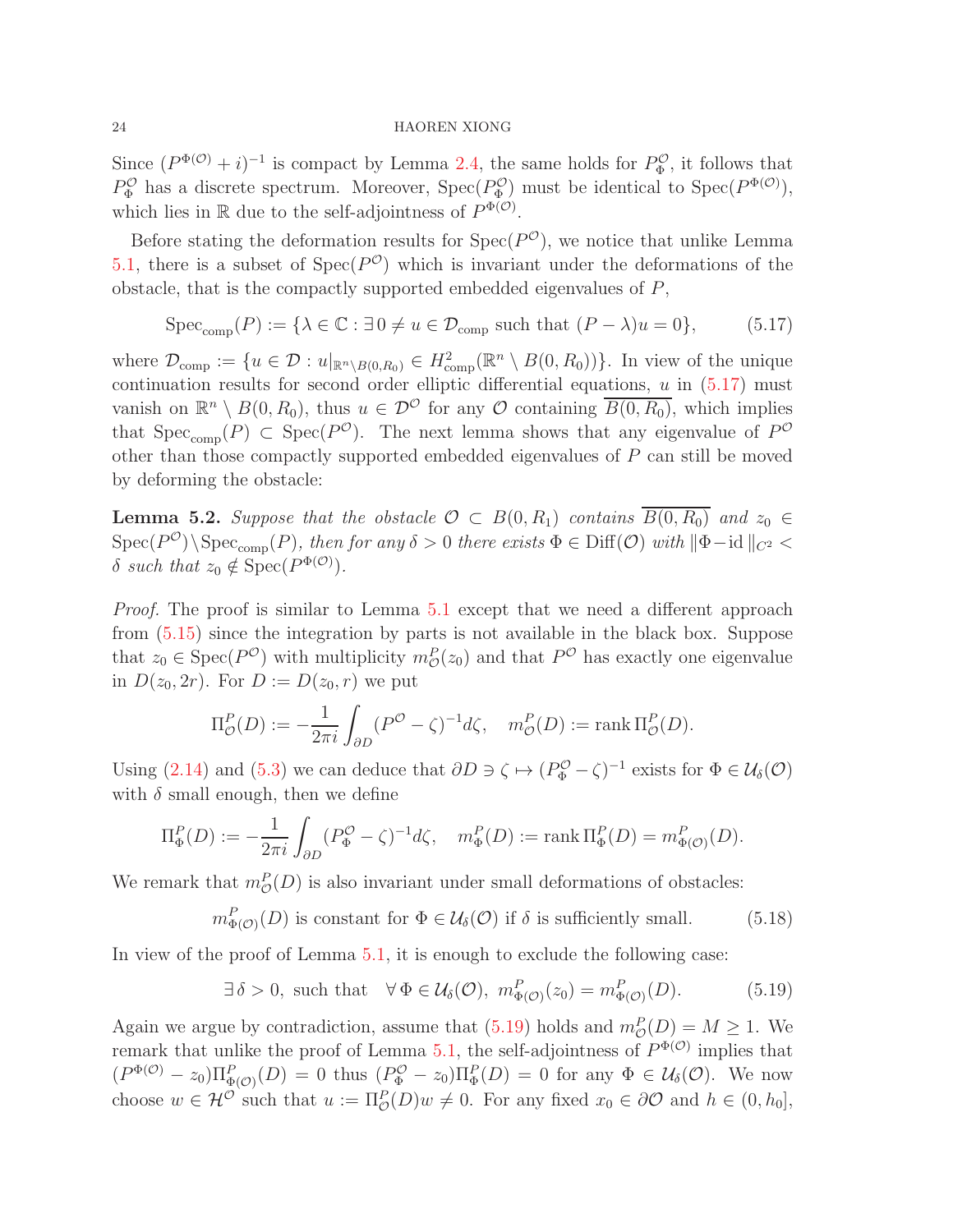Since  $(P^{\Phi(\mathcal{O})} + i)^{-1}$  is compact by Lemma [2.4,](#page-9-4) the same holds for  $P^{\mathcal{O}}_{\Phi}$ , it follows that  $P_{\Phi}^{\mathcal{O}}$  has a discrete spectrum. Moreover,  $Spec(P_{\Phi}^{\mathcal{O}})$  must be identical to  $Spec(P^{\Phi(\mathcal{O})})$ , which lies in  $\mathbb R$  due to the self-adjointness of  $P^{\Phi(\mathcal{O})}$ .

Before stating the deformation results for  $Spec(P^{\mathcal{O}})$ , we notice that unlike Lemma [5.1,](#page-20-5) there is a subset of  $Spec(P^{\mathcal{O}})$  which is invariant under the deformations of the obstacle, that is the compactly supported embedded eigenvalues of  $P$ ,

<span id="page-23-0"></span>
$$
Spec_{comp}(P) := \{ \lambda \in \mathbb{C} : \exists 0 \neq u \in \mathcal{D}_{comp} \text{ such that } (P - \lambda)u = 0 \},
$$
 (5.17)

where  $\mathcal{D}_{\text{comp}} := \{u \in \mathcal{D} : u|_{\mathbb{R}^n \setminus B(0,R_0)} \in H^2_{\text{comp}}(\mathbb{R}^n \setminus B(0,R_0))\}.$  In view of the unique continuation results for second order elliptic differential equations,  $u$  in  $(5.17)$  must vanish on  $\mathbb{R}^n \setminus B(0, R_0)$ , thus  $u \in \mathcal{D}^{\mathcal{O}}$  for any  $\mathcal{O}$  containing  $\overline{B(0, R_0)}$ , which implies that  $Spec_{comp}(P) \subset Spec(P^{\mathcal{O}})$ . The next lemma shows that any eigenvalue of  $P^{\mathcal{O}}$ other than those compactly supported embedded eigenvalues of P can still be moved by deforming the obstacle:

<span id="page-23-2"></span>**Lemma 5.2.** Suppose that the obstacle  $\mathcal{O} \subset B(0, R_1)$  contains  $\overline{B(0, R_0)}$  and  $z_0 \in$  $\text{Spec}(P^{\mathcal{O}})\backslash \text{Spec}_{\text{comp}}(P)$ , then for any  $\delta > 0$  there exists  $\Phi \in \text{Diff}(\mathcal{O})$  with  $\|\Phi - id\|_{C^2}$ δ such that  $z_0 \notin \text{Spec}(P^{\Phi(\mathcal{O})}).$ 

Proof. The proof is similar to Lemma [5.1](#page-20-5) except that we need a different approach from [\(5.15\)](#page-22-3) since the integration by parts is not available in the black box. Suppose that  $z_0 \in \text{Spec}(P^{\mathcal{O}})$  with multiplicity  $m_{\mathcal{O}}^P(z_0)$  and that  $P^{\mathcal{O}}$  has exactly one eigenvalue in  $D(z_0, 2r)$ . For  $D := D(z_0, r)$  we put

$$
\Pi^P_{\mathcal{O}}(D) := -\frac{1}{2\pi i} \int_{\partial D} (P^{\mathcal{O}} - \zeta)^{-1} d\zeta, \quad m^P_{\mathcal{O}}(D) := \text{rank } \Pi^P_{\mathcal{O}}(D).
$$

Using [\(2.14\)](#page-8-3) and [\(5.3\)](#page-20-0) we can deduce that  $\partial D \ni \zeta \mapsto (P_{\Phi}^{\mathcal{O}} - \zeta)^{-1}$  exists for  $\Phi \in \mathcal{U}_{\delta}(\mathcal{O})$ with  $\delta$  small enough, then we define

$$
\Pi_{\Phi}^P(D) := -\frac{1}{2\pi i} \int_{\partial D} (P_{\Phi}^{\mathcal{O}} - \zeta)^{-1} d\zeta, \quad m_{\Phi}^P(D) := \operatorname{rank} \Pi_{\Phi}^P(D) = m_{\Phi(\mathcal{O})}^P(D).
$$

We remark that  $m_{\mathcal{O}}^P(D)$  is also invariant under small deformations of obstacles:

 $m_{\Phi(\mathcal{O})}^P(D)$  is constant for  $\Phi \in \mathcal{U}_{\delta}(\mathcal{O})$  if  $\delta$  is sufficiently small. (5.18)

In view of the proof of Lemma [5.1,](#page-20-5) it is enough to exclude the following case:

<span id="page-23-1"></span>
$$
\exists \delta > 0, \text{ such that } \forall \Phi \in \mathcal{U}_{\delta}(\mathcal{O}), \ m_{\Phi(\mathcal{O})}^P(z_0) = m_{\Phi(\mathcal{O})}^P(D). \tag{5.19}
$$

Again we argue by contradiction, assume that  $(5.19)$  holds and  $m_{\mathcal{O}}^P(D) = M \ge 1$ . We remark that unlike the proof of Lemma [5.1,](#page-20-5) the self-adjointness of  $P^{\Phi(\mathcal{O})}$  implies that  $(P^{\Phi(\mathcal{O})} - z_0) \Pi_{\Phi(\mathcal{O})}^P(D) = 0$  thus  $(P^{\mathcal{O}}_{\Phi} - z_0) \Pi_{\Phi}^P(D) = 0$  for any  $\Phi \in \mathcal{U}_{\delta}(\mathcal{O})$ . We now choose  $w \in \mathcal{H}^{\mathcal{O}}$  such that  $u := \Pi_{\mathcal{O}}^P(D)w \neq 0$ . For any fixed  $x_0 \in \partial\mathcal{O}$  and  $h \in (0, h_0]$ ,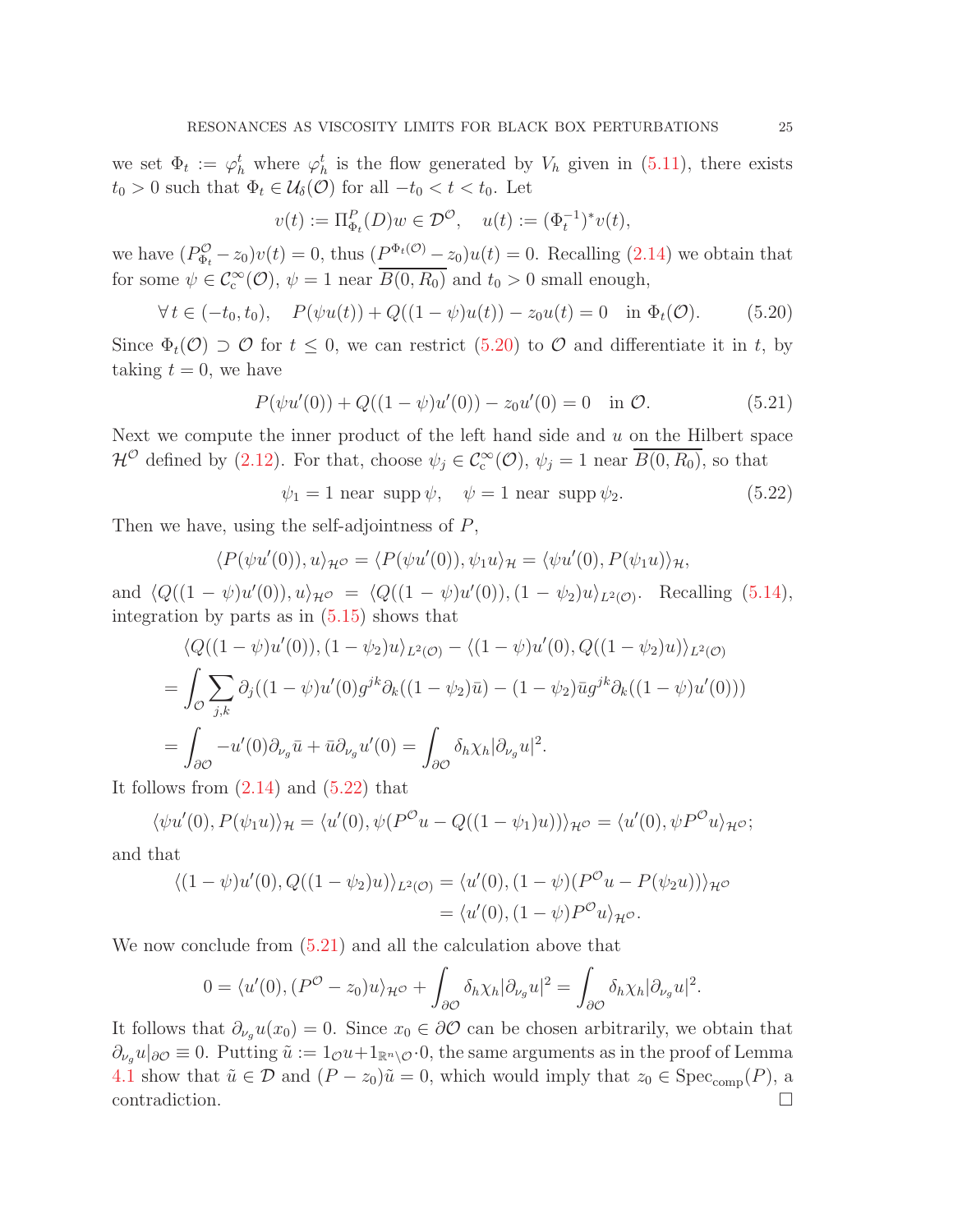we set  $\Phi_t := \varphi_h^t$  where  $\varphi_h^t$  is the flow generated by  $V_h$  given in [\(5.11\)](#page-21-1), there exists  $t_0 > 0$  such that  $\Phi_t \in \mathcal{U}_{\delta}(\mathcal{O})$  for all  $-t_0 < t < t_0$ . Let

$$
v(t) := \Pi_{\Phi_t}^P(D)w \in \mathcal{D}^{\mathcal{O}}, \quad u(t) := (\Phi_t^{-1})^* v(t),
$$

we have  $(P_{\Phi_t}^{\mathcal{O}} - z_0)v(t) = 0$ , thus  $(P_{\Phi_t}^{\Phi_t(\mathcal{O})} - z_0)u(t) = 0$ . Recalling [\(2.14\)](#page-8-3) we obtain that for some  $\psi \in C_c^{\infty}(\mathcal{O}), \psi = 1$  near  $\overline{B(0, R_0)}$  and  $t_0 > 0$  small enough,

<span id="page-24-0"></span>
$$
\forall t \in (-t_0, t_0), \quad P(\psi u(t)) + Q((1 - \psi)u(t)) - z_0 u(t) = 0 \quad \text{in } \Phi_t(\mathcal{O}). \tag{5.20}
$$

Since  $\Phi_t(\mathcal{O}) \supset \mathcal{O}$  for  $t \leq 0$ , we can restrict  $(5.20)$  to  $\mathcal{O}$  and differentiate it in t, by taking  $t = 0$ , we have

<span id="page-24-2"></span>
$$
P(\psi u'(0)) + Q((1 - \psi)u'(0)) - z_0 u'(0) = 0 \quad \text{in } \mathcal{O}.
$$
 (5.21)

Next we compute the inner product of the left hand side and  $u$  on the Hilbert space  $\mathcal{H}^{\mathcal{O}}$  defined by [\(2.12\)](#page-8-4). For that, choose  $\psi_j \in C_c^{\infty}(\mathcal{O}), \psi_j = 1$  near  $\overline{B(0,R_0)}$ , so that

<span id="page-24-1"></span>
$$
\psi_1 = 1 \text{ near } \text{supp } \psi, \quad \psi = 1 \text{ near } \text{supp } \psi_2. \tag{5.22}
$$

Then we have, using the self-adjointness of P,

$$
\langle P(\psi u'(0)), u \rangle_{\mathcal{H}} \circ \langle P(\psi u'(0)), \psi_1 u \rangle_{\mathcal{H}} = \langle \psi u'(0), P(\psi_1 u) \rangle_{\mathcal{H}},
$$

and  $\langle Q((1 - \psi)u'(0)), u \rangle_{\mathcal{H}^{\mathcal{O}}} = \langle Q((1 - \psi)u'(0)), (1 - \psi_2)u \rangle_{L^2(\mathcal{O})}.$  Recalling [\(5.14\)](#page-22-2), integration by parts as in [\(5.15\)](#page-22-3) shows that

$$
\langle Q((1-\psi)u'(0)), (1-\psi_2)u \rangle_{L^2(\mathcal{O})} - \langle (1-\psi)u'(0), Q((1-\psi_2)u) \rangle_{L^2(\mathcal{O})}
$$
  
= 
$$
\int_{\mathcal{O}} \sum_{j,k} \partial_j ((1-\psi)u'(0)g^{jk}\partial_k((1-\psi_2)\bar{u}) - (1-\psi_2)\bar{u}g^{jk}\partial_k((1-\psi)u'(0)))
$$
  
= 
$$
\int_{\partial\mathcal{O}} -u'(0)\partial_{\nu_g}\bar{u} + \bar{u}\partial_{\nu_g}u'(0) = \int_{\partial\mathcal{O}} \delta_h \chi_h |\partial_{\nu_g}u|^2.
$$

It follows from  $(2.14)$  and  $(5.22)$  that

$$
\langle \psi u'(0), P(\psi_1 u) \rangle_{\mathcal{H}} = \langle u'(0), \psi(P^{\mathcal{O}} u - Q((1 - \psi_1)u)) \rangle_{\mathcal{H}^{\mathcal{O}}} = \langle u'(0), \psi P^{\mathcal{O}} u \rangle_{\mathcal{H}^{\mathcal{O}}};
$$

and that

$$
\langle (1 - \psi)u'(0), Q((1 - \psi_2)u) \rangle_{L^2(\mathcal{O})} = \langle u'(0), (1 - \psi)(P^{\mathcal{O}}u - P(\psi_2 u)) \rangle_{\mathcal{H}^{\mathcal{O}}} = \langle u'(0), (1 - \psi)P^{\mathcal{O}}u \rangle_{\mathcal{H}^{\mathcal{O}}}.
$$

We now conclude from  $(5.21)$  and all the calculation above that

$$
0 = \langle u'(0), (P^{O} - z_0)u \rangle_{\mathcal{H}^{O}} + \int_{\partial O} \delta_h \chi_h |\partial_{\nu_g} u|^2 = \int_{\partial O} \delta_h \chi_h |\partial_{\nu_g} u|^2.
$$

It follows that  $\partial_{\nu_q}u(x_0)=0$ . Since  $x_0 \in \partial\mathcal{O}$  can be chosen arbitrarily, we obtain that  $\partial_{\nu_g} u|_{\partial\mathcal{O}} \equiv 0$ . Putting  $\tilde{u} := 1_{\mathcal{O}} u + 1_{\mathbb{R}^n \setminus \mathcal{O}} \cdot 0$ , the same arguments as in the proof of Lemma [4.1](#page-16-2) show that  $\tilde{u} \in \mathcal{D}$  and  $(P - z_0)\tilde{u} = 0$ , which would imply that  $z_0 \in \text{Spec}_{\text{comp}}(P)$ , a contradiction.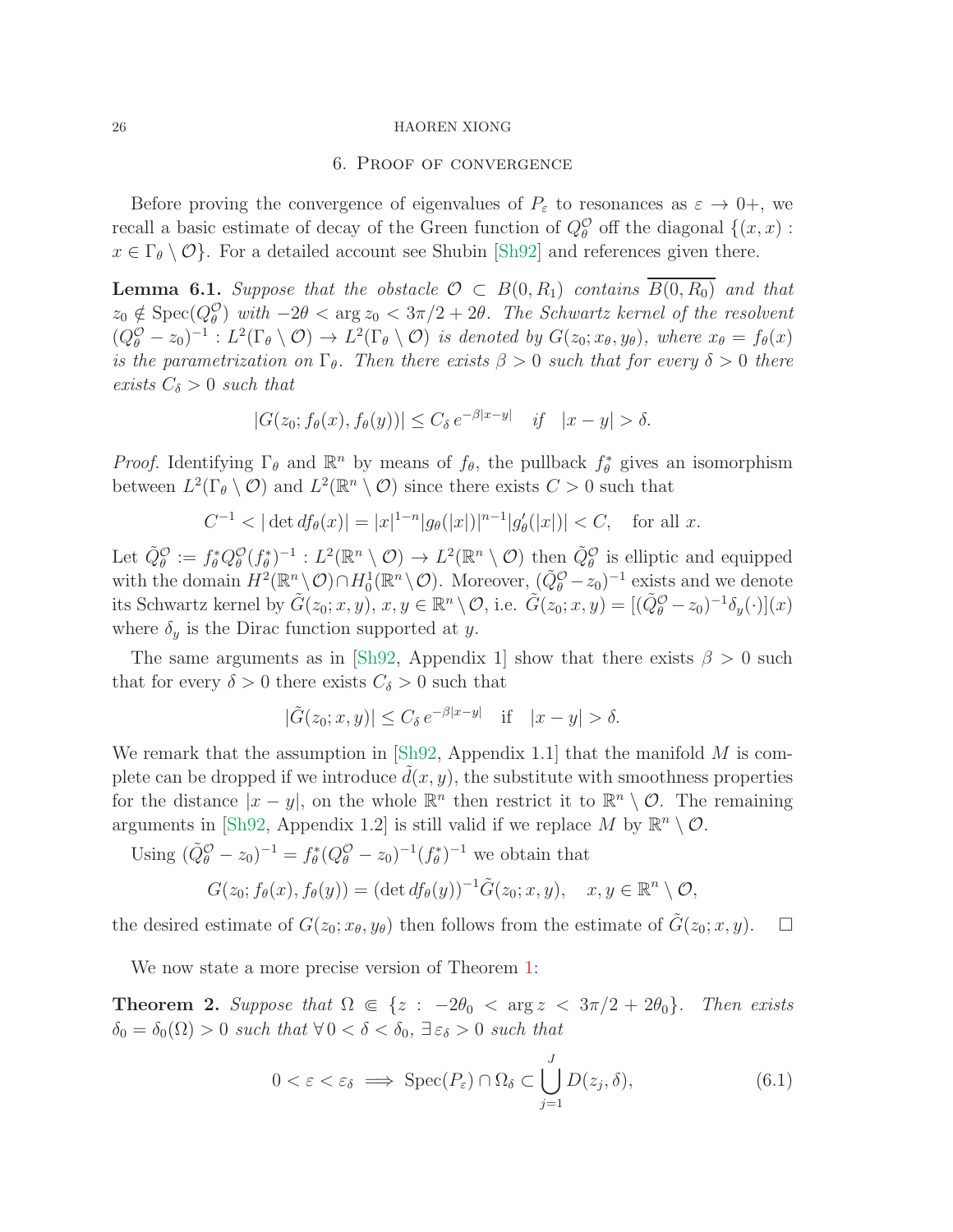#### 6. Proof of convergence

<span id="page-25-0"></span>Before proving the convergence of eigenvalues of  $P_{\varepsilon}$  to resonances as  $\varepsilon \to 0^+$ , we recall a basic estimate of decay of the Green function of  $Q_{\theta}^{\mathcal{O}}$  off the diagonal  $\{(x, x) :$  $x \in \Gamma_{\theta} \setminus \mathcal{O}$ . For a detailed account see Shubin [\[Sh92\]](#page-29-18) and references given there.

<span id="page-25-2"></span>**Lemma 6.1.** Suppose that the obstacle  $\mathcal{O} \subset B(0, R_1)$  contains  $B(0, R_0)$  and that  $z_0 \notin \text{Spec}(Q_{\theta}^{\mathcal{O}})$  with  $-2\theta < \arg z_0 < 3\pi/2 + 2\theta$ . The Schwartz kernel of the resolvent  $(Q_{\theta}^{\mathcal{O}}-z_0)^{-1}: L^2(\Gamma_{\theta}\setminus\mathcal{O})\to L^2(\Gamma_{\theta}\setminus\mathcal{O})$  is denoted by  $G(z_0;x_{\theta},y_{\theta})$ , where  $x_{\theta}=f_{\theta}(x)$ is the parametrization on  $\Gamma_{\theta}$ . Then there exists  $\beta > 0$  such that for every  $\delta > 0$  there exists  $C_{\delta} > 0$  such that

$$
|G(z_0; f_{\theta}(x), f_{\theta}(y))| \le C_{\delta} e^{-\beta|x-y|} \quad \text{if} \quad |x-y| > \delta.
$$

*Proof.* Identifying  $\Gamma_{\theta}$  and  $\mathbb{R}^n$  by means of  $f_{\theta}$ , the pullback  $f_{\theta}^*$  gives an isomorphism between  $L^2(\Gamma_\theta \setminus \mathcal{O})$  and  $L^2(\mathbb{R}^n \setminus \mathcal{O})$  since there exists  $C > 0$  such that

$$
C^{-1} < |\det df_{\theta}(x)| = |x|^{1-n} |g_{\theta}(|x|)|^{n-1} |g'_{\theta}(|x|)| < C, \quad \text{for all } x.
$$

Let  $\tilde{Q}_{\theta}^{\mathcal{O}} := f_{\theta}^* Q_{\theta}^{\mathcal{O}}(f_{\theta}^*)^{-1} : L^2(\mathbb{R}^n \setminus \mathcal{O}) \to L^2(\mathbb{R}^n \setminus \mathcal{O})$  then  $\tilde{Q}_{\theta}^{\mathcal{O}}$  is elliptic and equipped with the domain  $H^2(\mathbb{R}^n \setminus \mathcal{O}) \cap H_0^1(\mathbb{R}^n \setminus \mathcal{O})$ . Moreover,  $(\tilde{Q}_{\theta}^{\mathcal{O}} - z_0)^{-1}$  exists and we denote its Schwartz kernel by  $\tilde{G}(z_0; x, y), x, y \in \mathbb{R}^n \setminus \mathcal{O}$ , i.e.  $\tilde{G}(z_0; x, y) = [(\tilde{Q}_{\theta}^{\mathcal{O}} - z_0)^{-1} \delta_y(\cdot)](x)$ where  $\delta_y$  is the Dirac function supported at y.

The same arguments as in [\[Sh92,](#page-29-18) Appendix 1] show that there exists  $\beta > 0$  such that for every  $\delta > 0$  there exists  $C_{\delta} > 0$  such that

$$
|\tilde{G}(z_0; x, y)| \le C_\delta e^{-\beta |x - y|} \quad \text{if} \quad |x - y| > \delta.
$$

We remark that the assumption in [\[Sh92,](#page-29-18) Appendix 1.1] that the manifold  $M$  is complete can be dropped if we introduce  $d(x, y)$ , the substitute with smoothness properties for the distance  $|x - y|$ , on the whole  $\mathbb{R}^n$  then restrict it to  $\mathbb{R}^n \setminus \mathcal{O}$ . The remaining arguments in [\[Sh92,](#page-29-18) Appendix 1.2] is still valid if we replace M by  $\mathbb{R}^n \setminus \mathcal{O}$ .

Using  $(\tilde{Q}_{\theta}^{\mathcal{O}} - z_0)^{-1} = f_{\theta}^*(Q_{\theta}^{\mathcal{O}} - z_0)^{-1}(f_{\theta}^*)^{-1}$  we obtain that

$$
G(z_0; f_{\theta}(x), f_{\theta}(y)) = (\det df_{\theta}(y))^{-1} \tilde{G}(z_0; x, y), \quad x, y \in \mathbb{R}^n \setminus \mathcal{O},
$$

the desired estimate of  $G(z_0; x_{\theta}, y_{\theta})$  then follows from the estimate of  $\tilde{G}(z_0; x, y)$ .  $\Box$ 

We now state a more precise version of Theorem [1:](#page-2-0)

**Theorem 2.** Suppose that  $\Omega \in \{z : -2\theta_0 < \arg z < 3\pi/2 + 2\theta_0\}$ . Then exists  $\delta_0 = \delta_0(\Omega) > 0$  such that  $\forall 0 < \delta < \delta_0$ ,  $\exists \varepsilon_\delta > 0$  such that

<span id="page-25-1"></span>
$$
0 < \varepsilon < \varepsilon_{\delta} \implies \text{Spec}(P_{\varepsilon}) \cap \Omega_{\delta} \subset \bigcup_{j=1}^{J} D(z_j, \delta), \tag{6.1}
$$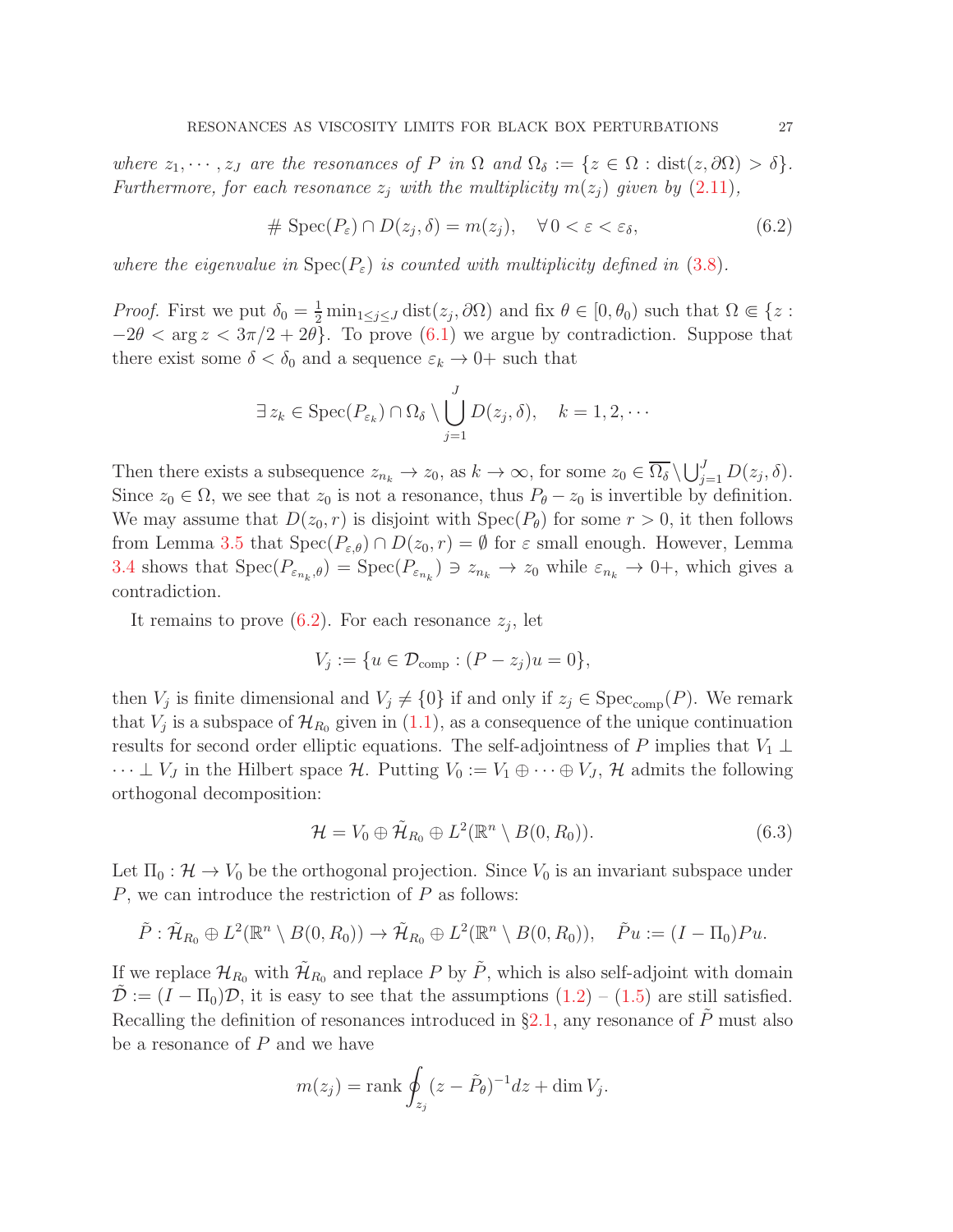where  $z_1, \dots, z_J$  are the resonances of P in  $\Omega$  and  $\Omega_{\delta} := \{z \in \Omega : \text{dist}(z, \partial \Omega) > \delta\}.$ Furthermore, for each resonance  $z_i$  with the multiplicity  $m(z_i)$  given by  $(2.11)$ ,

<span id="page-26-0"></span>
$$
\# \operatorname{Spec}(P_{\varepsilon}) \cap D(z_j, \delta) = m(z_j), \quad \forall \, 0 < \varepsilon < \varepsilon_{\delta},\tag{6.2}
$$

where the eigenvalue in  $Spec(P_{\varepsilon})$  is counted with multiplicity defined in [\(3.8\)](#page-13-1).

*Proof.* First we put  $\delta_0 = \frac{1}{2} \min_{1 \leq j \leq J} \text{dist}(z_j, \partial \Omega)$  and fix  $\theta \in [0, \theta_0)$  such that  $\Omega \in \{z :$  $-2\theta < \arg z < 3\pi/2 + 2\theta$ . To prove [\(6.1\)](#page-25-1) we argue by contradiction. Suppose that there exist some  $\delta < \delta_0$  and a sequence  $\varepsilon_k \to 0^+$  such that

$$
\exists z_k \in \operatorname{Spec}(P_{\varepsilon_k}) \cap \Omega_{\delta} \setminus \bigcup_{j=1}^J D(z_j, \delta), \quad k = 1, 2, \cdots
$$

Then there exists a subsequence  $z_{n_k} \to z_0$ , as  $k \to \infty$ , for some  $z_0 \in \overline{\Omega_\delta} \setminus \bigcup_{j=1}^J D(z_j, \delta)$ . Since  $z_0 \in \Omega$ , we see that  $z_0$  is not a resonance, thus  $P_\theta - z_0$  is invertible by definition. We may assume that  $D(z_0, r)$  is disjoint with  $Spec(P_\theta)$  for some  $r > 0$ , it then follows from Lemma [3.5](#page-14-1) that  $Spec(P_{\varepsilon,\theta}) \cap D(z_0,r) = \emptyset$  for  $\varepsilon$  small enough. However, Lemma [3.4](#page-13-2) shows that  $Spec(P_{\varepsilon_{n_k},\theta}) = Spec(P_{\varepsilon_{n_k}}) \ni z_{n_k} \to z_0$  while  $\varepsilon_{n_k} \to 0^+$ , which gives a contradiction.

It remains to prove  $(6.2)$ . For each resonance  $z_j$ , let

$$
V_j := \{ u \in \mathcal{D}_{\text{comp}} : (P - z_j)u = 0 \},
$$

then  $V_j$  is finite dimensional and  $V_j \neq \{0\}$  if and only if  $z_j \in \text{Spec}_{\text{comp}}(P)$ . We remark that  $V_j$  is a subspace of  $\mathcal{H}_{R_0}$  given in  $(1.1)$ , as a consequence of the unique continuation results for second order elliptic equations. The self-adjointness of P implies that  $V_1 \perp$  $\cdots \perp V_J$  in the Hilbert space H. Putting  $V_0 := V_1 \oplus \cdots \oplus V_J$ , H admits the following orthogonal decomposition:

$$
\mathcal{H} = V_0 \oplus \tilde{\mathcal{H}}_{R_0} \oplus L^2(\mathbb{R}^n \setminus B(0, R_0)).
$$
\n(6.3)

Let  $\Pi_0 : \mathcal{H} \to V_0$  be the orthogonal projection. Since  $V_0$  is an invariant subspace under  $P$ , we can introduce the restriction of  $P$  as follows:

$$
\tilde{P}: \tilde{\mathcal{H}}_{R_0}\oplus L^2(\mathbb{R}^n\setminus B(0,R_0))\to \tilde{\mathcal{H}}_{R_0}\oplus L^2(\mathbb{R}^n\setminus B(0,R_0)),\quad \tilde{P}u:=(I-\Pi_0)Pu.
$$

If we replace  $\mathcal{H}_{R_0}$  with  $\mathcal{H}_{R_0}$  and replace P by  $\tilde{P}$ , which is also self-adjoint with domain  $\mathcal{D} := (I - \Pi_0)\mathcal{D}$ , it is easy to see that the assumptions  $(1.2) - (1.5)$  $(1.2) - (1.5)$  are still satisfied. Recalling the definition of resonances introduced in §[2.1,](#page-4-0) any resonance of  $\tilde{P}$  must also be a resonance of  $P$  and we have

$$
m(z_j) = \text{rank} \oint_{z_j} (z - \tilde{P}_{\theta})^{-1} dz + \dim V_j.
$$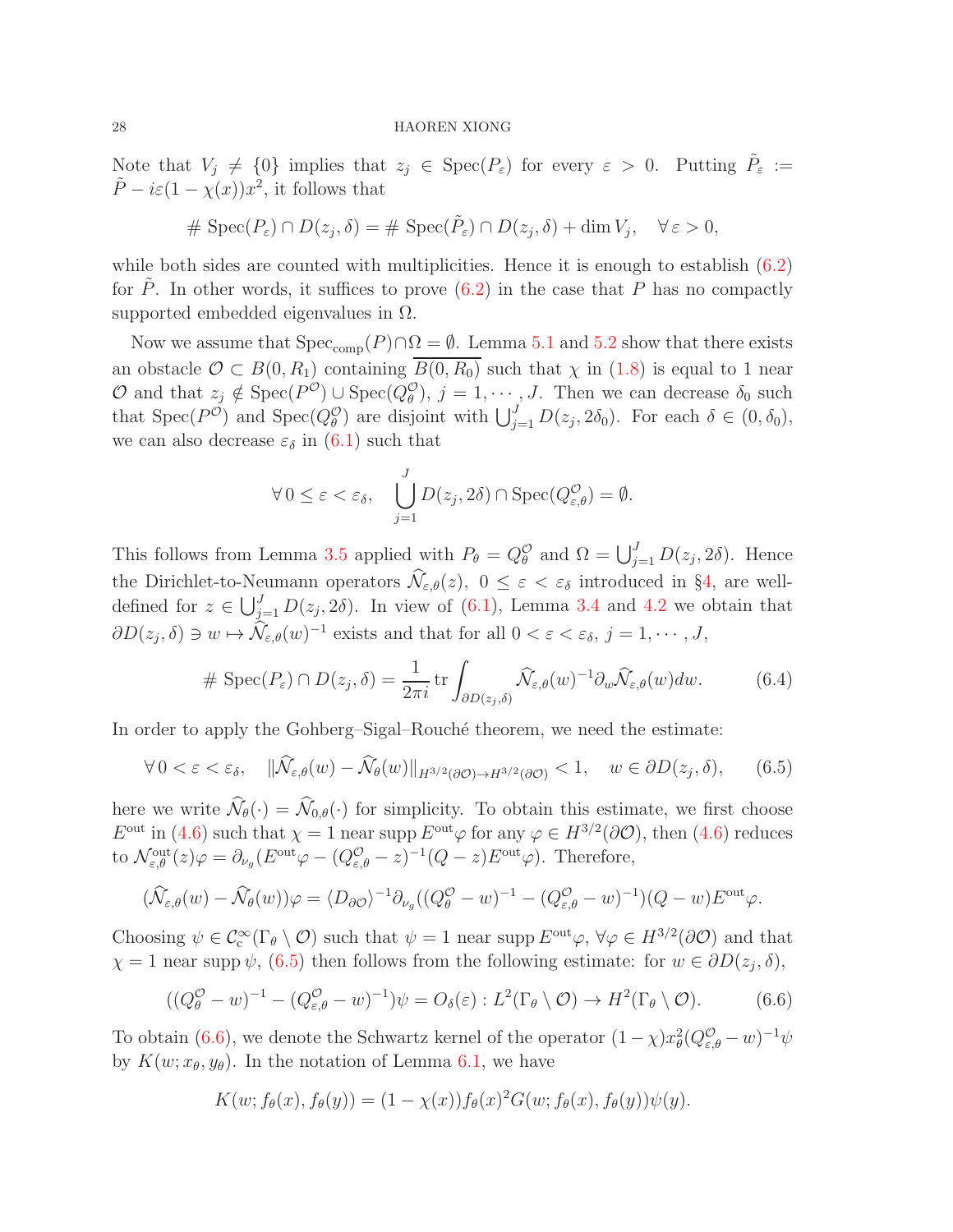Note that  $V_j \neq \{0\}$  implies that  $z_j \in \text{Spec}(P_{\varepsilon})$  for every  $\varepsilon > 0$ . Putting  $\tilde{P}_{\varepsilon} :=$  $\tilde{P} - i\varepsilon (1 - \chi(x))x^2$ , it follows that

$$
\# \operatorname{Spec}(P_{\varepsilon}) \cap D(z_j, \delta) = \# \operatorname{Spec}(\tilde{P}_{\varepsilon}) \cap D(z_j, \delta) + \dim V_j, \quad \forall \varepsilon > 0,
$$

while both sides are counted with multiplicities. Hence it is enough to establish  $(6.2)$ for P. In other words, it suffices to prove  $(6.2)$  in the case that P has no compactly supported embedded eigenvalues in  $\Omega$ .

Now we assume that  $Spec_{comp}(P) \cap \Omega = \emptyset$ . Lemma [5.1](#page-20-5) and [5.2](#page-23-2) show that there exists an obstacle  $\mathcal{O} \subset B(0, R_1)$  containing  $\overline{B(0, R_0)}$  such that  $\chi$  in [\(1.8\)](#page-1-5) is equal to 1 near O and that  $z_j \notin \text{Spec}(P^{\mathcal{O}}) \cup \text{Spec}(Q^{\mathcal{O}}_{\theta}), j = 1, \cdots, J$ . Then we can decrease  $\delta_0$  such that Spec( $P^{\mathcal{O}}$ ) and Spec( $Q_{\theta}^{\mathcal{O}}$ ) are disjoint with  $\bigcup_{j=1}^{J} D(z_j, 2\delta_0)$ . For each  $\delta \in (0, \delta_0)$ , we can also decrease  $\varepsilon_{\delta}$  in  $(6.1)$  such that

$$
\forall 0 \leq \varepsilon < \varepsilon_{\delta}, \quad \bigcup_{j=1}^{J} D(z_j, 2\delta) \cap \text{Spec}(Q^{\mathcal{O}}_{\varepsilon,\theta}) = \emptyset.
$$

This follows from Lemma [3.5](#page-14-1) applied with  $P_{\theta} = Q_{\theta}^{\mathcal{O}}$  and  $\Omega = \bigcup_{j=1}^{J} D(z_j, 2\delta)$ . Hence the Dirichlet-to-Neumann operators  $\widehat{\mathcal{N}}_{\varepsilon,\theta}(z), 0 \leq \varepsilon < \varepsilon_{\delta}$  introduced in §[4,](#page-14-0) are welldefined for  $z \in \bigcup_{j=1}^{J} D(z_j, 2\delta)$ . In view of  $(6.1)$ , Lemma [3.4](#page-13-2) and [4.2](#page-18-2) we obtain that  $\partial D(z_j, \delta) \ni w \mapsto \hat{\mathcal{N}}_{\varepsilon,\theta}(w)^{-1}$  exists and that for all  $0 < \varepsilon < \varepsilon_\delta$ ,  $j = 1, \cdots, J$ ,

<span id="page-27-2"></span>
$$
\# \operatorname{Spec}(P_{\varepsilon}) \cap D(z_j, \delta) = \frac{1}{2\pi i} \operatorname{tr} \int_{\partial D(z_j, \delta)} \widehat{\mathcal{N}}_{\varepsilon, \theta}(w)^{-1} \partial_w \widehat{\mathcal{N}}_{\varepsilon, \theta}(w) dw. \tag{6.4}
$$

In order to apply the Gohberg–Sigal–Rouché theorem, we need the estimate:

<span id="page-27-0"></span>
$$
\forall 0 < \varepsilon < \varepsilon_{\delta}, \quad \|\widehat{\mathcal{N}}_{\varepsilon,\theta}(w) - \widehat{\mathcal{N}}_{\theta}(w)\|_{H^{3/2}(\partial \mathcal{O}) \to H^{3/2}(\partial \mathcal{O})} < 1, \quad w \in \partial D(z_j, \delta), \tag{6.5}
$$

here we write  $\widehat{\mathcal{N}}_{\theta}(\cdot) = \widehat{\mathcal{N}}_{0,\theta}(\cdot)$  for simplicity. To obtain this estimate, we first choose  $E^{\text{out}}$  in [\(4.6\)](#page-15-2) such that  $\chi = 1$  near supp  $E^{\text{out}}\varphi$  for any  $\varphi \in H^{3/2}(\partial \mathcal{O})$ , then (4.6) reduces to  $\mathcal{N}_{\varepsilon,\theta}^{\text{out}}(z)\varphi = \partial_{\nu_g}(E^{\text{out}}\varphi - (Q^{\mathcal{O}}_{\varepsilon,\theta} - z)^{-1}(Q - z)E^{\text{out}}\varphi)$ . Therefore,

$$
(\widehat{\mathcal{N}}_{\varepsilon,\theta}(w) - \widehat{\mathcal{N}}_{\theta}(w))\varphi = \langle D_{\partial\mathcal{O}}\rangle^{-1}\partial_{\nu_{g}}((Q^{\mathcal{O}}_{\theta} - w)^{-1} - (Q^{\mathcal{O}}_{\varepsilon,\theta} - w)^{-1})(Q - w)E^{\text{out}}\varphi.
$$

Choosing  $\psi \in C_c^{\infty}(\Gamma_\theta \setminus \mathcal{O})$  such that  $\psi = 1$  near supp  $E^{\text{out}}\varphi$ ,  $\forall \varphi \in H^{3/2}(\partial \mathcal{O})$  and that  $\chi = 1$  near supp  $\psi$ , [\(6.5\)](#page-27-0) then follows from the following estimate: for  $w \in \partial D(z_j, \delta)$ ,

<span id="page-27-1"></span>
$$
((Q^{\mathcal{O}}_{\theta} - w)^{-1} - (Q^{\mathcal{O}}_{\varepsilon,\theta} - w)^{-1})\psi = O_{\delta}(\varepsilon) : L^{2}(\Gamma_{\theta} \setminus \mathcal{O}) \to H^{2}(\Gamma_{\theta} \setminus \mathcal{O}).
$$
 (6.6)

To obtain [\(6.6\)](#page-27-1), we denote the Schwartz kernel of the operator  $(1 - \chi)x_{\theta}^{2}(Q_{\varepsilon,\theta}^{\mathcal{O}} - w)^{-1}\psi$ by  $K(w; x_{\theta}, y_{\theta})$ . In the notation of Lemma [6.1,](#page-25-2) we have

$$
K(w; f_{\theta}(x), f_{\theta}(y)) = (1 - \chi(x)) f_{\theta}(x)^2 G(w; f_{\theta}(x), f_{\theta}(y)) \psi(y).
$$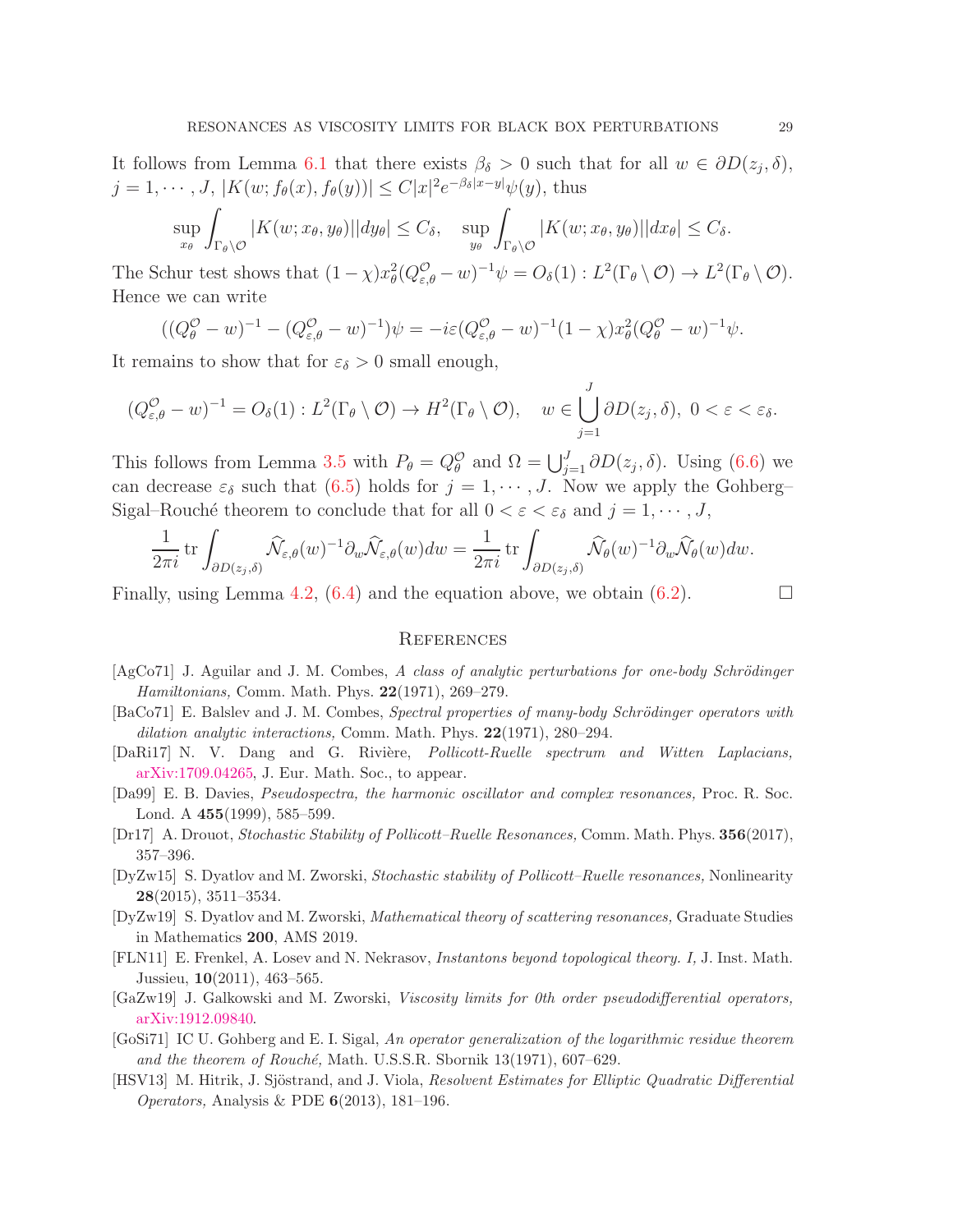It follows from Lemma [6.1](#page-25-2) that there exists  $\beta_{\delta} > 0$  such that for all  $w \in \partial D(z_j, \delta)$ ,  $j = 1, \dots, J, |K(w; f_{\theta}(x), f_{\theta}(y))| \leq C|x|^2 e^{-\beta_{\delta}|x-y|} \psi(y)$ , thus

$$
\sup_{x_{\theta}} \int_{\Gamma_{\theta} \setminus \mathcal{O}} |K(w; x_{\theta}, y_{\theta})| |dy_{\theta}| \leq C_{\delta}, \quad \sup_{y_{\theta}} \int_{\Gamma_{\theta} \setminus \mathcal{O}} |K(w; x_{\theta}, y_{\theta})| |dx_{\theta}| \leq C_{\delta}.
$$

The Schur test shows that  $(1 - \chi)x_{\theta}^{2}(Q_{\varepsilon,\theta}^{\mathcal{O}} - w)^{-1}\psi = O_{\delta}(1) : L^{2}(\Gamma_{\theta} \setminus \mathcal{O}) \to L^{2}(\Gamma_{\theta} \setminus \mathcal{O}).$ Hence we can write

$$
((Q^{\mathcal{O}}_{\theta} - w)^{-1} - (Q^{\mathcal{O}}_{\varepsilon,\theta} - w)^{-1})\psi = -i\varepsilon (Q^{\mathcal{O}}_{\varepsilon,\theta} - w)^{-1} (1 - \chi) x_{\theta}^{2} (Q^{\mathcal{O}}_{\theta} - w)^{-1} \psi.
$$

It remains to show that for  $\varepsilon_{\delta} > 0$  small enough,

 $($ 

$$
(Q_{\varepsilon,\theta}^{\mathcal{O}} - w)^{-1} = O_{\delta}(1) : L^{2}(\Gamma_{\theta} \setminus \mathcal{O}) \to H^{2}(\Gamma_{\theta} \setminus \mathcal{O}), \quad w \in \bigcup_{j=1}^{J} \partial D(z_{j}, \delta), \ 0 < \varepsilon < \varepsilon_{\delta}.
$$

This follows from Lemma [3.5](#page-14-1) with  $P_{\theta} = Q_{\theta}^{\mathcal{O}}$  and  $\Omega = \bigcup_{j=1}^{J} \partial D(z_j, \delta)$ . Using [\(6.6\)](#page-27-1) we can decrease  $\varepsilon_{\delta}$  such that [\(6.5\)](#page-27-0) holds for  $j = 1, \dots, J$ . Now we apply the Gohberg– Sigal–Rouché theorem to conclude that for all  $0 < \varepsilon < \varepsilon_{\delta}$  and  $j = 1, \dots, J$ ,

$$
\frac{1}{2\pi i} \operatorname{tr} \int_{\partial D(z_j,\delta)} \widehat{\mathcal{N}}_{\varepsilon,\theta}(w)^{-1} \partial_w \widehat{\mathcal{N}}_{\varepsilon,\theta}(w) dw = \frac{1}{2\pi i} \operatorname{tr} \int_{\partial D(z_j,\delta)} \widehat{\mathcal{N}}_{\theta}(w)^{-1} \partial_w \widehat{\mathcal{N}}_{\theta}(w) dw.
$$

Finally, using Lemma [4.2,](#page-18-2) [\(6.4\)](#page-27-2) and the equation above, we obtain [\(6.2\)](#page-26-0).

## **REFERENCES**

- <span id="page-28-6"></span> $[AgCo71]$  J. Aguilar and J. M. Combes, A class of analytic perturbations for one-body Schrödinger Hamiltonians, Comm. Math. Phys. 22(1971), 269–279.
- <span id="page-28-7"></span> $[BaCo71]$  E. Balslev and J. M. Combes, *Spectral properties of many-body Schrödinger operators with* dilation analytic interactions, Comm. Math. Phys. 22(1971), 280–294.
- <span id="page-28-2"></span>[DaRi17] N. V. Dang and G. Rivière, *Pollicott-Ruelle spectrum and Witten Laplacians*, [arXiv:1709.04265,](http://arxiv.org/abs/1709.04265) J. Eur. Math. Soc., to appear.
- <span id="page-28-8"></span>[Da99] E. B. Davies, Pseudospectra, the harmonic oscillator and complex resonances, Proc. R. Soc. Lond. A 455(1999), 585–599.
- <span id="page-28-1"></span>[Dr17] A. Drouot, Stochastic Stability of Pollicott–Ruelle Resonances, Comm. Math. Phys. 356(2017), 357–396.
- <span id="page-28-0"></span>[DyZw15] S. Dyatlov and M. Zworski, Stochastic stability of Pollicott–Ruelle resonances, Nonlinearity 28(2015), 3511–3534.
- <span id="page-28-5"></span>[DyZw19] S. Dyatlov and M. Zworski, Mathematical theory of scattering resonances, Graduate Studies in Mathematics 200, AMS 2019.
- <span id="page-28-3"></span>[FLN11] E. Frenkel, A. Losev and N. Nekrasov, Instantons beyond topological theory. I, J. Inst. Math. Jussieu, 10(2011), 463–565.
- <span id="page-28-4"></span>[GaZw19] J. Galkowski and M. Zworski, Viscosity limits for 0th order pseudodifferential operators, [arXiv:1912.09840.](http://arxiv.org/abs/1912.09840)
- <span id="page-28-10"></span>[GoSi71] IC U. Gohberg and E. I. Sigal, An operator generalization of the logarithmic residue theorem and the theorem of Rouché, Math. U.S.S.R. Sbornik  $13(1971)$ , 607–629.
- <span id="page-28-9"></span>[HSV13] M. Hitrik, J. Sjöstrand, and J. Viola, Resolvent Estimates for Elliptic Quadratic Differential Operators, Analysis & PDE 6(2013), 181–196.